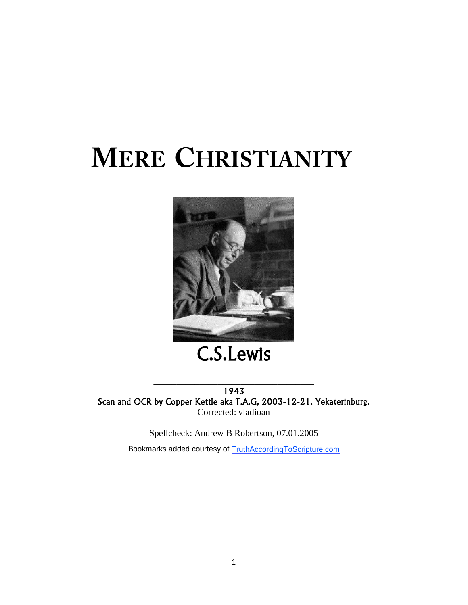# **MERE CHRISTIANITY**



## C.S.Lewis

\_\_\_\_\_\_\_\_\_\_\_\_\_\_\_\_\_\_\_\_\_\_\_\_\_\_\_\_\_\_\_\_\_\_\_ 1943 Scan and OCR by Copper Kettle aka T.A.G, 2003-12-21. Yekaterinburg. Corrected: vladioan

Spellcheck: Andrew B Robertson, 07.01.2005

Bookmarks added courtesy of [TruthAccordingToScripture.com](www.truthaccordingtoscripture.comwww.truthaccordingtoscripture.com)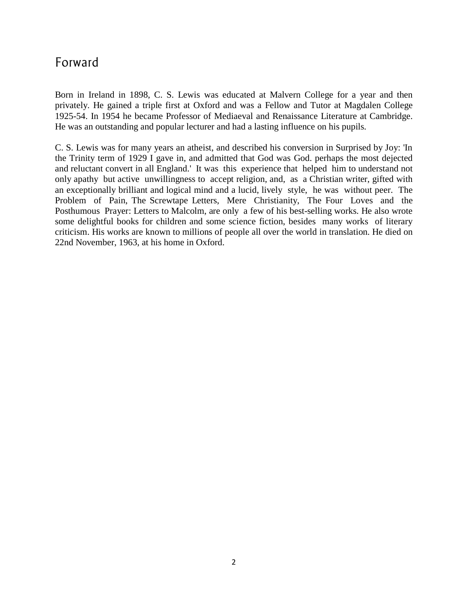## Forward

Born in Ireland in 1898, C. S. Lewis was educated at Malvern College for a year and then privately. He gained a triple first at Oxford and was a Fellow and Tutor at Magdalen College 1925-54. In 1954 he became Professor of Mediaeval and Renaissance Literature at Cambridge. He was an outstanding and popular lecturer and had a lasting influence on his pupils.

C. S. Lewis was for many years an atheist, and described his conversion in Surprised by Joy: 'In the Trinity term of 1929 I gave in, and admitted that God was God. perhaps the most dejected and reluctant convert in all England.' It was this experience that helped him to understand not only apathy but active unwillingness to accept religion, and, as a Christian writer, gifted with an exceptionally brilliant and logical mind and a lucid, lively style, he was without peer. The Problem of Pain, The Screwtape Letters, Mere Christianity, The Four Loves and the Posthumous Prayer: Letters to Malcolm, are only a few of his best-selling works. He also wrote some delightful books for children and some science fiction, besides many works of literary criticism. His works are known to millions of people all over the world in translation. He died on 22nd November, 1963, at his home in Oxford.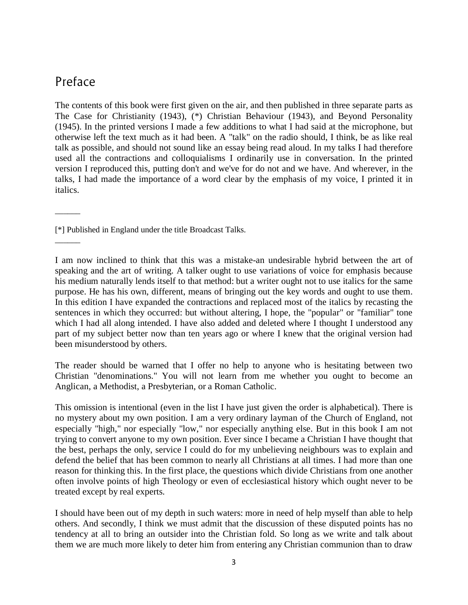## Preface

 $\overline{\phantom{a}}$ 

 $\overline{\phantom{a}}$ 

The contents of this book were first given on the air, and then published in three separate parts as The Case for Christianity (1943), (\*) Christian Behaviour (1943), and Beyond Personality (1945). In the printed versions I made a few additions to what I had said at the microphone, but otherwise left the text much as it had been. A "talk" on the radio should, I think, be as like real talk as possible, and should not sound like an essay being read aloud. In my talks I had therefore used all the contractions and colloquialisms I ordinarily use in conversation. In the printed version I reproduced this, putting don't and we've for do not and we have. And wherever, in the talks, I had made the importance of a word clear by the emphasis of my voice, I printed it in italics.

[\*] Published in England under the title Broadcast Talks.

I am now inclined to think that this was a mistake-an undesirable hybrid between the art of speaking and the art of writing. A talker ought to use variations of voice for emphasis because his medium naturally lends itself to that method: but a writer ought not to use italics for the same purpose. He has his own, different, means of bringing out the key words and ought to use them. In this edition I have expanded the contractions and replaced most of the italics by recasting the sentences in which they occurred: but without altering, I hope, the "popular" or "familiar" tone which I had all along intended. I have also added and deleted where I thought I understood any part of my subject better now than ten years ago or where I knew that the original version had been misunderstood by others.

The reader should be warned that I offer no help to anyone who is hesitating between two Christian "denominations." You will not learn from me whether you ought to become an Anglican, a Methodist, a Presbyterian, or a Roman Catholic.

This omission is intentional (even in the list I have just given the order is alphabetical). There is no mystery about my own position. I am a very ordinary layman of the Church of England, not especially "high," nor especially "low," nor especially anything else. But in this book I am not trying to convert anyone to my own position. Ever since I became a Christian I have thought that the best, perhaps the only, service I could do for my unbelieving neighbours was to explain and defend the belief that has been common to nearly all Christians at all times. I had more than one reason for thinking this. In the first place, the questions which divide Christians from one another often involve points of high Theology or even of ecclesiastical history which ought never to be treated except by real experts.

I should have been out of my depth in such waters: more in need of help myself than able to help others. And secondly, I think we must admit that the discussion of these disputed points has no tendency at all to bring an outsider into the Christian fold. So long as we write and talk about them we are much more likely to deter him from entering any Christian communion than to draw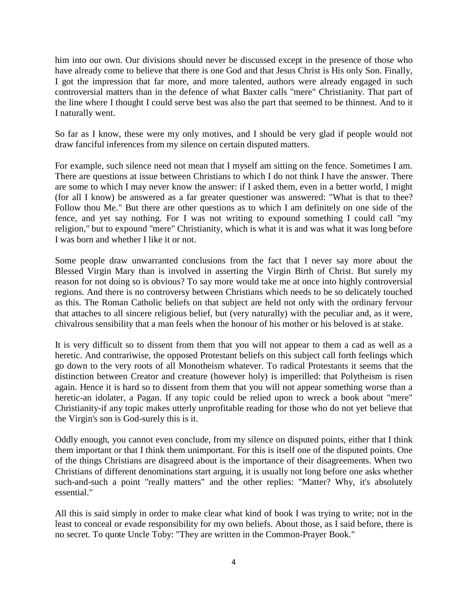him into our own. Our divisions should never be discussed except in the presence of those who have already come to believe that there is one God and that Jesus Christ is His only Son. Finally, I got the impression that far more, and more talented, authors were already engaged in such controversial matters than in the defence of what Baxter calls "mere" Christianity. That part of the line where I thought I could serve best was also the part that seemed to be thinnest. And to it I naturally went.

So far as I know, these were my only motives, and I should be very glad if people would not draw fanciful inferences from my silence on certain disputed matters.

For example, such silence need not mean that I myself am sitting on the fence. Sometimes I am. There are questions at issue between Christians to which I do not think I have the answer. There are some to which I may never know the answer: if I asked them, even in a better world, I might (for all I know) be answered as a far greater questioner was answered: "What is that to thee? Follow thou Me." But there are other questions as to which I am definitely on one side of the fence, and yet say nothing. For I was not writing to expound something I could call "my religion," but to expound "mere" Christianity, which is what it is and was what it was long before I was born and whether I like it or not.

Some people draw unwarranted conclusions from the fact that I never say more about the Blessed Virgin Mary than is involved in asserting the Virgin Birth of Christ. But surely my reason for not doing so is obvious? To say more would take me at once into highly controversial regions. And there is no controversy between Christians which needs to be so delicately touched as this. The Roman Catholic beliefs on that subject are held not only with the ordinary fervour that attaches to all sincere religious belief, but (very naturally) with the peculiar and, as it were, chivalrous sensibility that a man feels when the honour of his mother or his beloved is at stake.

It is very difficult so to dissent from them that you will not appear to them a cad as well as a heretic. And contrariwise, the opposed Protestant beliefs on this subject call forth feelings which go down to the very roots of all Monotheism whatever. To radical Protestants it seems that the distinction between Creator and creature (however holy) is imperilled: that Polytheism is risen again. Hence it is hard so to dissent from them that you will not appear something worse than a heretic-an idolater, a Pagan. If any topic could be relied upon to wreck a book about "mere" Christianity-if any topic makes utterly unprofitable reading for those who do not yet believe that the Virgin's son is God-surely this is it.

Oddly enough, you cannot even conclude, from my silence on disputed points, either that I think them important or that I think them unimportant. For this is itself one of the disputed points. One of the things Christians are disagreed about is the importance of their disagreements. When two Christians of different denominations start arguing, it is usually not long before one asks whether such-and-such a point "really matters" and the other replies: "Matter? Why, it's absolutely essential."

All this is said simply in order to make clear what kind of book I was trying to write; not in the least to conceal or evade responsibility for my own beliefs. About those, as I said before, there is no secret. To quote Uncle Toby: "They are written in the Common-Prayer Book."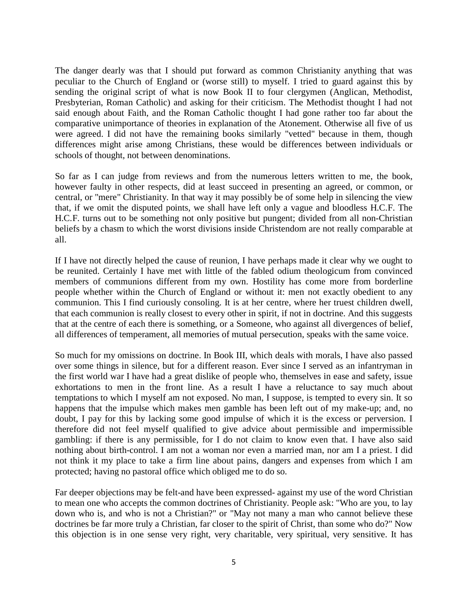The danger dearly was that I should put forward as common Christianity anything that was peculiar to the Church of England or (worse still) to myself. I tried to guard against this by sending the original script of what is now Book II to four clergymen (Anglican, Methodist, Presbyterian, Roman Catholic) and asking for their criticism. The Methodist thought I had not said enough about Faith, and the Roman Catholic thought I had gone rather too far about the comparative unimportance of theories in explanation of the Atonement. Otherwise all five of us were agreed. I did not have the remaining books similarly "vetted" because in them, though differences might arise among Christians, these would be differences between individuals or schools of thought, not between denominations.

So far as I can judge from reviews and from the numerous letters written to me, the book, however faulty in other respects, did at least succeed in presenting an agreed, or common, or central, or "mere" Christianity. In that way it may possibly be of some help in silencing the view that, if we omit the disputed points, we shall have left only a vague and bloodless H.C.F. The H.C.F. turns out to be something not only positive but pungent; divided from all non-Christian beliefs by a chasm to which the worst divisions inside Christendom are not really comparable at all.

If I have not directly helped the cause of reunion, I have perhaps made it clear why we ought to be reunited. Certainly I have met with little of the fabled odium theologicum from convinced members of communions different from my own. Hostility has come more from borderline people whether within the Church of England or without it: men not exactly obedient to any communion. This I find curiously consoling. It is at her centre, where her truest children dwell, that each communion is really closest to every other in spirit, if not in doctrine. And this suggests that at the centre of each there is something, or a Someone, who against all divergences of belief, all differences of temperament, all memories of mutual persecution, speaks with the same voice.

So much for my omissions on doctrine. In Book III, which deals with morals, I have also passed over some things in silence, but for a different reason. Ever since I served as an infantryman in the first world war I have had a great dislike of people who, themselves in ease and safety, issue exhortations to men in the front line. As a result I have a reluctance to say much about temptations to which I myself am not exposed. No man, I suppose, is tempted to every sin. It so happens that the impulse which makes men gamble has been left out of my make-up; and, no doubt, I pay for this by lacking some good impulse of which it is the excess or perversion. I therefore did not feel myself qualified to give advice about permissible and impermissible gambling: if there is any permissible, for I do not claim to know even that. I have also said nothing about birth-control. I am not a woman nor even a married man, nor am I a priest. I did not think it my place to take a firm line about pains, dangers and expenses from which I am protected; having no pastoral office which obliged me to do so.

Far deeper objections may be felt-and have been expressed- against my use of the word Christian to mean one who accepts the common doctrines of Christianity. People ask: "Who are you, to lay down who is, and who is not a Christian?" or "May not many a man who cannot believe these doctrines be far more truly a Christian, far closer to the spirit of Christ, than some who do?" Now this objection is in one sense very right, very charitable, very spiritual, very sensitive. It has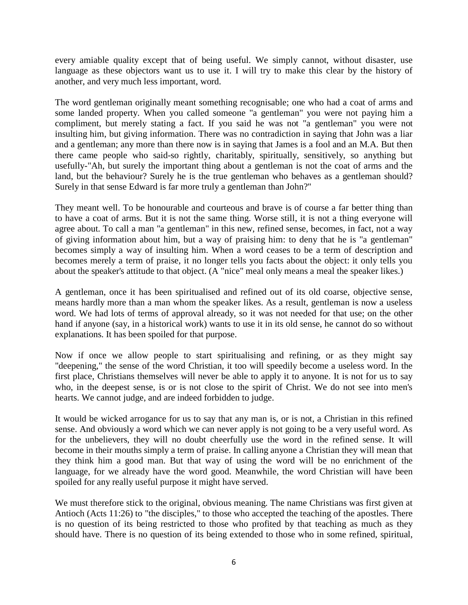every amiable quality except that of being useful. We simply cannot, without disaster, use language as these objectors want us to use it. I will try to make this clear by the history of another, and very much less important, word.

The word gentleman originally meant something recognisable; one who had a coat of arms and some landed property. When you called someone "a gentleman" you were not paying him a compliment, but merely stating a fact. If you said he was not "a gentleman" you were not insulting him, but giving information. There was no contradiction in saying that John was a liar and a gentleman; any more than there now is in saying that James is a fool and an M.A. But then there came people who said-so rightly, charitably, spiritually, sensitively, so anything but usefully-"Ah, but surely the important thing about a gentleman is not the coat of arms and the land, but the behaviour? Surely he is the true gentleman who behaves as a gentleman should? Surely in that sense Edward is far more truly a gentleman than John?"

They meant well. To be honourable and courteous and brave is of course a far better thing than to have a coat of arms. But it is not the same thing. Worse still, it is not a thing everyone will agree about. To call a man "a gentleman" in this new, refined sense, becomes, in fact, not a way of giving information about him, but a way of praising him: to deny that he is "a gentleman" becomes simply a way of insulting him. When a word ceases to be a term of description and becomes merely a term of praise, it no longer tells you facts about the object: it only tells you about the speaker's attitude to that object. (A "nice" meal only means a meal the speaker likes.)

A gentleman, once it has been spiritualised and refined out of its old coarse, objective sense, means hardly more than a man whom the speaker likes. As a result, gentleman is now a useless word. We had lots of terms of approval already, so it was not needed for that use; on the other hand if anyone (say, in a historical work) wants to use it in its old sense, he cannot do so without explanations. It has been spoiled for that purpose.

Now if once we allow people to start spiritualising and refining, or as they might say "deepening," the sense of the word Christian, it too will speedily become a useless word. In the first place, Christians themselves will never be able to apply it to anyone. It is not for us to say who, in the deepest sense, is or is not close to the spirit of Christ. We do not see into men's hearts. We cannot judge, and are indeed forbidden to judge.

It would be wicked arrogance for us to say that any man is, or is not, a Christian in this refined sense. And obviously a word which we can never apply is not going to be a very useful word. As for the unbelievers, they will no doubt cheerfully use the word in the refined sense. It will become in their mouths simply a term of praise. In calling anyone a Christian they will mean that they think him a good man. But that way of using the word will be no enrichment of the language, for we already have the word good. Meanwhile, the word Christian will have been spoiled for any really useful purpose it might have served.

We must therefore stick to the original, obvious meaning. The name Christians was first given at Antioch (Acts 11:26) to "the disciples," to those who accepted the teaching of the apostles. There is no question of its being restricted to those who profited by that teaching as much as they should have. There is no question of its being extended to those who in some refined, spiritual,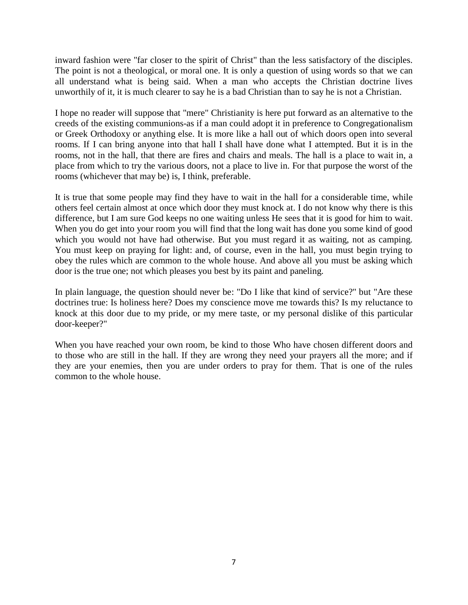inward fashion were "far closer to the spirit of Christ" than the less satisfactory of the disciples. The point is not a theological, or moral one. It is only a question of using words so that we can all understand what is being said. When a man who accepts the Christian doctrine lives unworthily of it, it is much clearer to say he is a bad Christian than to say he is not a Christian.

I hope no reader will suppose that "mere" Christianity is here put forward as an alternative to the creeds of the existing communions-as if a man could adopt it in preference to Congregationalism or Greek Orthodoxy or anything else. It is more like a hall out of which doors open into several rooms. If I can bring anyone into that hall I shall have done what I attempted. But it is in the rooms, not in the hall, that there are fires and chairs and meals. The hall is a place to wait in, a place from which to try the various doors, not a place to live in. For that purpose the worst of the rooms (whichever that may be) is, I think, preferable.

It is true that some people may find they have to wait in the hall for a considerable time, while others feel certain almost at once which door they must knock at. I do not know why there is this difference, but I am sure God keeps no one waiting unless He sees that it is good for him to wait. When you do get into your room you will find that the long wait has done you some kind of good which you would not have had otherwise. But you must regard it as waiting, not as camping. You must keep on praying for light: and, of course, even in the hall, you must begin trying to obey the rules which are common to the whole house. And above all you must be asking which door is the true one; not which pleases you best by its paint and paneling.

In plain language, the question should never be: "Do I like that kind of service?" but "Are these doctrines true: Is holiness here? Does my conscience move me towards this? Is my reluctance to knock at this door due to my pride, or my mere taste, or my personal dislike of this particular door-keeper?"

When you have reached your own room, be kind to those Who have chosen different doors and to those who are still in the hall. If they are wrong they need your prayers all the more; and if they are your enemies, then you are under orders to pray for them. That is one of the rules common to the whole house.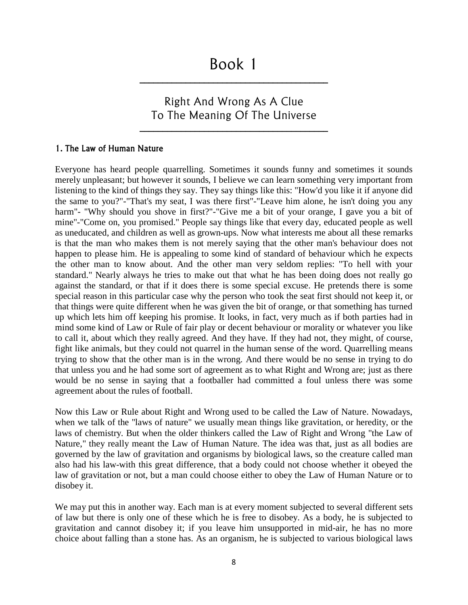## Book 1 \_\_\_\_\_\_\_\_\_\_\_\_\_\_\_\_\_\_\_\_\_\_\_\_\_\_\_\_\_\_\_\_\_\_\_\_\_\_\_\_\_

## Right And Wrong As A Clue To The Meaning Of The Universe

\_\_\_\_\_\_\_\_\_\_\_\_\_\_\_\_\_\_\_\_\_\_\_\_\_\_\_\_\_\_\_\_\_\_\_\_\_\_\_\_\_

#### 1. The Law of Human Nature

Everyone has heard people quarrelling. Sometimes it sounds funny and sometimes it sounds merely unpleasant; but however it sounds, I believe we can learn something very important from listening to the kind of things they say. They say things like this: "How'd you like it if anyone did the same to you?"-"That's my seat, I was there first"-"Leave him alone, he isn't doing you any harm"- "Why should you shove in first?"-"Give me a bit of your orange, I gave you a bit of mine"-"Come on, you promised." People say things like that every day, educated people as well as uneducated, and children as well as grown-ups. Now what interests me about all these remarks is that the man who makes them is not merely saying that the other man's behaviour does not happen to please him. He is appealing to some kind of standard of behaviour which he expects the other man to know about. And the other man very seldom replies: "To hell with your standard." Nearly always he tries to make out that what he has been doing does not really go against the standard, or that if it does there is some special excuse. He pretends there is some special reason in this particular case why the person who took the seat first should not keep it, or that things were quite different when he was given the bit of orange, or that something has turned up which lets him off keeping his promise. It looks, in fact, very much as if both parties had in mind some kind of Law or Rule of fair play or decent behaviour or morality or whatever you like to call it, about which they really agreed. And they have. If they had not, they might, of course, fight like animals, but they could not quarrel in the human sense of the word. Quarrelling means trying to show that the other man is in the wrong. And there would be no sense in trying to do that unless you and he had some sort of agreement as to what Right and Wrong are; just as there would be no sense in saying that a footballer had committed a foul unless there was some agreement about the rules of football.

Now this Law or Rule about Right and Wrong used to be called the Law of Nature. Nowadays, when we talk of the "laws of nature" we usually mean things like gravitation, or heredity, or the laws of chemistry. But when the older thinkers called the Law of Right and Wrong "the Law of Nature," they really meant the Law of Human Nature. The idea was that, just as all bodies are governed by the law of gravitation and organisms by biological laws, so the creature called man also had his law-with this great difference, that a body could not choose whether it obeyed the law of gravitation or not, but a man could choose either to obey the Law of Human Nature or to disobey it.

We may put this in another way. Each man is at every moment subjected to several different sets of law but there is only one of these which he is free to disobey. As a body, he is subjected to gravitation and cannot disobey it; if you leave him unsupported in mid-air, he has no more choice about falling than a stone has. As an organism, he is subjected to various biological laws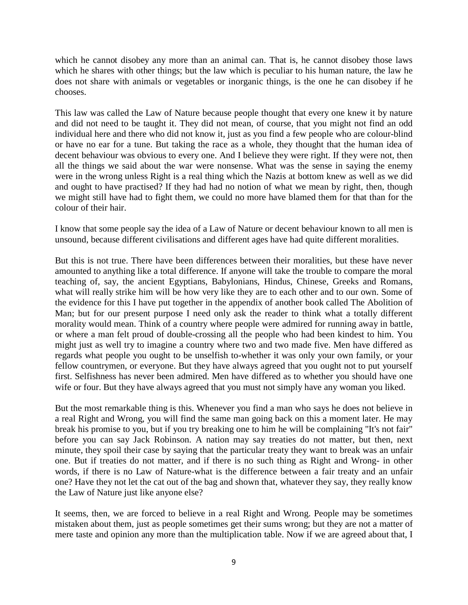which he cannot disobey any more than an animal can. That is, he cannot disobey those laws which he shares with other things; but the law which is peculiar to his human nature, the law he does not share with animals or vegetables or inorganic things, is the one he can disobey if he chooses.

This law was called the Law of Nature because people thought that every one knew it by nature and did not need to be taught it. They did not mean, of course, that you might not find an odd individual here and there who did not know it, just as you find a few people who are colour-blind or have no ear for a tune. But taking the race as a whole, they thought that the human idea of decent behaviour was obvious to every one. And I believe they were right. If they were not, then all the things we said about the war were nonsense. What was the sense in saying the enemy were in the wrong unless Right is a real thing which the Nazis at bottom knew as well as we did and ought to have practised? If they had had no notion of what we mean by right, then, though we might still have had to fight them, we could no more have blamed them for that than for the colour of their hair.

I know that some people say the idea of a Law of Nature or decent behaviour known to all men is unsound, because different civilisations and different ages have had quite different moralities.

But this is not true. There have been differences between their moralities, but these have never amounted to anything like a total difference. If anyone will take the trouble to compare the moral teaching of, say, the ancient Egyptians, Babylonians, Hindus, Chinese, Greeks and Romans, what will really strike him will be how very like they are to each other and to our own. Some of the evidence for this I have put together in the appendix of another book called The Abolition of Man; but for our present purpose I need only ask the reader to think what a totally different morality would mean. Think of a country where people were admired for running away in battle, or where a man felt proud of double-crossing all the people who had been kindest to him. You might just as well try to imagine a country where two and two made five. Men have differed as regards what people you ought to be unselfish to-whether it was only your own family, or your fellow countrymen, or everyone. But they have always agreed that you ought not to put yourself first. Selfishness has never been admired. Men have differed as to whether you should have one wife or four. But they have always agreed that you must not simply have any woman you liked.

But the most remarkable thing is this. Whenever you find a man who says he does not believe in a real Right and Wrong, you will find the same man going back on this a moment later. He may break his promise to you, but if you try breaking one to him he will be complaining "It's not fair" before you can say Jack Robinson. A nation may say treaties do not matter, but then, next minute, they spoil their case by saying that the particular treaty they want to break was an unfair one. But if treaties do not matter, and if there is no such thing as Right and Wrong- in other words, if there is no Law of Nature-what is the difference between a fair treaty and an unfair one? Have they not let the cat out of the bag and shown that, whatever they say, they really know the Law of Nature just like anyone else?

It seems, then, we are forced to believe in a real Right and Wrong. People may be sometimes mistaken about them, just as people sometimes get their sums wrong; but they are not a matter of mere taste and opinion any more than the multiplication table. Now if we are agreed about that, I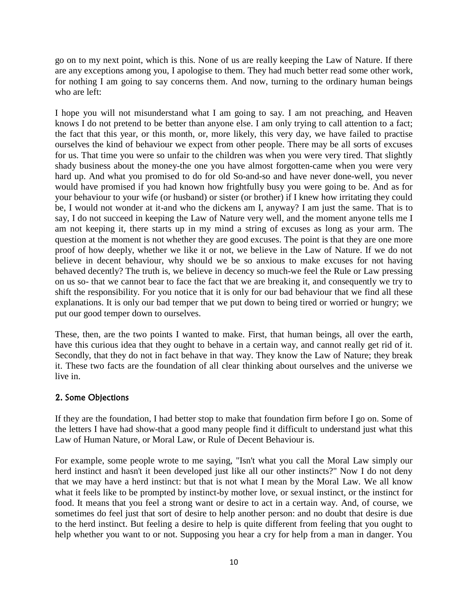go on to my next point, which is this. None of us are really keeping the Law of Nature. If there are any exceptions among you, I apologise to them. They had much better read some other work, for nothing I am going to say concerns them. And now, turning to the ordinary human beings who are left:

I hope you will not misunderstand what I am going to say. I am not preaching, and Heaven knows I do not pretend to be better than anyone else. I am only trying to call attention to a fact; the fact that this year, or this month, or, more likely, this very day, we have failed to practise ourselves the kind of behaviour we expect from other people. There may be all sorts of excuses for us. That time you were so unfair to the children was when you were very tired. That slightly shady business about the money-the one you have almost forgotten-came when you were very hard up. And what you promised to do for old So-and-so and have never done-well, you never would have promised if you had known how frightfully busy you were going to be. And as for your behaviour to your wife (or husband) or sister (or brother) if I knew how irritating they could be, I would not wonder at it-and who the dickens am I, anyway? I am just the same. That is to say, I do not succeed in keeping the Law of Nature very well, and the moment anyone tells me I am not keeping it, there starts up in my mind a string of excuses as long as your arm. The question at the moment is not whether they are good excuses. The point is that they are one more proof of how deeply, whether we like it or not, we believe in the Law of Nature. If we do not believe in decent behaviour, why should we be so anxious to make excuses for not having behaved decently? The truth is, we believe in decency so much-we feel the Rule or Law pressing on us so- that we cannot bear to face the fact that we are breaking it, and consequently we try to shift the responsibility. For you notice that it is only for our bad behaviour that we find all these explanations. It is only our bad temper that we put down to being tired or worried or hungry; we put our good temper down to ourselves.

These, then, are the two points I wanted to make. First, that human beings, all over the earth, have this curious idea that they ought to behave in a certain way, and cannot really get rid of it. Secondly, that they do not in fact behave in that way. They know the Law of Nature; they break it. These two facts are the foundation of all clear thinking about ourselves and the universe we live in.

## 2. Some Objections

If they are the foundation, I had better stop to make that foundation firm before I go on. Some of the letters I have had show-that a good many people find it difficult to understand just what this Law of Human Nature, or Moral Law, or Rule of Decent Behaviour is.

For example, some people wrote to me saying, "Isn't what you call the Moral Law simply our herd instinct and hasn't it been developed just like all our other instincts?" Now I do not deny that we may have a herd instinct: but that is not what I mean by the Moral Law. We all know what it feels like to be prompted by instinct-by mother love, or sexual instinct, or the instinct for food. It means that you feel a strong want or desire to act in a certain way. And, of course, we sometimes do feel just that sort of desire to help another person: and no doubt that desire is due to the herd instinct. But feeling a desire to help is quite different from feeling that you ought to help whether you want to or not. Supposing you hear a cry for help from a man in danger. You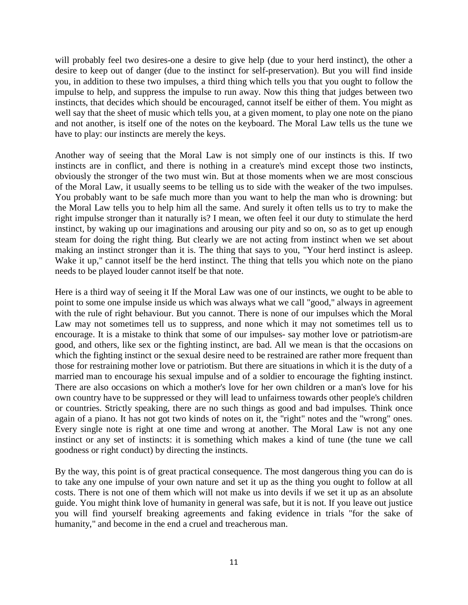will probably feel two desires-one a desire to give help (due to your herd instinct), the other a desire to keep out of danger (due to the instinct for self-preservation). But you will find inside you, in addition to these two impulses, a third thing which tells you that you ought to follow the impulse to help, and suppress the impulse to run away. Now this thing that judges between two instincts, that decides which should be encouraged, cannot itself be either of them. You might as well say that the sheet of music which tells you, at a given moment, to play one note on the piano and not another, is itself one of the notes on the keyboard. The Moral Law tells us the tune we have to play: our instincts are merely the keys.

Another way of seeing that the Moral Law is not simply one of our instincts is this. If two instincts are in conflict, and there is nothing in a creature's mind except those two instincts, obviously the stronger of the two must win. But at those moments when we are most conscious of the Moral Law, it usually seems to be telling us to side with the weaker of the two impulses. You probably want to be safe much more than you want to help the man who is drowning: but the Moral Law tells you to help him all the same. And surely it often tells us to try to make the right impulse stronger than it naturally is? I mean, we often feel it our duty to stimulate the herd instinct, by waking up our imaginations and arousing our pity and so on, so as to get up enough steam for doing the right thing. But clearly we are not acting from instinct when we set about making an instinct stronger than it is. The thing that says to you, "Your herd instinct is asleep. Wake it up," cannot itself be the herd instinct. The thing that tells you which note on the piano needs to be played louder cannot itself be that note.

Here is a third way of seeing it If the Moral Law was one of our instincts, we ought to be able to point to some one impulse inside us which was always what we call "good," always in agreement with the rule of right behaviour. But you cannot. There is none of our impulses which the Moral Law may not sometimes tell us to suppress, and none which it may not sometimes tell us to encourage. It is a mistake to think that some of our impulses- say mother love or patriotism-are good, and others, like sex or the fighting instinct, are bad. All we mean is that the occasions on which the fighting instinct or the sexual desire need to be restrained are rather more frequent than those for restraining mother love or patriotism. But there are situations in which it is the duty of a married man to encourage his sexual impulse and of a soldier to encourage the fighting instinct. There are also occasions on which a mother's love for her own children or a man's love for his own country have to be suppressed or they will lead to unfairness towards other people's children or countries. Strictly speaking, there are no such things as good and bad impulses. Think once again of a piano. It has not got two kinds of notes on it, the "right" notes and the "wrong" ones. Every single note is right at one time and wrong at another. The Moral Law is not any one instinct or any set of instincts: it is something which makes a kind of tune (the tune we call goodness or right conduct) by directing the instincts.

By the way, this point is of great practical consequence. The most dangerous thing you can do is to take any one impulse of your own nature and set it up as the thing you ought to follow at all costs. There is not one of them which will not make us into devils if we set it up as an absolute guide. You might think love of humanity in general was safe, but it is not. If you leave out justice you will find yourself breaking agreements and faking evidence in trials "for the sake of humanity," and become in the end a cruel and treacherous man.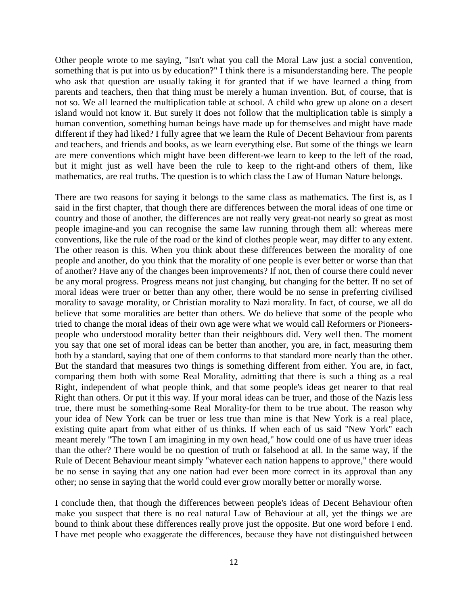Other people wrote to me saying, "Isn't what you call the Moral Law just a social convention, something that is put into us by education?" I think there is a misunderstanding here. The people who ask that question are usually taking it for granted that if we have learned a thing from parents and teachers, then that thing must be merely a human invention. But, of course, that is not so. We all learned the multiplication table at school. A child who grew up alone on a desert island would not know it. But surely it does not follow that the multiplication table is simply a human convention, something human beings have made up for themselves and might have made different if they had liked? I fully agree that we learn the Rule of Decent Behaviour from parents and teachers, and friends and books, as we learn everything else. But some of the things we learn are mere conventions which might have been different-we learn to keep to the left of the road, but it might just as well have been the rule to keep to the right-and others of them, like mathematics, are real truths. The question is to which class the Law of Human Nature belongs.

There are two reasons for saying it belongs to the same class as mathematics. The first is, as I said in the first chapter, that though there are differences between the moral ideas of one time or country and those of another, the differences are not really very great-not nearly so great as most people imagine-and you can recognise the same law running through them all: whereas mere conventions, like the rule of the road or the kind of clothes people wear, may differ to any extent. The other reason is this. When you think about these differences between the morality of one people and another, do you think that the morality of one people is ever better or worse than that of another? Have any of the changes been improvements? If not, then of course there could never be any moral progress. Progress means not just changing, but changing for the better. If no set of moral ideas were truer or better than any other, there would be no sense in preferring civilised morality to savage morality, or Christian morality to Nazi morality. In fact, of course, we all do believe that some moralities are better than others. We do believe that some of the people who tried to change the moral ideas of their own age were what we would call Reformers or Pioneerspeople who understood morality better than their neighbours did. Very well then. The moment you say that one set of moral ideas can be better than another, you are, in fact, measuring them both by a standard, saying that one of them conforms to that standard more nearly than the other. But the standard that measures two things is something different from either. You are, in fact, comparing them both with some Real Morality, admitting that there is such a thing as a real Right, independent of what people think, and that some people's ideas get nearer to that real Right than others. Or put it this way. If your moral ideas can be truer, and those of the Nazis less true, there must be something-some Real Morality-for them to be true about. The reason why your idea of New York can be truer or less true than mine is that New York is a real place, existing quite apart from what either of us thinks. If when each of us said "New York" each meant merely "The town I am imagining in my own head," how could one of us have truer ideas than the other? There would be no question of truth or falsehood at all. In the same way, if the Rule of Decent Behaviour meant simply "whatever each nation happens to approve," there would be no sense in saying that any one nation had ever been more correct in its approval than any other; no sense in saying that the world could ever grow morally better or morally worse.

I conclude then, that though the differences between people's ideas of Decent Behaviour often make you suspect that there is no real natural Law of Behaviour at all, yet the things we are bound to think about these differences really prove just the opposite. But one word before I end. I have met people who exaggerate the differences, because they have not distinguished between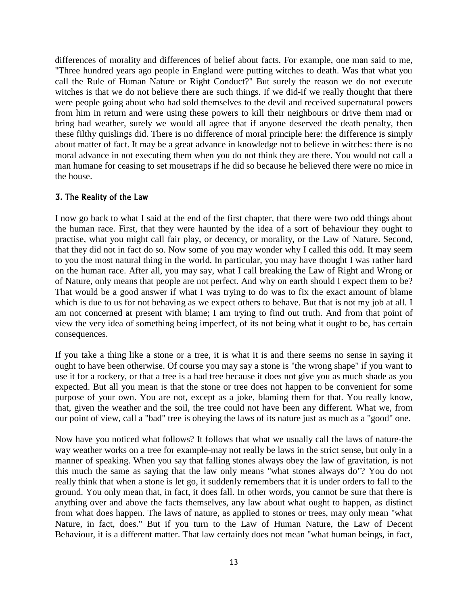differences of morality and differences of belief about facts. For example, one man said to me, "Three hundred years ago people in England were putting witches to death. Was that what you call the Rule of Human Nature or Right Conduct?" But surely the reason we do not execute witches is that we do not believe there are such things. If we did-if we really thought that there were people going about who had sold themselves to the devil and received supernatural powers from him in return and were using these powers to kill their neighbours or drive them mad or bring bad weather, surely we would all agree that if anyone deserved the death penalty, then these filthy quislings did. There is no difference of moral principle here: the difference is simply about matter of fact. It may be a great advance in knowledge not to believe in witches: there is no moral advance in not executing them when you do not think they are there. You would not call a man humane for ceasing to set mousetraps if he did so because he believed there were no mice in the house.

#### 3. The Reality of the Law

I now go back to what I said at the end of the first chapter, that there were two odd things about the human race. First, that they were haunted by the idea of a sort of behaviour they ought to practise, what you might call fair play, or decency, or morality, or the Law of Nature. Second, that they did not in fact do so. Now some of you may wonder why I called this odd. It may seem to you the most natural thing in the world. In particular, you may have thought I was rather hard on the human race. After all, you may say, what I call breaking the Law of Right and Wrong or of Nature, only means that people are not perfect. And why on earth should I expect them to be? That would be a good answer if what I was trying to do was to fix the exact amount of blame which is due to us for not behaving as we expect others to behave. But that is not my job at all. I am not concerned at present with blame; I am trying to find out truth. And from that point of view the very idea of something being imperfect, of its not being what it ought to be, has certain consequences.

If you take a thing like a stone or a tree, it is what it is and there seems no sense in saying it ought to have been otherwise. Of course you may say a stone is "the wrong shape" if you want to use it for a rockery, or that a tree is a bad tree because it does not give you as much shade as you expected. But all you mean is that the stone or tree does not happen to be convenient for some purpose of your own. You are not, except as a joke, blaming them for that. You really know, that, given the weather and the soil, the tree could not have been any different. What we, from our point of view, call a "bad" tree is obeying the laws of its nature just as much as a "good" one.

Now have you noticed what follows? It follows that what we usually call the laws of nature-the way weather works on a tree for example-may not really be laws in the strict sense, but only in a manner of speaking. When you say that falling stones always obey the law of gravitation, is not this much the same as saying that the law only means "what stones always do"? You do not really think that when a stone is let go, it suddenly remembers that it is under orders to fall to the ground. You only mean that, in fact, it does fall. In other words, you cannot be sure that there is anything over and above the facts themselves, any law about what ought to happen, as distinct from what does happen. The laws of nature, as applied to stones or trees, may only mean "what Nature, in fact, does." But if you turn to the Law of Human Nature, the Law of Decent Behaviour, it is a different matter. That law certainly does not mean "what human beings, in fact,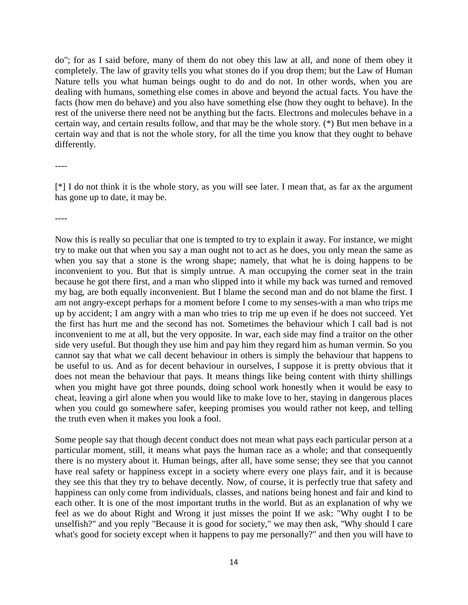do"; for as I said before, many of them do not obey this law at all, and none of them obey it completely. The law of gravity tells you what stones do if you drop them; but the Law of Human Nature tells you what human beings ought to do and do not. In other words, when you are dealing with humans, something else comes in above and beyond the actual facts. You have the facts (how men do behave) and you also have something else (how they ought to behave). In the rest of the universe there need not be anything but the facts. Electrons and molecules behave in a certain way, and certain results follow, and that may be the whole story. (\*) But men behave in a certain way and that is not the whole story, for all the time you know that they ought to behave differently.

----

[\*] I do not think it is the whole story, as you will see later. I mean that, as far ax the argument has gone up to date, it may be.

----

Now this is really so peculiar that one is tempted to try to explain it away. For instance, we might try to make out that when you say a man ought not to act as he does, you only mean the same as when you say that a stone is the wrong shape; namely, that what he is doing happens to be inconvenient to you. But that is simply untrue. A man occupying the corner seat in the train because he got there first, and a man who slipped into it while my back was turned and removed my bag, are both equally inconvenient. But I blame the second man and do not blame the first. I am not angry-except perhaps for a moment before I come to my senses-with a man who trips me up by accident; I am angry with a man who tries to trip me up even if he does not succeed. Yet the first has hurt me and the second has not. Sometimes the behaviour which I call bad is not inconvenient to me at all, but the very opposite. In war, each side may find a traitor on the other side very useful. But though they use him and pay him they regard him as human vermin. So you cannot say that what we call decent behaviour in others is simply the behaviour that happens to be useful to us. And as for decent behaviour in ourselves, I suppose it is pretty obvious that it does not mean the behaviour that pays. It means things like being content with thirty shillings when you might have got three pounds, doing school work honestly when it would be easy to cheat, leaving a girl alone when you would like to make love to her, staying in dangerous places when you could go somewhere safer, keeping promises you would rather not keep, and telling the truth even when it makes you look a fool.

Some people say that though decent conduct does not mean what pays each particular person at a particular moment, still, it means what pays the human race as a whole; and that consequently there is no mystery about it. Human beings, after all, have some sense; they see that you cannot have real safety or happiness except in a society where every one plays fair, and it is because they see this that they try to behave decently. Now, of course, it is perfectly true that safety and happiness can only come from individuals, classes, and nations being honest and fair and kind to each other. It is one of the most important truths in the world. But as an explanation of why we feel as we do about Right and Wrong it just misses the point If we ask: "Why ought I to be unselfish?" and you reply "Because it is good for society," we may then ask, "Why should I care what's good for society except when it happens to pay me personally?" and then you will have to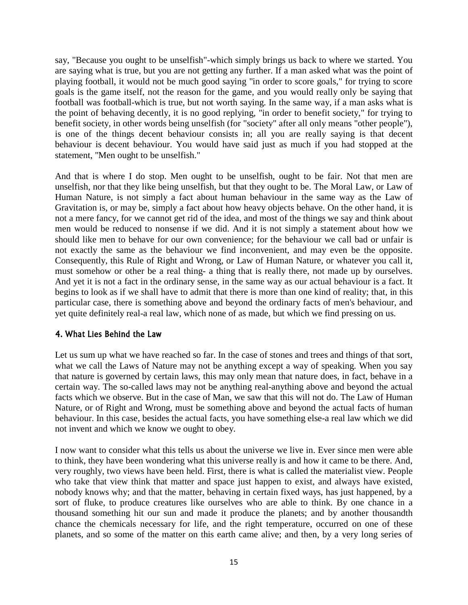say, "Because you ought to be unselfish"-which simply brings us back to where we started. You are saying what is true, but you are not getting any further. If a man asked what was the point of playing football, it would not be much good saying "in order to score goals," for trying to score goals is the game itself, not the reason for the game, and you would really only be saying that football was football-which is true, but not worth saying. In the same way, if a man asks what is the point of behaving decently, it is no good replying, "in order to benefit society," for trying to benefit society, in other words being unselfish (for "society" after all only means "other people"), is one of the things decent behaviour consists in; all you are really saying is that decent behaviour is decent behaviour. You would have said just as much if you had stopped at the statement, "Men ought to be unselfish."

And that is where I do stop. Men ought to be unselfish, ought to be fair. Not that men are unselfish, nor that they like being unselfish, but that they ought to be. The Moral Law, or Law of Human Nature, is not simply a fact about human behaviour in the same way as the Law of Gravitation is, or may be, simply a fact about how heavy objects behave. On the other hand, it is not a mere fancy, for we cannot get rid of the idea, and most of the things we say and think about men would be reduced to nonsense if we did. And it is not simply a statement about how we should like men to behave for our own convenience; for the behaviour we call bad or unfair is not exactly the same as the behaviour we find inconvenient, and may even be the opposite. Consequently, this Rule of Right and Wrong, or Law of Human Nature, or whatever you call it, must somehow or other be a real thing- a thing that is really there, not made up by ourselves. And yet it is not a fact in the ordinary sense, in the same way as our actual behaviour is a fact. It begins to look as if we shall have to admit that there is more than one kind of reality; that, in this particular case, there is something above and beyond the ordinary facts of men's behaviour, and yet quite definitely real-a real law, which none of as made, but which we find pressing on us.

#### 4. What Lies Behind the Law

Let us sum up what we have reached so far. In the case of stones and trees and things of that sort, what we call the Laws of Nature may not be anything except a way of speaking. When you say that nature is governed by certain laws, this may only mean that nature does, in fact, behave in a certain way. The so-called laws may not be anything real-anything above and beyond the actual facts which we observe. But in the case of Man, we saw that this will not do. The Law of Human Nature, or of Right and Wrong, must be something above and beyond the actual facts of human behaviour. In this case, besides the actual facts, you have something else-a real law which we did not invent and which we know we ought to obey.

I now want to consider what this tells us about the universe we live in. Ever since men were able to think, they have been wondering what this universe really is and how it came to be there. And, very roughly, two views have been held. First, there is what is called the materialist view. People who take that view think that matter and space just happen to exist, and always have existed, nobody knows why; and that the matter, behaving in certain fixed ways, has just happened, by a sort of fluke, to produce creatures like ourselves who are able to think. By one chance in a thousand something hit our sun and made it produce the planets; and by another thousandth chance the chemicals necessary for life, and the right temperature, occurred on one of these planets, and so some of the matter on this earth came alive; and then, by a very long series of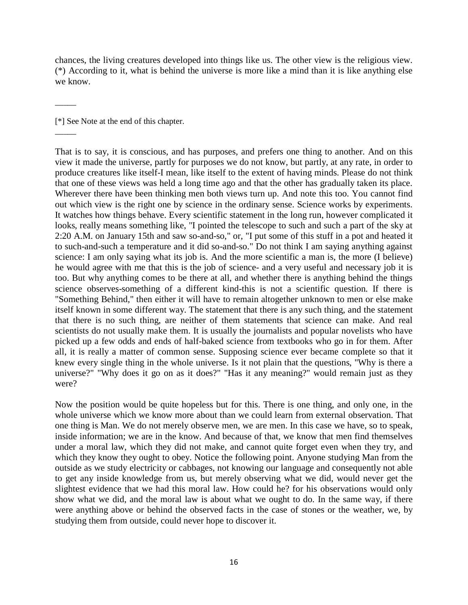chances, the living creatures developed into things like us. The other view is the religious view. (\*) According to it, what is behind the universe is more like a mind than it is like anything else we know.

[\*] See Note at the end of this chapter.

 $\overline{\phantom{a}}$ 

 $\overline{\phantom{a}}$ 

That is to say, it is conscious, and has purposes, and prefers one thing to another. And on this view it made the universe, partly for purposes we do not know, but partly, at any rate, in order to produce creatures like itself-I mean, like itself to the extent of having minds. Please do not think that one of these views was held a long time ago and that the other has gradually taken its place. Wherever there have been thinking men both views turn up. And note this too. You cannot find out which view is the right one by science in the ordinary sense. Science works by experiments. It watches how things behave. Every scientific statement in the long run, however complicated it looks, really means something like, "I pointed the telescope to such and such a part of the sky at 2:20 A.M. on January 15th and saw so-and-so," or, "I put some of this stuff in a pot and heated it to such-and-such a temperature and it did so-and-so." Do not think I am saying anything against science: I am only saying what its job is. And the more scientific a man is, the more (I believe) he would agree with me that this is the job of science- and a very useful and necessary job it is too. But why anything comes to be there at all, and whether there is anything behind the things science observes-something of a different kind-this is not a scientific question. If there is "Something Behind," then either it will have to remain altogether unknown to men or else make itself known in some different way. The statement that there is any such thing, and the statement that there is no such thing, are neither of them statements that science can make. And real scientists do not usually make them. It is usually the journalists and popular novelists who have picked up a few odds and ends of half-baked science from textbooks who go in for them. After all, it is really a matter of common sense. Supposing science ever became complete so that it knew every single thing in the whole universe. Is it not plain that the questions, "Why is there a universe?" "Why does it go on as it does?" "Has it any meaning?" would remain just as they were?

Now the position would be quite hopeless but for this. There is one thing, and only one, in the whole universe which we know more about than we could learn from external observation. That one thing is Man. We do not merely observe men, we are men. In this case we have, so to speak, inside information; we are in the know. And because of that, we know that men find themselves under a moral law, which they did not make, and cannot quite forget even when they try, and which they know they ought to obey. Notice the following point. Anyone studying Man from the outside as we study electricity or cabbages, not knowing our language and consequently not able to get any inside knowledge from us, but merely observing what we did, would never get the slightest evidence that we had this moral law. How could he? for his observations would only show what we did, and the moral law is about what we ought to do. In the same way, if there were anything above or behind the observed facts in the case of stones or the weather, we, by studying them from outside, could never hope to discover it.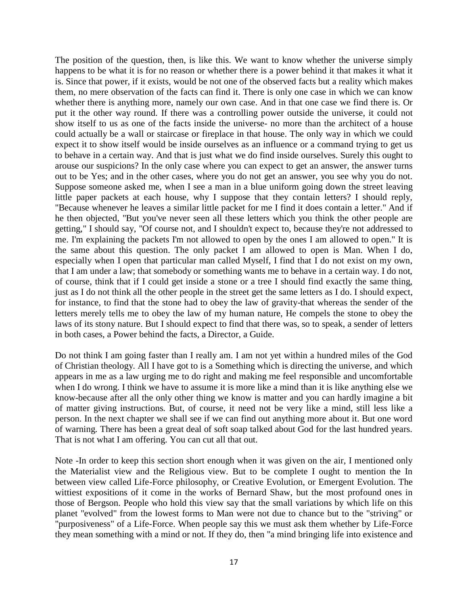The position of the question, then, is like this. We want to know whether the universe simply happens to be what it is for no reason or whether there is a power behind it that makes it what it is. Since that power, if it exists, would be not one of the observed facts but a reality which makes them, no mere observation of the facts can find it. There is only one case in which we can know whether there is anything more, namely our own case. And in that one case we find there is. Or put it the other way round. If there was a controlling power outside the universe, it could not show itself to us as one of the facts inside the universe- no more than the architect of a house could actually be a wall or staircase or fireplace in that house. The only way in which we could expect it to show itself would be inside ourselves as an influence or a command trying to get us to behave in a certain way. And that is just what we do find inside ourselves. Surely this ought to arouse our suspicions? In the only case where you can expect to get an answer, the answer turns out to be Yes; and in the other cases, where you do not get an answer, you see why you do not. Suppose someone asked me, when I see a man in a blue uniform going down the street leaving little paper packets at each house, why I suppose that they contain letters? I should reply, "Because whenever he leaves a similar little packet for me I find it does contain a letter." And if he then objected, "But you've never seen all these letters which you think the other people are getting," I should say, "Of course not, and I shouldn't expect to, because they're not addressed to me. I'm explaining the packets I'm not allowed to open by the ones I am allowed to open." It is the same about this question. The only packet I am allowed to open is Man. When I do, especially when I open that particular man called Myself, I find that I do not exist on my own, that I am under a law; that somebody or something wants me to behave in a certain way. I do not, of course, think that if I could get inside a stone or a tree I should find exactly the same thing, just as I do not think all the other people in the street get the same letters as I do. I should expect, for instance, to find that the stone had to obey the law of gravity-that whereas the sender of the letters merely tells me to obey the law of my human nature, He compels the stone to obey the laws of its stony nature. But I should expect to find that there was, so to speak, a sender of letters in both cases, a Power behind the facts, a Director, a Guide.

Do not think I am going faster than I really am. I am not yet within a hundred miles of the God of Christian theology. All I have got to is a Something which is directing the universe, and which appears in me as a law urging me to do right and making me feel responsible and uncomfortable when I do wrong. I think we have to assume it is more like a mind than it is like anything else we know-because after all the only other thing we know is matter and you can hardly imagine a bit of matter giving instructions. But, of course, it need not be very like a mind, still less like a person. In the next chapter we shall see if we can find out anything more about it. But one word of warning. There has been a great deal of soft soap talked about God for the last hundred years. That is not what I am offering. You can cut all that out.

Note -In order to keep this section short enough when it was given on the air, I mentioned only the Materialist view and the Religious view. But to be complete I ought to mention the In between view called Life-Force philosophy, or Creative Evolution, or Emergent Evolution. The wittiest expositions of it come in the works of Bernard Shaw, but the most profound ones in those of Bergson. People who hold this view say that the small variations by which life on this planet "evolved" from the lowest forms to Man were not due to chance but to the "striving" or "purposiveness" of a Life-Force. When people say this we must ask them whether by Life-Force they mean something with a mind or not. If they do, then "a mind bringing life into existence and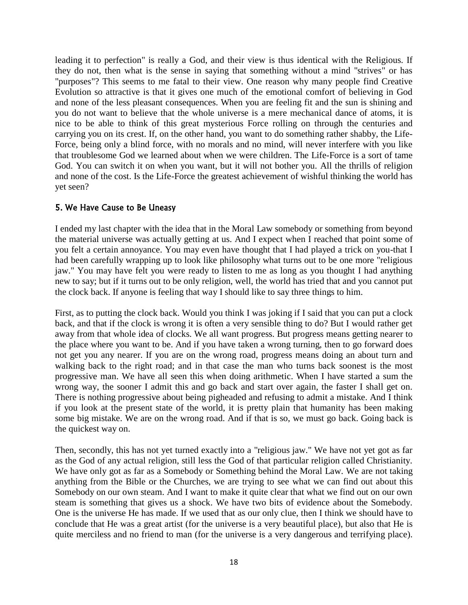leading it to perfection" is really a God, and their view is thus identical with the Religious. If they do not, then what is the sense in saying that something without a mind "strives" or has "purposes"? This seems to me fatal to their view. One reason why many people find Creative Evolution so attractive is that it gives one much of the emotional comfort of believing in God and none of the less pleasant consequences. When you are feeling fit and the sun is shining and you do not want to believe that the whole universe is a mere mechanical dance of atoms, it is nice to be able to think of this great mysterious Force rolling on through the centuries and carrying you on its crest. If, on the other hand, you want to do something rather shabby, the Life-Force, being only a blind force, with no morals and no mind, will never interfere with you like that troublesome God we learned about when we were children. The Life-Force is a sort of tame God. You can switch it on when you want, but it will not bother you. All the thrills of religion and none of the cost. Is the Life-Force the greatest achievement of wishful thinking the world has yet seen?

## 5. We Have Cause to Be Uneasy

I ended my last chapter with the idea that in the Moral Law somebody or something from beyond the material universe was actually getting at us. And I expect when I reached that point some of you felt a certain annoyance. You may even have thought that I had played a trick on you-that I had been carefully wrapping up to look like philosophy what turns out to be one more "religious jaw." You may have felt you were ready to listen to me as long as you thought I had anything new to say; but if it turns out to be only religion, well, the world has tried that and you cannot put the clock back. If anyone is feeling that way I should like to say three things to him.

First, as to putting the clock back. Would you think I was joking if I said that you can put a clock back, and that if the clock is wrong it is often a very sensible thing to do? But I would rather get away from that whole idea of clocks. We all want progress. But progress means getting nearer to the place where you want to be. And if you have taken a wrong turning, then to go forward does not get you any nearer. If you are on the wrong road, progress means doing an about turn and walking back to the right road; and in that case the man who turns back soonest is the most progressive man. We have all seen this when doing arithmetic. When I have started a sum the wrong way, the sooner I admit this and go back and start over again, the faster I shall get on. There is nothing progressive about being pigheaded and refusing to admit a mistake. And I think if you look at the present state of the world, it is pretty plain that humanity has been making some big mistake. We are on the wrong road. And if that is so, we must go back. Going back is the quickest way on.

Then, secondly, this has not yet turned exactly into a "religious jaw." We have not yet got as far as the God of any actual religion, still less the God of that particular religion called Christianity. We have only got as far as a Somebody or Something behind the Moral Law. We are not taking anything from the Bible or the Churches, we are trying to see what we can find out about this Somebody on our own steam. And I want to make it quite clear that what we find out on our own steam is something that gives us a shock. We have two bits of evidence about the Somebody. One is the universe He has made. If we used that as our only clue, then I think we should have to conclude that He was a great artist (for the universe is a very beautiful place), but also that He is quite merciless and no friend to man (for the universe is a very dangerous and terrifying place).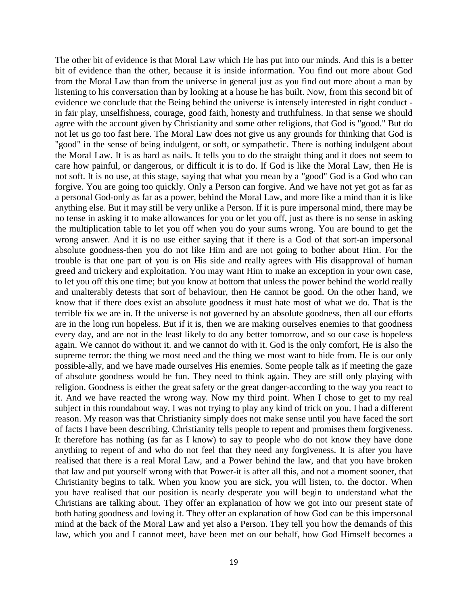The other bit of evidence is that Moral Law which He has put into our minds. And this is a better bit of evidence than the other, because it is inside information. You find out more about God from the Moral Law than from the universe in general just as you find out more about a man by listening to his conversation than by looking at a house he has built. Now, from this second bit of evidence we conclude that the Being behind the universe is intensely interested in right conduct in fair play, unselfishness, courage, good faith, honesty and truthfulness. In that sense we should agree with the account given by Christianity and some other religions, that God is "good." But do not let us go too fast here. The Moral Law does not give us any grounds for thinking that God is "good" in the sense of being indulgent, or soft, or sympathetic. There is nothing indulgent about the Moral Law. It is as hard as nails. It tells you to do the straight thing and it does not seem to care how painful, or dangerous, or difficult it is to do. If God is like the Moral Law, then He is not soft. It is no use, at this stage, saying that what you mean by a "good" God is a God who can forgive. You are going too quickly. Only a Person can forgive. And we have not yet got as far as a personal God-only as far as a power, behind the Moral Law, and more like a mind than it is like anything else. But it may still be very unlike a Person. If it is pure impersonal mind, there may be no tense in asking it to make allowances for you or let you off, just as there is no sense in asking the multiplication table to let you off when you do your sums wrong. You are bound to get the wrong answer. And it is no use either saying that if there is a God of that sort-an impersonal absolute goodness-then you do not like Him and are not going to bother about Him. For the trouble is that one part of you is on His side and really agrees with His disapproval of human greed and trickery and exploitation. You may want Him to make an exception in your own case, to let you off this one time; but you know at bottom that unless the power behind the world really and unalterably detests that sort of behaviour, then He cannot be good. On the other hand, we know that if there does exist an absolute goodness it must hate most of what we do. That is the terrible fix we are in. If the universe is not governed by an absolute goodness, then all our efforts are in the long run hopeless. But if it is, then we are making ourselves enemies to that goodness every day, and are not in the least likely to do any better tomorrow, and so our case is hopeless again. We cannot do without it. and we cannot do with it. God is the only comfort, He is also the supreme terror: the thing we most need and the thing we most want to hide from. He is our only possible-ally, and we have made ourselves His enemies. Some people talk as if meeting the gaze of absolute goodness would be fun. They need to think again. They are still only playing with religion. Goodness is either the great safety or the great danger-according to the way you react to it. And we have reacted the wrong way. Now my third point. When I chose to get to my real subject in this roundabout way, I was not trying to play any kind of trick on you. I had a different reason. My reason was that Christianity simply does not make sense until you have faced the sort of facts I have been describing. Christianity tells people to repent and promises them forgiveness. It therefore has nothing (as far as I know) to say to people who do not know they have done anything to repent of and who do not feel that they need any forgiveness. It is after you have realised that there is a real Moral Law, and a Power behind the law, and that you have broken that law and put yourself wrong with that Power-it is after all this, and not a moment sooner, that Christianity begins to talk. When you know you are sick, you will listen, to. the doctor. When you have realised that our position is nearly desperate you will begin to understand what the Christians are talking about. They offer an explanation of how we got into our present state of both hating goodness and loving it. They offer an explanation of how God can be this impersonal mind at the back of the Moral Law and yet also a Person. They tell you how the demands of this law, which you and I cannot meet, have been met on our behalf, how God Himself becomes a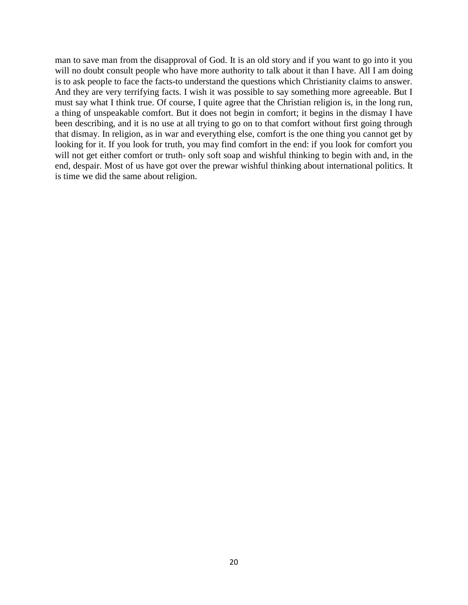man to save man from the disapproval of God. It is an old story and if you want to go into it you will no doubt consult people who have more authority to talk about it than I have. All I am doing is to ask people to face the facts-to understand the questions which Christianity claims to answer. And they are very terrifying facts. I wish it was possible to say something more agreeable. But I must say what I think true. Of course, I quite agree that the Christian religion is, in the long run, a thing of unspeakable comfort. But it does not begin in comfort; it begins in the dismay I have been describing, and it is no use at all trying to go on to that comfort without first going through that dismay. In religion, as in war and everything else, comfort is the one thing you cannot get by looking for it. If you look for truth, you may find comfort in the end: if you look for comfort you will not get either comfort or truth- only soft soap and wishful thinking to begin with and, in the end, despair. Most of us have got over the prewar wishful thinking about international politics. It is time we did the same about religion.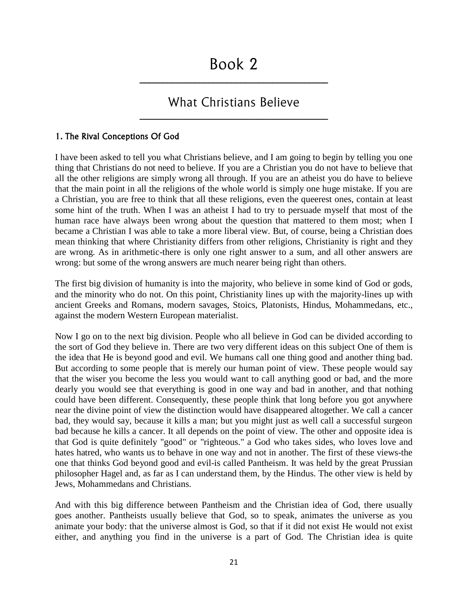## Book 2 \_\_\_\_\_\_\_\_\_\_\_\_\_\_\_\_\_\_\_\_\_\_\_\_\_\_\_\_\_\_\_\_\_\_\_\_\_\_\_\_\_

## What Christians Believe \_\_\_\_\_\_\_\_\_\_\_\_\_\_\_\_\_\_\_\_\_\_\_\_\_\_\_\_\_\_\_\_\_\_\_\_\_\_\_\_\_

#### 1. The Rival Conceptions Of God

I have been asked to tell you what Christians believe, and I am going to begin by telling you one thing that Christians do not need to believe. If you are a Christian you do not have to believe that all the other religions are simply wrong all through. If you are an atheist you do have to believe that the main point in all the religions of the whole world is simply one huge mistake. If you are a Christian, you are free to think that all these religions, even the queerest ones, contain at least some hint of the truth. When I was an atheist I had to try to persuade myself that most of the human race have always been wrong about the question that mattered to them most; when I became a Christian I was able to take a more liberal view. But, of course, being a Christian does mean thinking that where Christianity differs from other religions, Christianity is right and they are wrong. As in arithmetic-there is only one right answer to a sum, and all other answers are wrong: but some of the wrong answers are much nearer being right than others.

The first big division of humanity is into the majority, who believe in some kind of God or gods, and the minority who do not. On this point, Christianity lines up with the majority-lines up with ancient Greeks and Romans, modern savages, Stoics, Platonists, Hindus, Mohammedans, etc., against the modern Western European materialist.

Now I go on to the next big division. People who all believe in God can be divided according to the sort of God they believe in. There are two very different ideas on this subject One of them is the idea that He is beyond good and evil. We humans call one thing good and another thing bad. But according to some people that is merely our human point of view. These people would say that the wiser you become the less you would want to call anything good or bad, and the more dearly you would see that everything is good in one way and bad in another, and that nothing could have been different. Consequently, these people think that long before you got anywhere near the divine point of view the distinction would have disappeared altogether. We call a cancer bad, they would say, because it kills a man; but you might just as well call a successful surgeon bad because he kills a cancer. It all depends on the point of view. The other and opposite idea is that God is quite definitely "good" or "righteous." a God who takes sides, who loves love and hates hatred, who wants us to behave in one way and not in another. The first of these views-the one that thinks God beyond good and evil-is called Pantheism. It was held by the great Prussian philosopher Hagel and, as far as I can understand them, by the Hindus. The other view is held by Jews, Mohammedans and Christians.

And with this big difference between Pantheism and the Christian idea of God, there usually goes another. Pantheists usually believe that God, so to speak, animates the universe as you animate your body: that the universe almost is God, so that if it did not exist He would not exist either, and anything you find in the universe is a part of God. The Christian idea is quite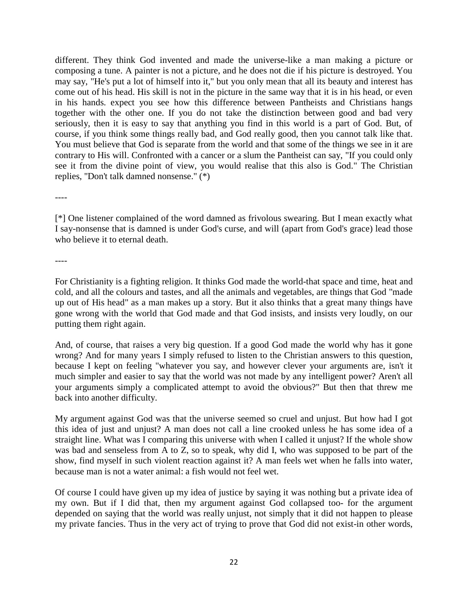different. They think God invented and made the universe-like a man making a picture or composing a tune. A painter is not a picture, and he does not die if his picture is destroyed. You may say, "He's put a lot of himself into it," but you only mean that all its beauty and interest has come out of his head. His skill is not in the picture in the same way that it is in his head, or even in his hands. expect you see how this difference between Pantheists and Christians hangs together with the other one. If you do not take the distinction between good and bad very seriously, then it is easy to say that anything you find in this world is a part of God. But, of course, if you think some things really bad, and God really good, then you cannot talk like that. You must believe that God is separate from the world and that some of the things we see in it are contrary to His will. Confronted with a cancer or a slum the Pantheist can say, "If you could only see it from the divine point of view, you would realise that this also is God." The Christian replies, "Don't talk damned nonsense." (\*)

----

[\*] One listener complained of the word damned as frivolous swearing. But I mean exactly what I say-nonsense that is damned is under God's curse, and will (apart from God's grace) lead those who believe it to eternal death.

----

For Christianity is a fighting religion. It thinks God made the world-that space and time, heat and cold, and all the colours and tastes, and all the animals and vegetables, are things that God "made up out of His head" as a man makes up a story. But it also thinks that a great many things have gone wrong with the world that God made and that God insists, and insists very loudly, on our putting them right again.

And, of course, that raises a very big question. If a good God made the world why has it gone wrong? And for many years I simply refused to listen to the Christian answers to this question, because I kept on feeling "whatever you say, and however clever your arguments are, isn't it much simpler and easier to say that the world was not made by any intelligent power? Aren't all your arguments simply a complicated attempt to avoid the obvious?" But then that threw me back into another difficulty.

My argument against God was that the universe seemed so cruel and unjust. But how had I got this idea of just and unjust? A man does not call a line crooked unless he has some idea of a straight line. What was I comparing this universe with when I called it unjust? If the whole show was bad and senseless from A to Z, so to speak, why did I, who was supposed to be part of the show, find myself in such violent reaction against it? A man feels wet when he falls into water, because man is not a water animal: a fish would not feel wet.

Of course I could have given up my idea of justice by saying it was nothing but a private idea of my own. But if I did that, then my argument against God collapsed too- for the argument depended on saying that the world was really unjust, not simply that it did not happen to please my private fancies. Thus in the very act of trying to prove that God did not exist-in other words,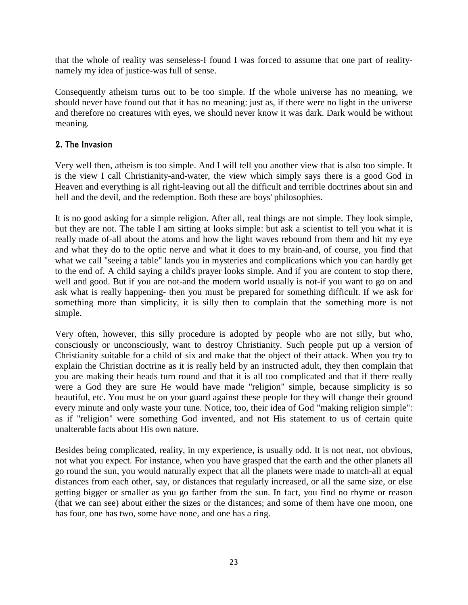that the whole of reality was senseless-I found I was forced to assume that one part of realitynamely my idea of justice-was full of sense.

Consequently atheism turns out to be too simple. If the whole universe has no meaning, we should never have found out that it has no meaning: just as, if there were no light in the universe and therefore no creatures with eyes, we should never know it was dark. Dark would be without meaning.

## 2. The Invasion

Very well then, atheism is too simple. And I will tell you another view that is also too simple. It is the view I call Christianity-and-water, the view which simply says there is a good God in Heaven and everything is all right-leaving out all the difficult and terrible doctrines about sin and hell and the devil, and the redemption. Both these are boys' philosophies.

It is no good asking for a simple religion. After all, real things are not simple. They look simple, but they are not. The table I am sitting at looks simple: but ask a scientist to tell you what it is really made of-all about the atoms and how the light waves rebound from them and hit my eye and what they do to the optic nerve and what it does to my brain-and, of course, you find that what we call "seeing a table" lands you in mysteries and complications which you can hardly get to the end of. A child saying a child's prayer looks simple. And if you are content to stop there, well and good. But if you are not-and the modern world usually is not-if you want to go on and ask what is really happening- then you must be prepared for something difficult. If we ask for something more than simplicity, it is silly then to complain that the something more is not simple.

Very often, however, this silly procedure is adopted by people who are not silly, but who, consciously or unconsciously, want to destroy Christianity. Such people put up a version of Christianity suitable for a child of six and make that the object of their attack. When you try to explain the Christian doctrine as it is really held by an instructed adult, they then complain that you are making their heads turn round and that it is all too complicated and that if there really were a God they are sure He would have made "religion" simple, because simplicity is so beautiful, etc. You must be on your guard against these people for they will change their ground every minute and only waste your tune. Notice, too, their idea of God "making religion simple": as if "religion" were something God invented, and not His statement to us of certain quite unalterable facts about His own nature.

Besides being complicated, reality, in my experience, is usually odd. It is not neat, not obvious, not what you expect. For instance, when you have grasped that the earth and the other planets all go round the sun, you would naturally expect that all the planets were made to match-all at equal distances from each other, say, or distances that regularly increased, or all the same size, or else getting bigger or smaller as you go farther from the sun. In fact, you find no rhyme or reason (that we can see) about either the sizes or the distances; and some of them have one moon, one has four, one has two, some have none, and one has a ring.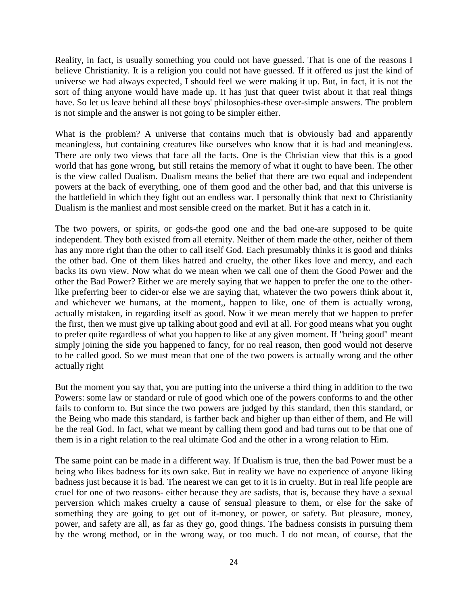Reality, in fact, is usually something you could not have guessed. That is one of the reasons I believe Christianity. It is a religion you could not have guessed. If it offered us just the kind of universe we had always expected, I should feel we were making it up. But, in fact, it is not the sort of thing anyone would have made up. It has just that queer twist about it that real things have. So let us leave behind all these boys' philosophies-these over-simple answers. The problem is not simple and the answer is not going to be simpler either.

What is the problem? A universe that contains much that is obviously bad and apparently meaningless, but containing creatures like ourselves who know that it is bad and meaningless. There are only two views that face all the facts. One is the Christian view that this is a good world that has gone wrong, but still retains the memory of what it ought to have been. The other is the view called Dualism. Dualism means the belief that there are two equal and independent powers at the back of everything, one of them good and the other bad, and that this universe is the battlefield in which they fight out an endless war. I personally think that next to Christianity Dualism is the manliest and most sensible creed on the market. But it has a catch in it.

The two powers, or spirits, or gods-the good one and the bad one-are supposed to be quite independent. They both existed from all eternity. Neither of them made the other, neither of them has any more right than the other to call itself God. Each presumably thinks it is good and thinks the other bad. One of them likes hatred and cruelty, the other likes love and mercy, and each backs its own view. Now what do we mean when we call one of them the Good Power and the other the Bad Power? Either we are merely saying that we happen to prefer the one to the otherlike preferring beer to cider-or else we are saying that, whatever the two powers think about it, and whichever we humans, at the moment,, happen to like, one of them is actually wrong, actually mistaken, in regarding itself as good. Now it we mean merely that we happen to prefer the first, then we must give up talking about good and evil at all. For good means what you ought to prefer quite regardless of what you happen to like at any given moment. If "being good" meant simply joining the side you happened to fancy, for no real reason, then good would not deserve to be called good. So we must mean that one of the two powers is actually wrong and the other actually right

But the moment you say that, you are putting into the universe a third thing in addition to the two Powers: some law or standard or rule of good which one of the powers conforms to and the other fails to conform to. But since the two powers are judged by this standard, then this standard, or the Being who made this standard, is farther back and higher up than either of them, and He will be the real God. In fact, what we meant by calling them good and bad turns out to be that one of them is in a right relation to the real ultimate God and the other in a wrong relation to Him.

The same point can be made in a different way. If Dualism is true, then the bad Power must be a being who likes badness for its own sake. But in reality we have no experience of anyone liking badness just because it is bad. The nearest we can get to it is in cruelty. But in real life people are cruel for one of two reasons- either because they are sadists, that is, because they have a sexual perversion which makes cruelty a cause of sensual pleasure to them, or else for the sake of something they are going to get out of it-money, or power, or safety. But pleasure, money, power, and safety are all, as far as they go, good things. The badness consists in pursuing them by the wrong method, or in the wrong way, or too much. I do not mean, of course, that the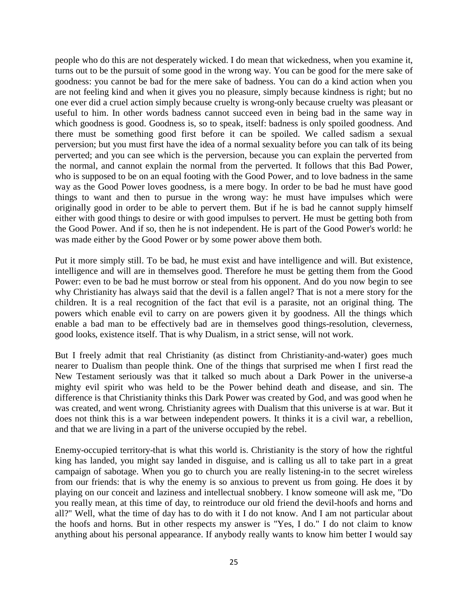people who do this are not desperately wicked. I do mean that wickedness, when you examine it, turns out to be the pursuit of some good in the wrong way. You can be good for the mere sake of goodness: you cannot be bad for the mere sake of badness. You can do a kind action when you are not feeling kind and when it gives you no pleasure, simply because kindness is right; but no one ever did a cruel action simply because cruelty is wrong-only because cruelty was pleasant or useful to him. In other words badness cannot succeed even in being bad in the same way in which goodness is good. Goodness is, so to speak, itself: badness is only spoiled goodness. And there must be something good first before it can be spoiled. We called sadism a sexual perversion; but you must first have the idea of a normal sexuality before you can talk of its being perverted; and you can see which is the perversion, because you can explain the perverted from the normal, and cannot explain the normal from the perverted. It follows that this Bad Power, who is supposed to be on an equal footing with the Good Power, and to love badness in the same way as the Good Power loves goodness, is a mere bogy. In order to be bad he must have good things to want and then to pursue in the wrong way: he must have impulses which were originally good in order to be able to pervert them. But if he is bad he cannot supply himself either with good things to desire or with good impulses to pervert. He must be getting both from the Good Power. And if so, then he is not independent. He is part of the Good Power's world: he was made either by the Good Power or by some power above them both.

Put it more simply still. To be bad, he must exist and have intelligence and will. But existence, intelligence and will are in themselves good. Therefore he must be getting them from the Good Power: even to be bad he must borrow or steal from his opponent. And do you now begin to see why Christianity has always said that the devil is a fallen angel? That is not a mere story for the children. It is a real recognition of the fact that evil is a parasite, not an original thing. The powers which enable evil to carry on are powers given it by goodness. All the things which enable a bad man to be effectively bad are in themselves good things-resolution, cleverness, good looks, existence itself. That is why Dualism, in a strict sense, will not work.

But I freely admit that real Christianity (as distinct from Christianity-and-water) goes much nearer to Dualism than people think. One of the things that surprised me when I first read the New Testament seriously was that it talked so much about a Dark Power in the universe-a mighty evil spirit who was held to be the Power behind death and disease, and sin. The difference is that Christianity thinks this Dark Power was created by God, and was good when he was created, and went wrong. Christianity agrees with Dualism that this universe is at war. But it does not think this is a war between independent powers. It thinks it is a civil war, a rebellion, and that we are living in a part of the universe occupied by the rebel.

Enemy-occupied territory-that is what this world is. Christianity is the story of how the rightful king has landed, you might say landed in disguise, and is calling us all to take part in a great campaign of sabotage. When you go to church you are really listening-in to the secret wireless from our friends: that is why the enemy is so anxious to prevent us from going. He does it by playing on our conceit and laziness and intellectual snobbery. I know someone will ask me, "Do you really mean, at this time of day, to reintroduce our old friend the devil-hoofs and horns and all?" Well, what the time of day has to do with it I do not know. And I am not particular about the hoofs and horns. But in other respects my answer is "Yes, I do." I do not claim to know anything about his personal appearance. If anybody really wants to know him better I would say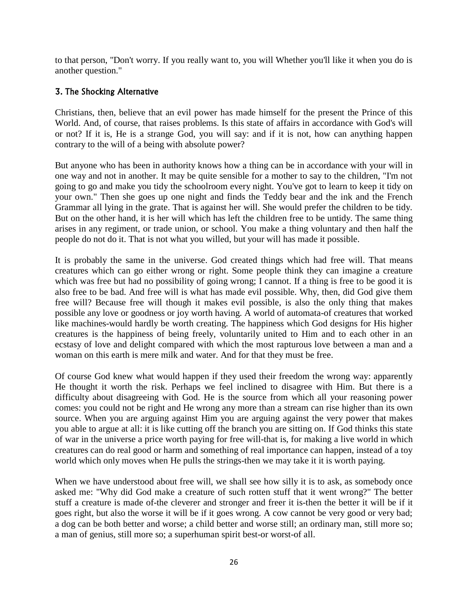to that person, "Don't worry. If you really want to, you will Whether you'll like it when you do is another question."

## 3. The Shocking Alternative

Christians, then, believe that an evil power has made himself for the present the Prince of this World. And, of course, that raises problems. Is this state of affairs in accordance with God's will or not? If it is, He is a strange God, you will say: and if it is not, how can anything happen contrary to the will of a being with absolute power?

But anyone who has been in authority knows how a thing can be in accordance with your will in one way and not in another. It may be quite sensible for a mother to say to the children, "I'm not going to go and make you tidy the schoolroom every night. You've got to learn to keep it tidy on your own." Then she goes up one night and finds the Teddy bear and the ink and the French Grammar all lying in the grate. That is against her will. She would prefer the children to be tidy. But on the other hand, it is her will which has left the children free to be untidy. The same thing arises in any regiment, or trade union, or school. You make a thing voluntary and then half the people do not do it. That is not what you willed, but your will has made it possible.

It is probably the same in the universe. God created things which had free will. That means creatures which can go either wrong or right. Some people think they can imagine a creature which was free but had no possibility of going wrong; I cannot. If a thing is free to be good it is also free to be bad. And free will is what has made evil possible. Why, then, did God give them free will? Because free will though it makes evil possible, is also the only thing that makes possible any love or goodness or joy worth having. A world of automata-of creatures that worked like machines-would hardly be worth creating. The happiness which God designs for His higher creatures is the happiness of being freely, voluntarily united to Him and to each other in an ecstasy of love and delight compared with which the most rapturous love between a man and a woman on this earth is mere milk and water. And for that they must be free.

Of course God knew what would happen if they used their freedom the wrong way: apparently He thought it worth the risk. Perhaps we feel inclined to disagree with Him. But there is a difficulty about disagreeing with God. He is the source from which all your reasoning power comes: you could not be right and He wrong any more than a stream can rise higher than its own source. When you are arguing against Him you are arguing against the very power that makes you able to argue at all: it is like cutting off the branch you are sitting on. If God thinks this state of war in the universe a price worth paying for free will-that is, for making a live world in which creatures can do real good or harm and something of real importance can happen, instead of a toy world which only moves when He pulls the strings-then we may take it it is worth paying.

When we have understood about free will, we shall see how silly it is to ask, as somebody once asked me: "Why did God make a creature of such rotten stuff that it went wrong?" The better stuff a creature is made of-the cleverer and stronger and freer it is-then the better it will be if it goes right, but also the worse it will be if it goes wrong. A cow cannot be very good or very bad; a dog can be both better and worse; a child better and worse still; an ordinary man, still more so; a man of genius, still more so; a superhuman spirit best-or worst-of all.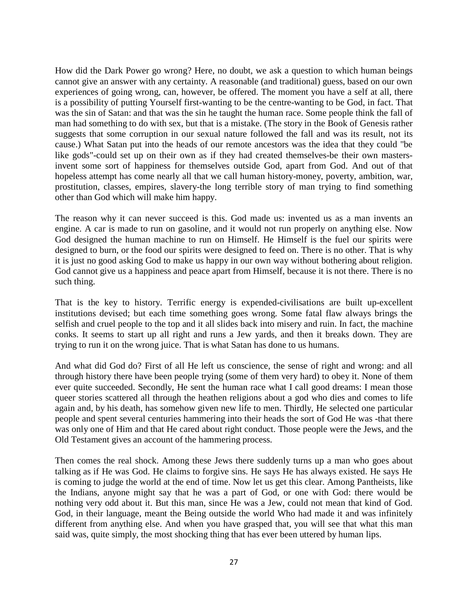How did the Dark Power go wrong? Here, no doubt, we ask a question to which human beings cannot give an answer with any certainty. A reasonable (and traditional) guess, based on our own experiences of going wrong, can, however, be offered. The moment you have a self at all, there is a possibility of putting Yourself first-wanting to be the centre-wanting to be God, in fact. That was the sin of Satan: and that was the sin he taught the human race. Some people think the fall of man had something to do with sex, but that is a mistake. (The story in the Book of Genesis rather suggests that some corruption in our sexual nature followed the fall and was its result, not its cause.) What Satan put into the heads of our remote ancestors was the idea that they could "be like gods"-could set up on their own as if they had created themselves-be their own mastersinvent some sort of happiness for themselves outside God, apart from God. And out of that hopeless attempt has come nearly all that we call human history-money, poverty, ambition, war, prostitution, classes, empires, slavery-the long terrible story of man trying to find something other than God which will make him happy.

The reason why it can never succeed is this. God made us: invented us as a man invents an engine. A car is made to run on gasoline, and it would not run properly on anything else. Now God designed the human machine to run on Himself. He Himself is the fuel our spirits were designed to burn, or the food our spirits were designed to feed on. There is no other. That is why it is just no good asking God to make us happy in our own way without bothering about religion. God cannot give us a happiness and peace apart from Himself, because it is not there. There is no such thing.

That is the key to history. Terrific energy is expended-civilisations are built up-excellent institutions devised; but each time something goes wrong. Some fatal flaw always brings the selfish and cruel people to the top and it all slides back into misery and ruin. In fact, the machine conks. It seems to start up all right and runs a Jew yards, and then it breaks down. They are trying to run it on the wrong juice. That is what Satan has done to us humans.

And what did God do? First of all He left us conscience, the sense of right and wrong: and all through history there have been people trying (some of them very hard) to obey it. None of them ever quite succeeded. Secondly, He sent the human race what I call good dreams: I mean those queer stories scattered all through the heathen religions about a god who dies and comes to life again and, by his death, has somehow given new life to men. Thirdly, He selected one particular people and spent several centuries hammering into their heads the sort of God He was -that there was only one of Him and that He cared about right conduct. Those people were the Jews, and the Old Testament gives an account of the hammering process.

Then comes the real shock. Among these Jews there suddenly turns up a man who goes about talking as if He was God. He claims to forgive sins. He says He has always existed. He says He is coming to judge the world at the end of time. Now let us get this clear. Among Pantheists, like the Indians, anyone might say that he was a part of God, or one with God: there would be nothing very odd about it. But this man, since He was a Jew, could not mean that kind of God. God, in their language, meant the Being outside the world Who had made it and was infinitely different from anything else. And when you have grasped that, you will see that what this man said was, quite simply, the most shocking thing that has ever been uttered by human lips.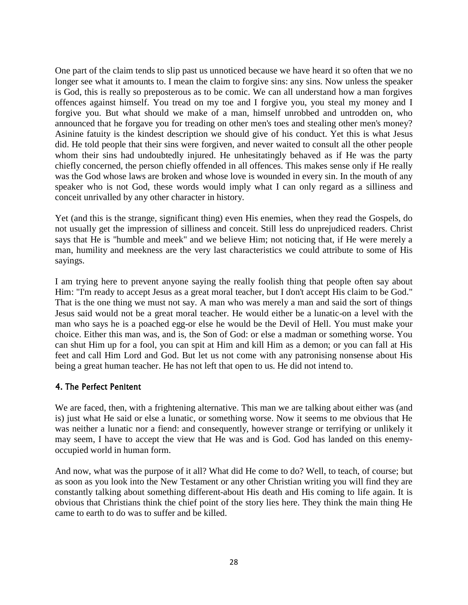One part of the claim tends to slip past us unnoticed because we have heard it so often that we no longer see what it amounts to. I mean the claim to forgive sins: any sins. Now unless the speaker is God, this is really so preposterous as to be comic. We can all understand how a man forgives offences against himself. You tread on my toe and I forgive you, you steal my money and I forgive you. But what should we make of a man, himself unrobbed and untrodden on, who announced that he forgave you for treading on other men's toes and stealing other men's money? Asinine fatuity is the kindest description we should give of his conduct. Yet this is what Jesus did. He told people that their sins were forgiven, and never waited to consult all the other people whom their sins had undoubtedly injured. He unhesitatingly behaved as if He was the party chiefly concerned, the person chiefly offended in all offences. This makes sense only if He really was the God whose laws are broken and whose love is wounded in every sin. In the mouth of any speaker who is not God, these words would imply what I can only regard as a silliness and conceit unrivalled by any other character in history.

Yet (and this is the strange, significant thing) even His enemies, when they read the Gospels, do not usually get the impression of silliness and conceit. Still less do unprejudiced readers. Christ says that He is "humble and meek" and we believe Him; not noticing that, if He were merely a man, humility and meekness are the very last characteristics we could attribute to some of His sayings.

I am trying here to prevent anyone saying the really foolish thing that people often say about Him: "I'm ready to accept Jesus as a great moral teacher, but I don't accept His claim to be God." That is the one thing we must not say. A man who was merely a man and said the sort of things Jesus said would not be a great moral teacher. He would either be a lunatic-on a level with the man who says he is a poached egg-or else he would be the Devil of Hell. You must make your choice. Either this man was, and is, the Son of God: or else a madman or something worse. You can shut Him up for a fool, you can spit at Him and kill Him as a demon; or you can fall at His feet and call Him Lord and God. But let us not come with any patronising nonsense about His being a great human teacher. He has not left that open to us. He did not intend to.

## 4. The Perfect Penitent

We are faced, then, with a frightening alternative. This man we are talking about either was (and is) just what He said or else a lunatic, or something worse. Now it seems to me obvious that He was neither a lunatic nor a fiend: and consequently, however strange or terrifying or unlikely it may seem, I have to accept the view that He was and is God. God has landed on this enemyoccupied world in human form.

And now, what was the purpose of it all? What did He come to do? Well, to teach, of course; but as soon as you look into the New Testament or any other Christian writing you will find they are constantly talking about something different-about His death and His coming to life again. It is obvious that Christians think the chief point of the story lies here. They think the main thing He came to earth to do was to suffer and be killed.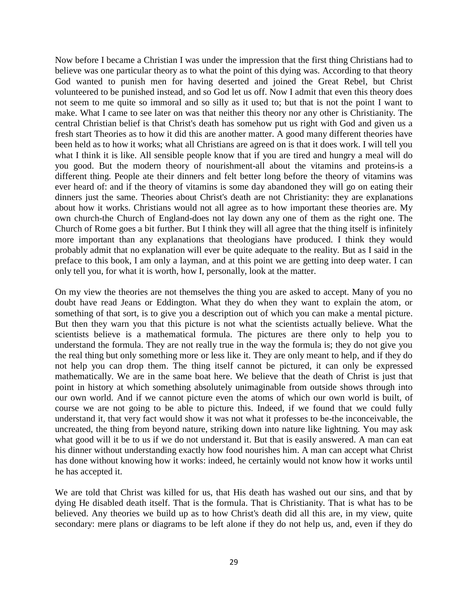Now before I became a Christian I was under the impression that the first thing Christians had to believe was one particular theory as to what the point of this dying was. According to that theory God wanted to punish men for having deserted and joined the Great Rebel, but Christ volunteered to be punished instead, and so God let us off. Now I admit that even this theory does not seem to me quite so immoral and so silly as it used to; but that is not the point I want to make. What I came to see later on was that neither this theory nor any other is Christianity. The central Christian belief is that Christ's death has somehow put us right with God and given us a fresh start Theories as to how it did this are another matter. A good many different theories have been held as to how it works; what all Christians are agreed on is that it does work. I will tell you what I think it is like. All sensible people know that if you are tired and hungry a meal will do you good. But the modern theory of nourishment-all about the vitamins and proteins-is a different thing. People ate their dinners and felt better long before the theory of vitamins was ever heard of: and if the theory of vitamins is some day abandoned they will go on eating their dinners just the same. Theories about Christ's death are not Christianity: they are explanations about how it works. Christians would not all agree as to how important these theories are. My own church-the Church of England-does not lay down any one of them as the right one. The Church of Rome goes a bit further. But I think they will all agree that the thing itself is infinitely more important than any explanations that theologians have produced. I think they would probably admit that no explanation will ever be quite adequate to the reality. But as I said in the preface to this book, I am only a layman, and at this point we are getting into deep water. I can only tell you, for what it is worth, how I, personally, look at the matter.

On my view the theories are not themselves the thing you are asked to accept. Many of you no doubt have read Jeans or Eddington. What they do when they want to explain the atom, or something of that sort, is to give you a description out of which you can make a mental picture. But then they warn you that this picture is not what the scientists actually believe. What the scientists believe is a mathematical formula. The pictures are there only to help you to understand the formula. They are not really true in the way the formula is; they do not give you the real thing but only something more or less like it. They are only meant to help, and if they do not help you can drop them. The thing itself cannot be pictured, it can only be expressed mathematically. We are in the same boat here. We believe that the death of Christ is just that point in history at which something absolutely unimaginable from outside shows through into our own world. And if we cannot picture even the atoms of which our own world is built, of course we are not going to be able to picture this. Indeed, if we found that we could fully understand it, that very fact would show it was not what it professes to be-the inconceivable, the uncreated, the thing from beyond nature, striking down into nature like lightning. You may ask what good will it be to us if we do not understand it. But that is easily answered. A man can eat his dinner without understanding exactly how food nourishes him. A man can accept what Christ has done without knowing how it works: indeed, he certainly would not know how it works until he has accepted it.

We are told that Christ was killed for us, that His death has washed out our sins, and that by dying He disabled death itself. That is the formula. That is Christianity. That is what has to be believed. Any theories we build up as to how Christ's death did all this are, in my view, quite secondary: mere plans or diagrams to be left alone if they do not help us, and, even if they do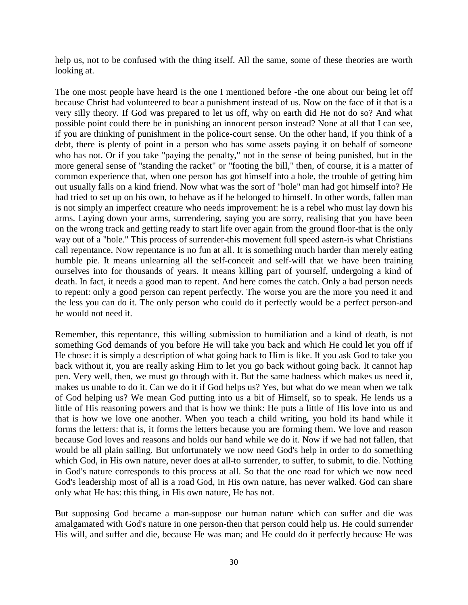help us, not to be confused with the thing itself. All the same, some of these theories are worth looking at.

The one most people have heard is the one I mentioned before -the one about our being let off because Christ had volunteered to bear a punishment instead of us. Now on the face of it that is a very silly theory. If God was prepared to let us off, why on earth did He not do so? And what possible point could there be in punishing an innocent person instead? None at all that I can see, if you are thinking of punishment in the police-court sense. On the other hand, if you think of a debt, there is plenty of point in a person who has some assets paying it on behalf of someone who has not. Or if you take "paying the penalty," not in the sense of being punished, but in the more general sense of "standing the racket" or "footing the bill," then, of course, it is a matter of common experience that, when one person has got himself into a hole, the trouble of getting him out usually falls on a kind friend. Now what was the sort of "hole" man had got himself into? He had tried to set up on his own, to behave as if he belonged to himself. In other words, fallen man is not simply an imperfect creature who needs improvement: he is a rebel who must lay down his arms. Laying down your arms, surrendering, saying you are sorry, realising that you have been on the wrong track and getting ready to start life over again from the ground floor-that is the only way out of a "hole." This process of surrender-this movement full speed astern-is what Christians call repentance. Now repentance is no fun at all. It is something much harder than merely eating humble pie. It means unlearning all the self-conceit and self-will that we have been training ourselves into for thousands of years. It means killing part of yourself, undergoing a kind of death. In fact, it needs a good man to repent. And here comes the catch. Only a bad person needs to repent: only a good person can repent perfectly. The worse you are the more you need it and the less you can do it. The only person who could do it perfectly would be a perfect person-and he would not need it.

Remember, this repentance, this willing submission to humiliation and a kind of death, is not something God demands of you before He will take you back and which He could let you off if He chose: it is simply a description of what going back to Him is like. If you ask God to take you back without it, you are really asking Him to let you go back without going back. It cannot hap pen. Very well, then, we must go through with it. But the same badness which makes us need it, makes us unable to do it. Can we do it if God helps us? Yes, but what do we mean when we talk of God helping us? We mean God putting into us a bit of Himself, so to speak. He lends us a little of His reasoning powers and that is how we think: He puts a little of His love into us and that is how we love one another. When you teach a child writing, you hold its hand while it forms the letters: that is, it forms the letters because you are forming them. We love and reason because God loves and reasons and holds our hand while we do it. Now if we had not fallen, that would be all plain sailing. But unfortunately we now need God's help in order to do something which God, in His own nature, never does at all-to surrender, to suffer, to submit, to die. Nothing in God's nature corresponds to this process at all. So that the one road for which we now need God's leadership most of all is a road God, in His own nature, has never walked. God can share only what He has: this thing, in His own nature, He has not.

But supposing God became a man-suppose our human nature which can suffer and die was amalgamated with God's nature in one person-then that person could help us. He could surrender His will, and suffer and die, because He was man; and He could do it perfectly because He was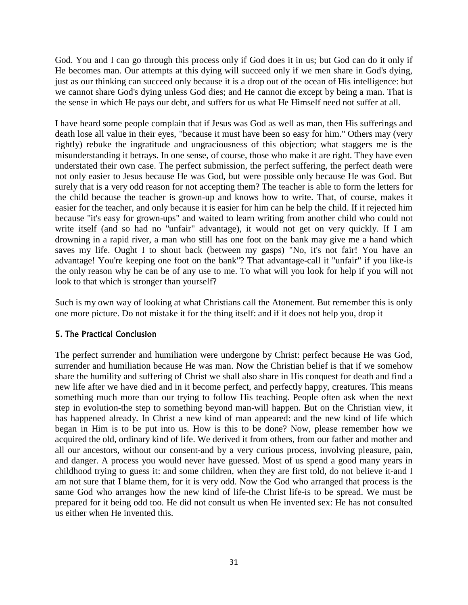God. You and I can go through this process only if God does it in us; but God can do it only if He becomes man. Our attempts at this dying will succeed only if we men share in God's dying, just as our thinking can succeed only because it is a drop out of the ocean of His intelligence: but we cannot share God's dying unless God dies; and He cannot die except by being a man. That is the sense in which He pays our debt, and suffers for us what He Himself need not suffer at all.

I have heard some people complain that if Jesus was God as well as man, then His sufferings and death lose all value in their eyes, "because it must have been so easy for him." Others may (very rightly) rebuke the ingratitude and ungraciousness of this objection; what staggers me is the misunderstanding it betrays. In one sense, of course, those who make it are right. They have even understated their own case. The perfect submission, the perfect suffering, the perfect death were not only easier to Jesus because He was God, but were possible only because He was God. But surely that is a very odd reason for not accepting them? The teacher is able to form the letters for the child because the teacher is grown-up and knows how to write. That, of course, makes it easier for the teacher, and only because it is easier for him can he help the child. If it rejected him because "it's easy for grown-ups" and waited to learn writing from another child who could not write itself (and so had no "unfair" advantage), it would not get on very quickly. If I am drowning in a rapid river, a man who still has one foot on the bank may give me a hand which saves my life. Ought I to shout back (between my gasps) "No, it's not fair! You have an advantage! You're keeping one foot on the bank"? That advantage-call it "unfair" if you like-is the only reason why he can be of any use to me. To what will you look for help if you will not look to that which is stronger than yourself?

Such is my own way of looking at what Christians call the Atonement. But remember this is only one more picture. Do not mistake it for the thing itself: and if it does not help you, drop it

## 5. The Practical Conclusion

The perfect surrender and humiliation were undergone by Christ: perfect because He was God, surrender and humiliation because He was man. Now the Christian belief is that if we somehow share the humility and suffering of Christ we shall also share in His conquest for death and find a new life after we have died and in it become perfect, and perfectly happy, creatures. This means something much more than our trying to follow His teaching. People often ask when the next step in evolution-the step to something beyond man-will happen. But on the Christian view, it has happened already. In Christ a new kind of man appeared: and the new kind of life which began in Him is to be put into us. How is this to be done? Now, please remember how we acquired the old, ordinary kind of life. We derived it from others, from our father and mother and all our ancestors, without our consent-and by a very curious process, involving pleasure, pain, and danger. A process you would never have guessed. Most of us spend a good many years in childhood trying to guess it: and some children, when they are first told, do not believe it-and I am not sure that I blame them, for it is very odd. Now the God who arranged that process is the same God who arranges how the new kind of life-the Christ life-is to be spread. We must be prepared for it being odd too. He did not consult us when He invented sex: He has not consulted us either when He invented this.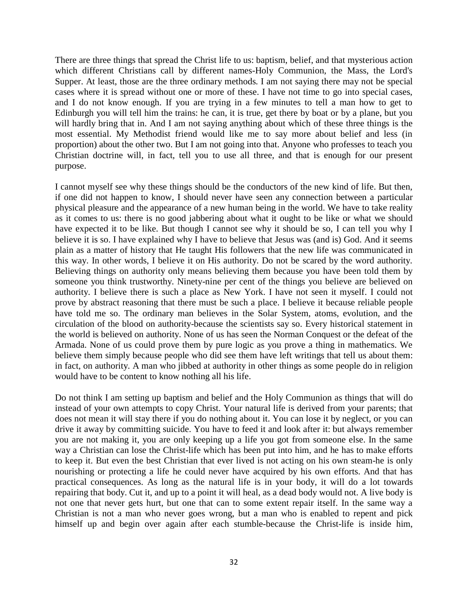There are three things that spread the Christ life to us: baptism, belief, and that mysterious action which different Christians call by different names-Holy Communion, the Mass, the Lord's Supper. At least, those are the three ordinary methods. I am not saying there may not be special cases where it is spread without one or more of these. I have not time to go into special cases, and I do not know enough. If you are trying in a few minutes to tell a man how to get to Edinburgh you will tell him the trains: he can, it is true, get there by boat or by a plane, but you will hardly bring that in. And I am not saying anything about which of these three things is the most essential. My Methodist friend would like me to say more about belief and less (in proportion) about the other two. But I am not going into that. Anyone who professes to teach you Christian doctrine will, in fact, tell you to use all three, and that is enough for our present purpose.

I cannot myself see why these things should be the conductors of the new kind of life. But then, if one did not happen to know, I should never have seen any connection between a particular physical pleasure and the appearance of a new human being in the world. We have to take reality as it comes to us: there is no good jabbering about what it ought to be like or what we should have expected it to be like. But though I cannot see why it should be so, I can tell you why I believe it is so. I have explained why I have to believe that Jesus was (and is) God. And it seems plain as a matter of history that He taught His followers that the new life was communicated in this way. In other words, I believe it on His authority. Do not be scared by the word authority. Believing things on authority only means believing them because you have been told them by someone you think trustworthy. Ninety-nine per cent of the things you believe are believed on authority. I believe there is such a place as New York. I have not seen it myself. I could not prove by abstract reasoning that there must be such a place. I believe it because reliable people have told me so. The ordinary man believes in the Solar System, atoms, evolution, and the circulation of the blood on authority-because the scientists say so. Every historical statement in the world is believed on authority. None of us has seen the Norman Conquest or the defeat of the Armada. None of us could prove them by pure logic as you prove a thing in mathematics. We believe them simply because people who did see them have left writings that tell us about them: in fact, on authority. A man who jibbed at authority in other things as some people do in religion would have to be content to know nothing all his life.

Do not think I am setting up baptism and belief and the Holy Communion as things that will do instead of your own attempts to copy Christ. Your natural life is derived from your parents; that does not mean it will stay there if you do nothing about it. You can lose it by neglect, or you can drive it away by committing suicide. You have to feed it and look after it: but always remember you are not making it, you are only keeping up a life you got from someone else. In the same way a Christian can lose the Christ-life which has been put into him, and he has to make efforts to keep it. But even the best Christian that ever lived is not acting on his own steam-he is only nourishing or protecting a life he could never have acquired by his own efforts. And that has practical consequences. As long as the natural life is in your body, it will do a lot towards repairing that body. Cut it, and up to a point it will heal, as a dead body would not. A live body is not one that never gets hurt, but one that can to some extent repair itself. In the same way a Christian is not a man who never goes wrong, but a man who is enabled to repent and pick himself up and begin over again after each stumble-because the Christ-life is inside him,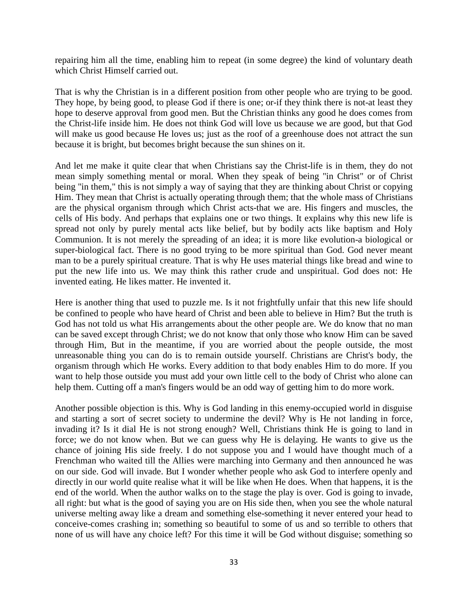repairing him all the time, enabling him to repeat (in some degree) the kind of voluntary death which Christ Himself carried out.

That is why the Christian is in a different position from other people who are trying to be good. They hope, by being good, to please God if there is one; or-if they think there is not-at least they hope to deserve approval from good men. But the Christian thinks any good he does comes from the Christ-life inside him. He does not think God will love us because we are good, but that God will make us good because He loves us; just as the roof of a greenhouse does not attract the sun because it is bright, but becomes bright because the sun shines on it.

And let me make it quite clear that when Christians say the Christ-life is in them, they do not mean simply something mental or moral. When they speak of being "in Christ" or of Christ being "in them," this is not simply a way of saying that they are thinking about Christ or copying Him. They mean that Christ is actually operating through them; that the whole mass of Christians are the physical organism through which Christ acts-that we are. His fingers and muscles, the cells of His body. And perhaps that explains one or two things. It explains why this new life is spread not only by purely mental acts like belief, but by bodily acts like baptism and Holy Communion. It is not merely the spreading of an idea; it is more like evolution-a biological or super-biological fact. There is no good trying to be more spiritual than God. God never meant man to be a purely spiritual creature. That is why He uses material things like bread and wine to put the new life into us. We may think this rather crude and unspiritual. God does not: He invented eating. He likes matter. He invented it.

Here is another thing that used to puzzle me. Is it not frightfully unfair that this new life should be confined to people who have heard of Christ and been able to believe in Him? But the truth is God has not told us what His arrangements about the other people are. We do know that no man can be saved except through Christ; we do not know that only those who know Him can be saved through Him, But in the meantime, if you are worried about the people outside, the most unreasonable thing you can do is to remain outside yourself. Christians are Christ's body, the organism through which He works. Every addition to that body enables Him to do more. If you want to help those outside you must add your own little cell to the body of Christ who alone can help them. Cutting off a man's fingers would be an odd way of getting him to do more work.

Another possible objection is this. Why is God landing in this enemy-occupied world in disguise and starting a sort of secret society to undermine the devil? Why is He not landing in force, invading it? Is it dial He is not strong enough? Well, Christians think He is going to land in force; we do not know when. But we can guess why He is delaying. He wants to give us the chance of joining His side freely. I do not suppose you and I would have thought much of a Frenchman who waited till the Allies were marching into Germany and then announced he was on our side. God will invade. But I wonder whether people who ask God to interfere openly and directly in our world quite realise what it will be like when He does. When that happens, it is the end of the world. When the author walks on to the stage the play is over. God is going to invade, all right: but what is the good of saying you are on His side then, when you see the whole natural universe melting away like a dream and something else-something it never entered your head to conceive-comes crashing in; something so beautiful to some of us and so terrible to others that none of us will have any choice left? For this time it will be God without disguise; something so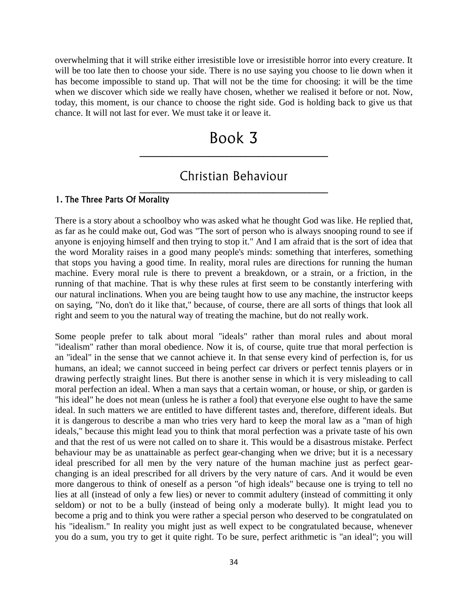overwhelming that it will strike either irresistible love or irresistible horror into every creature. It will be too late then to choose your side. There is no use saying you choose to lie down when it has become impossible to stand up. That will not be the time for choosing: it will be the time when we discover which side we really have chosen, whether we realised it before or not. Now, today, this moment, is our chance to choose the right side. God is holding back to give us that chance. It will not last for ever. We must take it or leave it.

## Book 3 \_\_\_\_\_\_\_\_\_\_\_\_\_\_\_\_\_\_\_\_\_\_\_\_\_\_\_\_\_\_\_\_\_\_\_\_\_\_\_\_\_

## Christian Behaviour \_\_\_\_\_\_\_\_\_\_\_\_\_\_\_\_\_\_\_\_\_\_\_\_\_\_\_\_\_\_\_\_\_\_\_\_\_\_\_\_\_

#### 1. The Three Parts Of Morality

There is a story about a schoolboy who was asked what he thought God was like. He replied that, as far as he could make out, God was "The sort of person who is always snooping round to see if anyone is enjoying himself and then trying to stop it." And I am afraid that is the sort of idea that the word Morality raises in a good many people's minds: something that interferes, something that stops you having a good time. In reality, moral rules are directions for running the human machine. Every moral rule is there to prevent a breakdown, or a strain, or a friction, in the running of that machine. That is why these rules at first seem to be constantly interfering with our natural inclinations. When you are being taught how to use any machine, the instructor keeps on saying, "No, don't do it like that," because, of course, there are all sorts of things that look all right and seem to you the natural way of treating the machine, but do not really work.

Some people prefer to talk about moral "ideals" rather than moral rules and about moral "idealism" rather than moral obedience. Now it is, of course, quite true that moral perfection is an "ideal" in the sense that we cannot achieve it. In that sense every kind of perfection is, for us humans, an ideal; we cannot succeed in being perfect car drivers or perfect tennis players or in drawing perfectly straight lines. But there is another sense in which it is very misleading to call moral perfection an ideal. When a man says that a certain woman, or house, or ship, or garden is "his ideal" he does not mean (unless he is rather a fool) that everyone else ought to have the same ideal. In such matters we are entitled to have different tastes and, therefore, different ideals. But it is dangerous to describe a man who tries very hard to keep the moral law as a "man of high ideals," because this might lead you to think that moral perfection was a private taste of his own and that the rest of us were not called on to share it. This would be a disastrous mistake. Perfect behaviour may be as unattainable as perfect gear-changing when we drive; but it is a necessary ideal prescribed for all men by the very nature of the human machine just as perfect gearchanging is an ideal prescribed for all drivers by the very nature of cars. And it would be even more dangerous to think of oneself as a person "of high ideals" because one is trying to tell no lies at all (instead of only a few lies) or never to commit adultery (instead of committing it only seldom) or not to be a bully (instead of being only a moderate bully). It might lead you to become a prig and to think you were rather a special person who deserved to be congratulated on his "idealism." In reality you might just as well expect to be congratulated because, whenever you do a sum, you try to get it quite right. To be sure, perfect arithmetic is "an ideal"; you will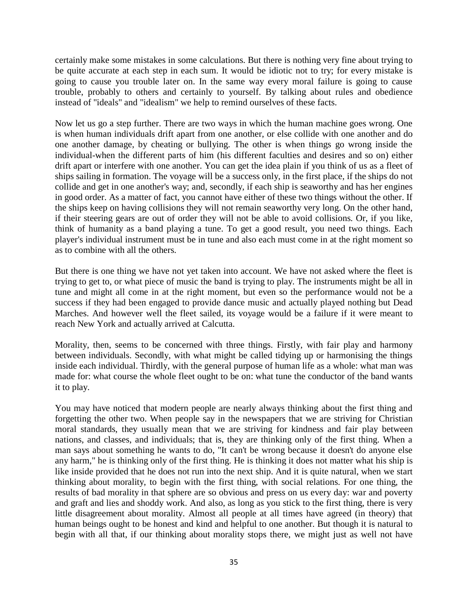certainly make some mistakes in some calculations. But there is nothing very fine about trying to be quite accurate at each step in each sum. It would be idiotic not to try; for every mistake is going to cause you trouble later on. In the same way every moral failure is going to cause trouble, probably to others and certainly to yourself. By talking about rules and obedience instead of "ideals" and "idealism" we help to remind ourselves of these facts.

Now let us go a step further. There are two ways in which the human machine goes wrong. One is when human individuals drift apart from one another, or else collide with one another and do one another damage, by cheating or bullying. The other is when things go wrong inside the individual-when the different parts of him (his different faculties and desires and so on) either drift apart or interfere with one another. You can get the idea plain if you think of us as a fleet of ships sailing in formation. The voyage will be a success only, in the first place, if the ships do not collide and get in one another's way; and, secondly, if each ship is seaworthy and has her engines in good order. As a matter of fact, you cannot have either of these two things without the other. If the ships keep on having collisions they will not remain seaworthy very long. On the other hand, if their steering gears are out of order they will not be able to avoid collisions. Or, if you like, think of humanity as a band playing a tune. To get a good result, you need two things. Each player's individual instrument must be in tune and also each must come in at the right moment so as to combine with all the others.

But there is one thing we have not yet taken into account. We have not asked where the fleet is trying to get to, or what piece of music the band is trying to play. The instruments might be all in tune and might all come in at the right moment, but even so the performance would not be a success if they had been engaged to provide dance music and actually played nothing but Dead Marches. And however well the fleet sailed, its voyage would be a failure if it were meant to reach New York and actually arrived at Calcutta.

Morality, then, seems to be concerned with three things. Firstly, with fair play and harmony between individuals. Secondly, with what might be called tidying up or harmonising the things inside each individual. Thirdly, with the general purpose of human life as a whole: what man was made for: what course the whole fleet ought to be on: what tune the conductor of the band wants it to play.

You may have noticed that modern people are nearly always thinking about the first thing and forgetting the other two. When people say in the newspapers that we are striving for Christian moral standards, they usually mean that we are striving for kindness and fair play between nations, and classes, and individuals; that is, they are thinking only of the first thing. When a man says about something he wants to do, "It can't be wrong because it doesn't do anyone else any harm," he is thinking only of the first thing. He is thinking it does not matter what his ship is like inside provided that he does not run into the next ship. And it is quite natural, when we start thinking about morality, to begin with the first thing, with social relations. For one thing, the results of bad morality in that sphere are so obvious and press on us every day: war and poverty and graft and lies and shoddy work. And also, as long as you stick to the first thing, there is very little disagreement about morality. Almost all people at all times have agreed (in theory) that human beings ought to be honest and kind and helpful to one another. But though it is natural to begin with all that, if our thinking about morality stops there, we might just as well not have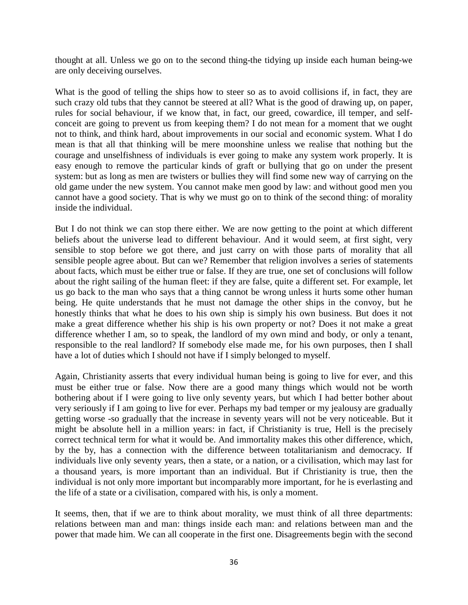thought at all. Unless we go on to the second thing-the tidying up inside each human being-we are only deceiving ourselves.

What is the good of telling the ships how to steer so as to avoid collisions if, in fact, they are such crazy old tubs that they cannot be steered at all? What is the good of drawing up, on paper, rules for social behaviour, if we know that, in fact, our greed, cowardice, ill temper, and selfconceit are going to prevent us from keeping them? I do not mean for a moment that we ought not to think, and think hard, about improvements in our social and economic system. What I do mean is that all that thinking will be mere moonshine unless we realise that nothing but the courage and unselfishness of individuals is ever going to make any system work properly. It is easy enough to remove the particular kinds of graft or bullying that go on under the present system: but as long as men are twisters or bullies they will find some new way of carrying on the old game under the new system. You cannot make men good by law: and without good men you cannot have a good society. That is why we must go on to think of the second thing: of morality inside the individual.

But I do not think we can stop there either. We are now getting to the point at which different beliefs about the universe lead to different behaviour. And it would seem, at first sight, very sensible to stop before we got there, and just carry on with those parts of morality that all sensible people agree about. But can we? Remember that religion involves a series of statements about facts, which must be either true or false. If they are true, one set of conclusions will follow about the right sailing of the human fleet: if they are false, quite a different set. For example, let us go back to the man who says that a thing cannot be wrong unless it hurts some other human being. He quite understands that he must not damage the other ships in the convoy, but he honestly thinks that what he does to his own ship is simply his own business. But does it not make a great difference whether his ship is his own property or not? Does it not make a great difference whether I am, so to speak, the landlord of my own mind and body, or only a tenant, responsible to the real landlord? If somebody else made me, for his own purposes, then I shall have a lot of duties which I should not have if I simply belonged to myself.

Again, Christianity asserts that every individual human being is going to live for ever, and this must be either true or false. Now there are a good many things which would not be worth bothering about if I were going to live only seventy years, but which I had better bother about very seriously if I am going to live for ever. Perhaps my bad temper or my jealousy are gradually getting worse -so gradually that the increase in seventy years will not be very noticeable. But it might be absolute hell in a million years: in fact, if Christianity is true, Hell is the precisely correct technical term for what it would be. And immortality makes this other difference, which, by the by, has a connection with the difference between totalitarianism and democracy. If individuals live only seventy years, then a state, or a nation, or a civilisation, which may last for a thousand years, is more important than an individual. But if Christianity is true, then the individual is not only more important but incomparably more important, for he is everlasting and the life of a state or a civilisation, compared with his, is only a moment.

It seems, then, that if we are to think about morality, we must think of all three departments: relations between man and man: things inside each man: and relations between man and the power that made him. We can all cooperate in the first one. Disagreements begin with the second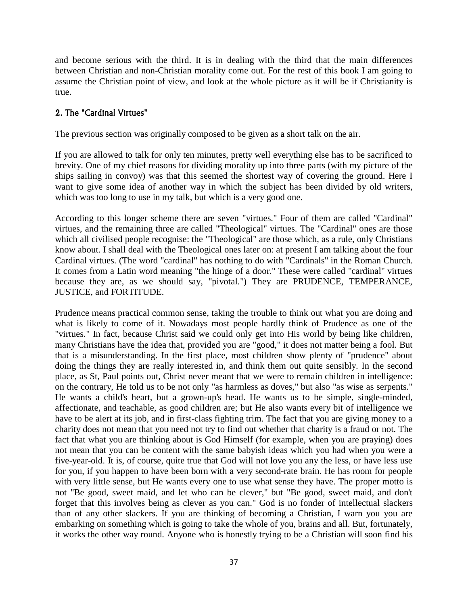and become serious with the third. It is in dealing with the third that the main differences between Christian and non-Christian morality come out. For the rest of this book I am going to assume the Christian point of view, and look at the whole picture as it will be if Christianity is true.

## 2. The "Cardinal Virtues"

The previous section was originally composed to be given as a short talk on the air.

If you are allowed to talk for only ten minutes, pretty well everything else has to be sacrificed to brevity. One of my chief reasons for dividing morality up into three parts (with my picture of the ships sailing in convoy) was that this seemed the shortest way of covering the ground. Here I want to give some idea of another way in which the subject has been divided by old writers, which was too long to use in my talk, but which is a very good one.

According to this longer scheme there are seven "virtues." Four of them are called "Cardinal" virtues, and the remaining three are called "Theological" virtues. The "Cardinal" ones are those which all civilised people recognise: the "Theological" are those which, as a rule, only Christians know about. I shall deal with the Theological ones later on: at present I am talking about the four Cardinal virtues. (The word "cardinal" has nothing to do with "Cardinals" in the Roman Church. It comes from a Latin word meaning "the hinge of a door." These were called "cardinal" virtues because they are, as we should say, "pivotal.") They are PRUDENCE, TEMPERANCE, JUSTICE, and FORTITUDE.

Prudence means practical common sense, taking the trouble to think out what you are doing and what is likely to come of it. Nowadays most people hardly think of Prudence as one of the "virtues." In fact, because Christ said we could only get into His world by being like children, many Christians have the idea that, provided you are "good," it does not matter being a fool. But that is a misunderstanding. In the first place, most children show plenty of "prudence" about doing the things they are really interested in, and think them out quite sensibly. In the second place, as St, Paul points out, Christ never meant that we were to remain children in intelligence: on the contrary, He told us to be not only "as harmless as doves," but also "as wise as serpents." He wants a child's heart, but a grown-up's head. He wants us to be simple, single-minded, affectionate, and teachable, as good children are; but He also wants every bit of intelligence we have to be alert at its job, and in first-class fighting trim. The fact that you are giving money to a charity does not mean that you need not try to find out whether that charity is a fraud or not. The fact that what you are thinking about is God Himself (for example, when you are praying) does not mean that you can be content with the same babyish ideas which you had when you were a five-year-old. It is, of course, quite true that God will not love you any the less, or have less use for you, if you happen to have been born with a very second-rate brain. He has room for people with very little sense, but He wants every one to use what sense they have. The proper motto is not "Be good, sweet maid, and let who can be clever," but "Be good, sweet maid, and don't forget that this involves being as clever as you can." God is no fonder of intellectual slackers than of any other slackers. If you are thinking of becoming a Christian, I warn you you are embarking on something which is going to take the whole of you, brains and all. But, fortunately, it works the other way round. Anyone who is honestly trying to be a Christian will soon find his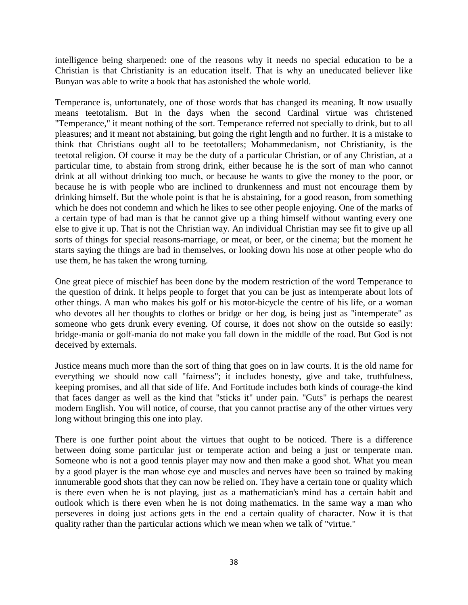intelligence being sharpened: one of the reasons why it needs no special education to be a Christian is that Christianity is an education itself. That is why an uneducated believer like Bunyan was able to write a book that has astonished the whole world.

Temperance is, unfortunately, one of those words that has changed its meaning. It now usually means teetotalism. But in the days when the second Cardinal virtue was christened "Temperance," it meant nothing of the sort. Temperance referred not specially to drink, but to all pleasures; and it meant not abstaining, but going the right length and no further. It is a mistake to think that Christians ought all to be teetotallers; Mohammedanism, not Christianity, is the teetotal religion. Of course it may be the duty of a particular Christian, or of any Christian, at a particular time, to abstain from strong drink, either because he is the sort of man who cannot drink at all without drinking too much, or because he wants to give the money to the poor, or because he is with people who are inclined to drunkenness and must not encourage them by drinking himself. But the whole point is that he is abstaining, for a good reason, from something which he does not condemn and which he likes to see other people enjoying. One of the marks of a certain type of bad man is that he cannot give up a thing himself without wanting every one else to give it up. That is not the Christian way. An individual Christian may see fit to give up all sorts of things for special reasons-marriage, or meat, or beer, or the cinema; but the moment he starts saying the things are bad in themselves, or looking down his nose at other people who do use them, he has taken the wrong turning.

One great piece of mischief has been done by the modern restriction of the word Temperance to the question of drink. It helps people to forget that you can be just as intemperate about lots of other things. A man who makes his golf or his motor-bicycle the centre of his life, or a woman who devotes all her thoughts to clothes or bridge or her dog, is being just as "intemperate" as someone who gets drunk every evening. Of course, it does not show on the outside so easily: bridge-mania or golf-mania do not make you fall down in the middle of the road. But God is not deceived by externals.

Justice means much more than the sort of thing that goes on in law courts. It is the old name for everything we should now call "fairness"; it includes honesty, give and take, truthfulness, keeping promises, and all that side of life. And Fortitude includes both kinds of courage-the kind that faces danger as well as the kind that "sticks it" under pain. "Guts" is perhaps the nearest modern English. You will notice, of course, that you cannot practise any of the other virtues very long without bringing this one into play.

There is one further point about the virtues that ought to be noticed. There is a difference between doing some particular just or temperate action and being a just or temperate man. Someone who is not a good tennis player may now and then make a good shot. What you mean by a good player is the man whose eye and muscles and nerves have been so trained by making innumerable good shots that they can now be relied on. They have a certain tone or quality which is there even when he is not playing, just as a mathematician's mind has a certain habit and outlook which is there even when he is not doing mathematics. In the same way a man who perseveres in doing just actions gets in the end a certain quality of character. Now it is that quality rather than the particular actions which we mean when we talk of "virtue."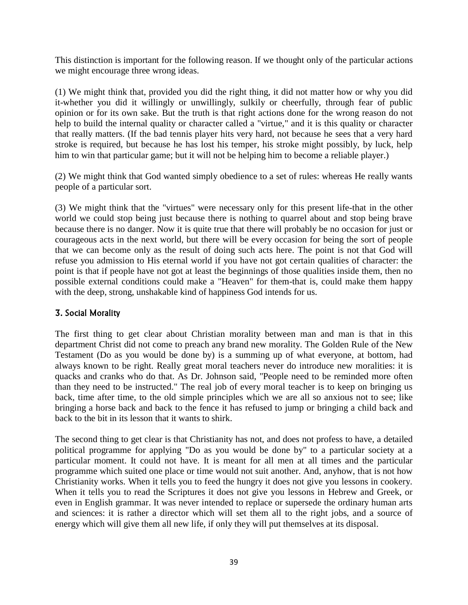This distinction is important for the following reason. If we thought only of the particular actions we might encourage three wrong ideas.

(1) We might think that, provided you did the right thing, it did not matter how or why you did it-whether you did it willingly or unwillingly, sulkily or cheerfully, through fear of public opinion or for its own sake. But the truth is that right actions done for the wrong reason do not help to build the internal quality or character called a "virtue," and it is this quality or character that really matters. (If the bad tennis player hits very hard, not because he sees that a very hard stroke is required, but because he has lost his temper, his stroke might possibly, by luck, help him to win that particular game; but it will not be helping him to become a reliable player.)

(2) We might think that God wanted simply obedience to a set of rules: whereas He really wants people of a particular sort.

(3) We might think that the "virtues" were necessary only for this present life-that in the other world we could stop being just because there is nothing to quarrel about and stop being brave because there is no danger. Now it is quite true that there will probably be no occasion for just or courageous acts in the next world, but there will be every occasion for being the sort of people that we can become only as the result of doing such acts here. The point is not that God will refuse you admission to His eternal world if you have not got certain qualities of character: the point is that if people have not got at least the beginnings of those qualities inside them, then no possible external conditions could make a "Heaven" for them-that is, could make them happy with the deep, strong, unshakable kind of happiness God intends for us.

## 3. Social Morality

The first thing to get clear about Christian morality between man and man is that in this department Christ did not come to preach any brand new morality. The Golden Rule of the New Testament (Do as you would be done by) is a summing up of what everyone, at bottom, had always known to be right. Really great moral teachers never do introduce new moralities: it is quacks and cranks who do that. As Dr. Johnson said, "People need to be reminded more often than they need to be instructed." The real job of every moral teacher is to keep on bringing us back, time after time, to the old simple principles which we are all so anxious not to see; like bringing a horse back and back to the fence it has refused to jump or bringing a child back and back to the bit in its lesson that it wants to shirk.

The second thing to get clear is that Christianity has not, and does not profess to have, a detailed political programme for applying "Do as you would be done by" to a particular society at a particular moment. It could not have. It is meant for all men at all times and the particular programme which suited one place or time would not suit another. And, anyhow, that is not how Christianity works. When it tells you to feed the hungry it does not give you lessons in cookery. When it tells you to read the Scriptures it does not give you lessons in Hebrew and Greek, or even in English grammar. It was never intended to replace or supersede the ordinary human arts and sciences: it is rather a director which will set them all to the right jobs, and a source of energy which will give them all new life, if only they will put themselves at its disposal.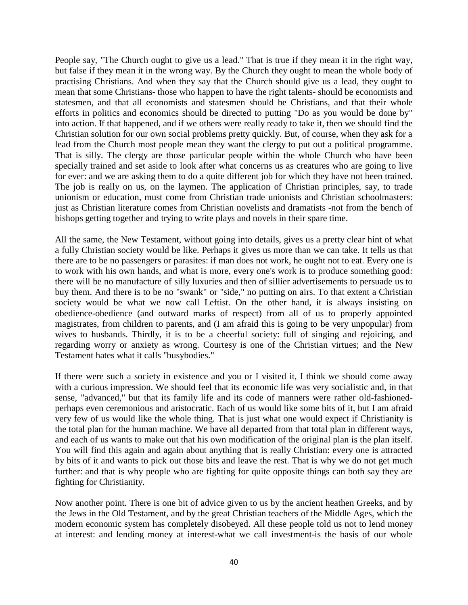People say, "The Church ought to give us a lead." That is true if they mean it in the right way, but false if they mean it in the wrong way. By the Church they ought to mean the whole body of practising Christians. And when they say that the Church should give us a lead, they ought to mean that some Christians- those who happen to have the right talents- should be economists and statesmen, and that all economists and statesmen should be Christians, and that their whole efforts in politics and economics should be directed to putting "Do as you would be done by" into action. If that happened, and if we others were really ready to take it, then we should find the Christian solution for our own social problems pretty quickly. But, of course, when they ask for a lead from the Church most people mean they want the clergy to put out a political programme. That is silly. The clergy are those particular people within the whole Church who have been specially trained and set aside to look after what concerns us as creatures who are going to live for ever: and we are asking them to do a quite different job for which they have not been trained. The job is really on us, on the laymen. The application of Christian principles, say, to trade unionism or education, must come from Christian trade unionists and Christian schoolmasters: just as Christian literature comes from Christian novelists and dramatists -not from the bench of bishops getting together and trying to write plays and novels in their spare time.

All the same, the New Testament, without going into details, gives us a pretty clear hint of what a fully Christian society would be like. Perhaps it gives us more than we can take. It tells us that there are to be no passengers or parasites: if man does not work, he ought not to eat. Every one is to work with his own hands, and what is more, every one's work is to produce something good: there will be no manufacture of silly luxuries and then of sillier advertisements to persuade us to buy them. And there is to be no "swank" or "side," no putting on airs. To that extent a Christian society would be what we now call Leftist. On the other hand, it is always insisting on obedience-obedience (and outward marks of respect) from all of us to properly appointed magistrates, from children to parents, and (I am afraid this is going to be very unpopular) from wives to husbands. Thirdly, it is to be a cheerful society: full of singing and rejoicing, and regarding worry or anxiety as wrong. Courtesy is one of the Christian virtues; and the New Testament hates what it calls "busybodies."

If there were such a society in existence and you or I visited it, I think we should come away with a curious impression. We should feel that its economic life was very socialistic and, in that sense, "advanced," but that its family life and its code of manners were rather old-fashionedperhaps even ceremonious and aristocratic. Each of us would like some bits of it, but I am afraid very few of us would like the whole thing. That is just what one would expect if Christianity is the total plan for the human machine. We have all departed from that total plan in different ways, and each of us wants to make out that his own modification of the original plan is the plan itself. You will find this again and again about anything that is really Christian: every one is attracted by bits of it and wants to pick out those bits and leave the rest. That is why we do not get much further: and that is why people who are fighting for quite opposite things can both say they are fighting for Christianity.

Now another point. There is one bit of advice given to us by the ancient heathen Greeks, and by the Jews in the Old Testament, and by the great Christian teachers of the Middle Ages, which the modern economic system has completely disobeyed. All these people told us not to lend money at interest: and lending money at interest-what we call investment-is the basis of our whole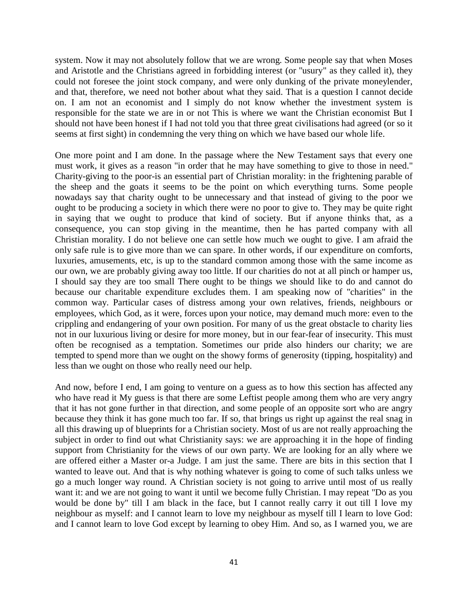system. Now it may not absolutely follow that we are wrong. Some people say that when Moses and Aristotle and the Christians agreed in forbidding interest (or "usury" as they called it), they could not foresee the joint stock company, and were only dunking of the private moneylender, and that, therefore, we need not bother about what they said. That is a question I cannot decide on. I am not an economist and I simply do not know whether the investment system is responsible for the state we are in or not This is where we want the Christian economist But I should not have been honest if I had not told you that three great civilisations had agreed (or so it seems at first sight) in condemning the very thing on which we have based our whole life.

One more point and I am done. In the passage where the New Testament says that every one must work, it gives as a reason "in order that he may have something to give to those in need." Charity-giving to the poor-is an essential part of Christian morality: in the frightening parable of the sheep and the goats it seems to be the point on which everything turns. Some people nowadays say that charity ought to be unnecessary and that instead of giving to the poor we ought to be producing a society in which there were no poor to give to. They may be quite right in saying that we ought to produce that kind of society. But if anyone thinks that, as a consequence, you can stop giving in the meantime, then he has parted company with all Christian morality. I do not believe one can settle how much we ought to give. I am afraid the only safe rule is to give more than we can spare. In other words, if our expenditure on comforts, luxuries, amusements, etc, is up to the standard common among those with the same income as our own, we are probably giving away too little. If our charities do not at all pinch or hamper us, I should say they are too small There ought to be things we should like to do and cannot do because our charitable expenditure excludes them. I am speaking now of "charities" in the common way. Particular cases of distress among your own relatives, friends, neighbours or employees, which God, as it were, forces upon your notice, may demand much more: even to the crippling and endangering of your own position. For many of us the great obstacle to charity lies not in our luxurious living or desire for more money, but in our fear-fear of insecurity. This must often be recognised as a temptation. Sometimes our pride also hinders our charity; we are tempted to spend more than we ought on the showy forms of generosity (tipping, hospitality) and less than we ought on those who really need our help.

And now, before I end, I am going to venture on a guess as to how this section has affected any who have read it My guess is that there are some Leftist people among them who are very angry that it has not gone further in that direction, and some people of an opposite sort who are angry because they think it has gone much too far. If so, that brings us right up against the real snag in all this drawing up of blueprints for a Christian society. Most of us are not really approaching the subject in order to find out what Christianity says: we are approaching it in the hope of finding support from Christianity for the views of our own party. We are looking for an ally where we are offered either a Master or-a Judge. I am just the same. There are bits in this section that I wanted to leave out. And that is why nothing whatever is going to come of such talks unless we go a much longer way round. A Christian society is not going to arrive until most of us really want it: and we are not going to want it until we become fully Christian. I may repeat "Do as you would be done by" till I am black in the face, but I cannot really carry it out till I love my neighbour as myself: and I cannot learn to love my neighbour as myself till I learn to love God: and I cannot learn to love God except by learning to obey Him. And so, as I warned you, we are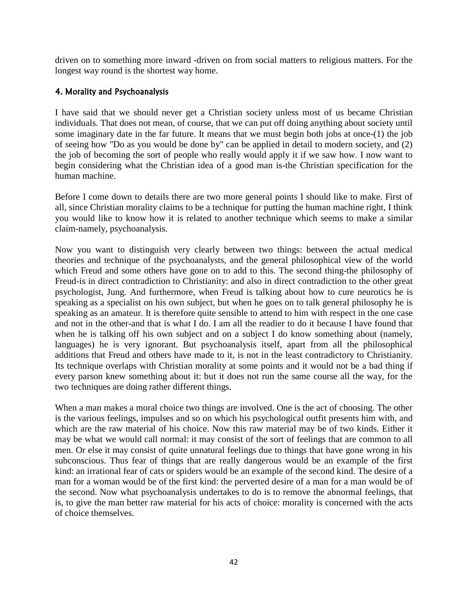driven on to something more inward -driven on from social matters to religious matters. For the longest way round is the shortest way home.

## 4. Morality and Psychoanalysis

I have said that we should never get a Christian society unless most of us became Christian individuals. That does not mean, of course, that we can put off doing anything about society until some imaginary date in the far future. It means that we must begin both jobs at once-(1) the job of seeing how "Do as you would be done by" can be applied in detail to modern society, and (2) the job of becoming the sort of people who really would apply it if we saw how. I now want to begin considering what the Christian idea of a good man is-the Christian specification for the human machine.

Before I come down to details there are two more general points I should like to make. First of all, since Christian morality claims to be a technique for putting the human machine right, I think you would like to know how it is related to another technique which seems to make a similar claim-namely, psychoanalysis.

Now you want to distinguish very clearly between two things: between the actual medical theories and technique of the psychoanalysts, and the general philosophical view of the world which Freud and some others have gone on to add to this. The second thing-the philosophy of Freud-is in direct contradiction to Christianity: and also in direct contradiction to the other great psychologist, Jung. And furthermore, when Freud is talking about how to cure neurotics he is speaking as a specialist on his own subject, but when he goes on to talk general philosophy he is speaking as an amateur. It is therefore quite sensible to attend to him with respect in the one case and not in the other-and that is what I do. I am all the readier to do it because I have found that when he is talking off his own subject and on a subject I do know something about (namely, languages) he is very ignorant. But psychoanalysis itself, apart from all the philosophical additions that Freud and others have made to it, is not in the least contradictory to Christianity. Its technique overlaps with Christian morality at some points and it would not be a bad thing if every parson knew something about it: but it does not run the same course all the way, for the two techniques are doing rather different things.

When a man makes a moral choice two things are involved. One is the act of choosing. The other is the various feelings, impulses and so on which his psychological outfit presents him with, and which are the raw material of his choice. Now this raw material may be of two kinds. Either it may be what we would call normal: it may consist of the sort of feelings that are common to all men. Or else it may consist of quite unnatural feelings due to things that have gone wrong in his subconscious. Thus fear of things that are really dangerous would be an example of the first kind: an irrational fear of cats or spiders would be an example of the second kind. The desire of a man for a woman would be of the first kind: the perverted desire of a man for a man would be of the second. Now what psychoanalysis undertakes to do is to remove the abnormal feelings, that is, to give the man better raw material for his acts of choice: morality is concerned with the acts of choice themselves.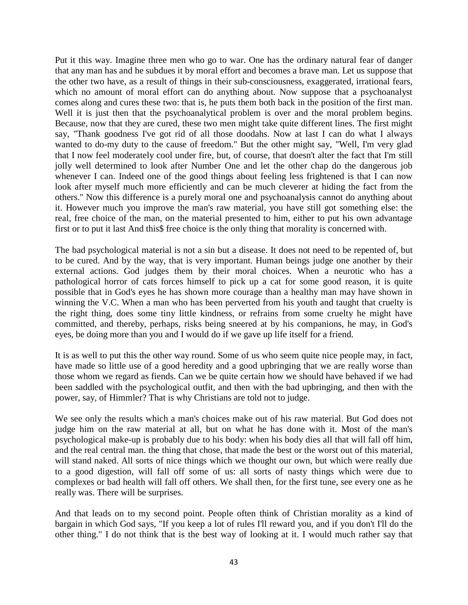Put it this way. Imagine three men who go to war. One has the ordinary natural fear of danger that any man has and he subdues it by moral effort and becomes a brave man. Let us suppose that the other two have, as a result of things in their sub-consciousness, exaggerated, irrational fears, which no amount of moral effort can do anything about. Now suppose that a psychoanalyst comes along and cures these two: that is, he puts them both back in the position of the first man. Well it is just then that the psychoanalytical problem is over and the moral problem begins. Because, now that they are cured, these two men might take quite different lines. The first might say, "Thank goodness I've got rid of all those doodahs. Now at last I can do what I always wanted to do-my duty to the cause of freedom." But the other might say, "Well, I'm very glad that I now feel moderately cool under fire, but, of course, that doesn't alter the fact that I'm still jolly well determined to look after Number One and let the other chap do the dangerous job whenever I can. Indeed one of the good things about feeling less frightened is that I can now look after myself much more efficiently and can be much cleverer at hiding the fact from the others." Now this difference is a purely moral one and psychoanalysis cannot do anything about it. However much you improve the man's raw material, you have still got something else: the real, free choice of the man, on the material presented to him, either to put his own advantage first or to put it last And this\$ free choice is the only thing that morality is concerned with.

The bad psychological material is not a sin but a disease. It does not need to be repented of, but to be cured. And by the way, that is very important. Human beings judge one another by their external actions. God judges them by their moral choices. When a neurotic who has a pathological horror of cats forces himself to pick up a cat for some good reason, it is quite possible that in God's eyes he has shown more courage than a healthy man may have shown in winning the V.C. When a man who has been perverted from his youth and taught that cruelty is the right thing, does some tiny little kindness, or refrains from some cruelty he might have committed, and thereby, perhaps, risks being sneered at by his companions, he may, in God's eyes, be doing more than you and I would do if we gave up life itself for a friend.

It is as well to put this the other way round. Some of us who seem quite nice people may, in fact, have made so little use of a good heredity and a good upbringing that we are really worse than those whom we regard as fiends. Can we be quite certain how we should have behaved if we had been saddled with the psychological outfit, and then with the bad upbringing, and then with the power, say, of Himmler? That is why Christians are told not to judge.

We see only the results which a man's choices make out of his raw material. But God does not judge him on the raw material at all, but on what he has done with it. Most of the man's psychological make-up is probably due to his body: when his body dies all that will fall off him, and the real central man. the thing that chose, that made the best or the worst out of this material, will stand naked. All sorts of nice things which we thought our own, but which were really due to a good digestion, will fall off some of us: all sorts of nasty things which were due to complexes or bad health will fall off others. We shall then, for the first tune, see every one as he really was. There will be surprises.

And that leads on to my second point. People often think of Christian morality as a kind of bargain in which God says, "If you keep a lot of rules I'll reward you, and if you don't I'll do the other thing." I do not think that is the best way of looking at it. I would much rather say that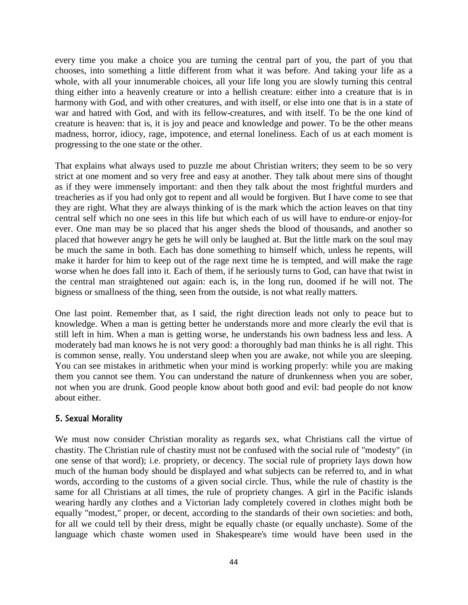every time you make a choice you are turning the central part of you, the part of you that chooses, into something a little different from what it was before. And taking your life as a whole, with all your innumerable choices, all your life long you are slowly turning this central thing either into a heavenly creature or into a hellish creature: either into a creature that is in harmony with God, and with other creatures, and with itself, or else into one that is in a state of war and hatred with God, and with its fellow-creatures, and with itself. To be the one kind of creature is heaven: that is, it is joy and peace and knowledge and power. To be the other means madness, horror, idiocy, rage, impotence, and eternal loneliness. Each of us at each moment is progressing to the one state or the other.

That explains what always used to puzzle me about Christian writers; they seem to be so very strict at one moment and so very free and easy at another. They talk about mere sins of thought as if they were immensely important: and then they talk about the most frightful murders and treacheries as if you had only got to repent and all would be forgiven. But I have come to see that they are right. What they are always thinking of is the mark which the action leaves on that tiny central self which no one sees in this life but which each of us will have to endure-or enjoy-for ever. One man may be so placed that his anger sheds the blood of thousands, and another so placed that however angry he gets he will only be laughed at. But the little mark on the soul may be much the same in both. Each has done something to himself which, unless he repents, will make it harder for him to keep out of the rage next time he is tempted, and will make the rage worse when he does fall into it. Each of them, if he seriously turns to God, can have that twist in the central man straightened out again: each is, in the long run, doomed if he will not. The bigness or smallness of the thing, seen from the outside, is not what really matters.

One last point. Remember that, as I said, the right direction leads not only to peace but to knowledge. When a man is getting better he understands more and more clearly the evil that is still left in him. When a man is getting worse, he understands his own badness less and less. A moderately bad man knows he is not very good: a thoroughly bad man thinks he is all right. This is common sense, really. You understand sleep when you are awake, not while you are sleeping. You can see mistakes in arithmetic when your mind is working properly: while you are making them you cannot see them. You can understand the nature of drunkenness when you are sober, not when you are drunk. Good people know about both good and evil: bad people do not know about either.

## 5. Sexual Morality

We must now consider Christian morality as regards sex, what Christians call the virtue of chastity. The Christian rule of chastity must not be confused with the social rule of "modesty" (in one sense of that word); i.e. propriety, or decency. The social rule of propriety lays down how much of the human body should be displayed and what subjects can be referred to, and in what words, according to the customs of a given social circle. Thus, while the rule of chastity is the same for all Christians at all times, the rule of propriety changes. A girl in the Pacific islands wearing hardly any clothes and a Victorian lady completely covered in clothes might both be equally "modest," proper, or decent, according to the standards of their own societies: and both, for all we could tell by their dress, might be equally chaste (or equally unchaste). Some of the language which chaste women used in Shakespeare's time would have been used in the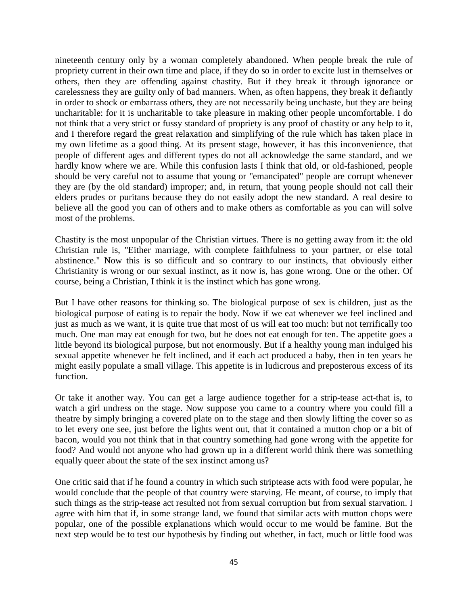nineteenth century only by a woman completely abandoned. When people break the rule of propriety current in their own time and place, if they do so in order to excite lust in themselves or others, then they are offending against chastity. But if they break it through ignorance or carelessness they are guilty only of bad manners. When, as often happens, they break it defiantly in order to shock or embarrass others, they are not necessarily being unchaste, but they are being uncharitable: for it is uncharitable to take pleasure in making other people uncomfortable. I do not think that a very strict or fussy standard of propriety is any proof of chastity or any help to it, and I therefore regard the great relaxation and simplifying of the rule which has taken place in my own lifetime as a good thing. At its present stage, however, it has this inconvenience, that people of different ages and different types do not all acknowledge the same standard, and we hardly know where we are. While this confusion lasts I think that old, or old-fashioned, people should be very careful not to assume that young or "emancipated" people are corrupt whenever they are (by the old standard) improper; and, in return, that young people should not call their elders prudes or puritans because they do not easily adopt the new standard. A real desire to believe all the good you can of others and to make others as comfortable as you can will solve most of the problems.

Chastity is the most unpopular of the Christian virtues. There is no getting away from it: the old Christian rule is, "Either marriage, with complete faithfulness to your partner, or else total abstinence." Now this is so difficult and so contrary to our instincts, that obviously either Christianity is wrong or our sexual instinct, as it now is, has gone wrong. One or the other. Of course, being a Christian, I think it is the instinct which has gone wrong.

But I have other reasons for thinking so. The biological purpose of sex is children, just as the biological purpose of eating is to repair the body. Now if we eat whenever we feel inclined and just as much as we want, it is quite true that most of us will eat too much: but not terrifically too much. One man may eat enough for two, but he does not eat enough for ten. The appetite goes a little beyond its biological purpose, but not enormously. But if a healthy young man indulged his sexual appetite whenever he felt inclined, and if each act produced a baby, then in ten years he might easily populate a small village. This appetite is in ludicrous and preposterous excess of its function.

Or take it another way. You can get a large audience together for a strip-tease act-that is, to watch a girl undress on the stage. Now suppose you came to a country where you could fill a theatre by simply bringing a covered plate on to the stage and then slowly lifting the cover so as to let every one see, just before the lights went out, that it contained a mutton chop or a bit of bacon, would you not think that in that country something had gone wrong with the appetite for food? And would not anyone who had grown up in a different world think there was something equally queer about the state of the sex instinct among us?

One critic said that if he found a country in which such striptease acts with food were popular, he would conclude that the people of that country were starving. He meant, of course, to imply that such things as the strip-tease act resulted not from sexual corruption but from sexual starvation. I agree with him that if, in some strange land, we found that similar acts with mutton chops were popular, one of the possible explanations which would occur to me would be famine. But the next step would be to test our hypothesis by finding out whether, in fact, much or little food was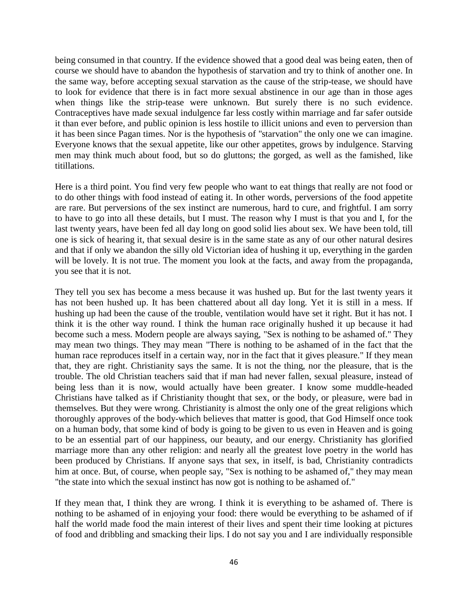being consumed in that country. If the evidence showed that a good deal was being eaten, then of course we should have to abandon the hypothesis of starvation and try to think of another one. In the same way, before accepting sexual starvation as the cause of the strip-tease, we should have to look for evidence that there is in fact more sexual abstinence in our age than in those ages when things like the strip-tease were unknown. But surely there is no such evidence. Contraceptives have made sexual indulgence far less costly within marriage and far safer outside it than ever before, and public opinion is less hostile to illicit unions and even to perversion than it has been since Pagan times. Nor is the hypothesis of "starvation" the only one we can imagine. Everyone knows that the sexual appetite, like our other appetites, grows by indulgence. Starving men may think much about food, but so do gluttons; the gorged, as well as the famished, like titillations.

Here is a third point. You find very few people who want to eat things that really are not food or to do other things with food instead of eating it. In other words, perversions of the food appetite are rare. But perversions of the sex instinct are numerous, hard to cure, and frightful. I am sorry to have to go into all these details, but I must. The reason why I must is that you and I, for the last twenty years, have been fed all day long on good solid lies about sex. We have been told, till one is sick of hearing it, that sexual desire is in the same state as any of our other natural desires and that if only we abandon the silly old Victorian idea of hushing it up, everything in the garden will be lovely. It is not true. The moment you look at the facts, and away from the propaganda, you see that it is not.

They tell you sex has become a mess because it was hushed up. But for the last twenty years it has not been hushed up. It has been chattered about all day long. Yet it is still in a mess. If hushing up had been the cause of the trouble, ventilation would have set it right. But it has not. I think it is the other way round. I think the human race originally hushed it up because it had become such a mess. Modern people are always saying, "Sex is nothing to be ashamed of." They may mean two things. They may mean "There is nothing to be ashamed of in the fact that the human race reproduces itself in a certain way, nor in the fact that it gives pleasure." If they mean that, they are right. Christianity says the same. It is not the thing, nor the pleasure, that is the trouble. The old Christian teachers said that if man had never fallen, sexual pleasure, instead of being less than it is now, would actually have been greater. I know some muddle-headed Christians have talked as if Christianity thought that sex, or the body, or pleasure, were bad in themselves. But they were wrong. Christianity is almost the only one of the great religions which thoroughly approves of the body-which believes that matter is good, that God Himself once took on a human body, that some kind of body is going to be given to us even in Heaven and is going to be an essential part of our happiness, our beauty, and our energy. Christianity has glorified marriage more than any other religion: and nearly all the greatest love poetry in the world has been produced by Christians. If anyone says that sex, in itself, is bad, Christianity contradicts him at once. But, of course, when people say, "Sex is nothing to be ashamed of," they may mean "the state into which the sexual instinct has now got is nothing to be ashamed of."

If they mean that, I think they are wrong. I think it is everything to be ashamed of. There is nothing to be ashamed of in enjoying your food: there would be everything to be ashamed of if half the world made food the main interest of their lives and spent their time looking at pictures of food and dribbling and smacking their lips. I do not say you and I are individually responsible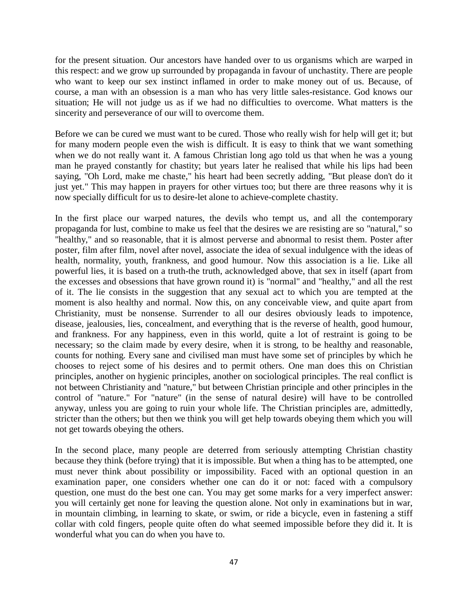for the present situation. Our ancestors have handed over to us organisms which are warped in this respect: and we grow up surrounded by propaganda in favour of unchastity. There are people who want to keep our sex instinct inflamed in order to make money out of us. Because, of course, a man with an obsession is a man who has very little sales-resistance. God knows our situation; He will not judge us as if we had no difficulties to overcome. What matters is the sincerity and perseverance of our will to overcome them.

Before we can be cured we must want to be cured. Those who really wish for help will get it; but for many modern people even the wish is difficult. It is easy to think that we want something when we do not really want it. A famous Christian long ago told us that when he was a young man he prayed constantly for chastity; but years later he realised that while his lips had been saying, "Oh Lord, make me chaste," his heart had been secretly adding, "But please don't do it just yet." This may happen in prayers for other virtues too; but there are three reasons why it is now specially difficult for us to desire-let alone to achieve-complete chastity.

In the first place our warped natures, the devils who tempt us, and all the contemporary propaganda for lust, combine to make us feel that the desires we are resisting are so "natural," so "healthy," and so reasonable, that it is almost perverse and abnormal to resist them. Poster after poster, film after film, novel after novel, associate the idea of sexual indulgence with the ideas of health, normality, youth, frankness, and good humour. Now this association is a lie. Like all powerful lies, it is based on a truth-the truth, acknowledged above, that sex in itself (apart from the excesses and obsessions that have grown round it) is "normal" and "healthy," and all the rest of it. The lie consists in the suggestion that any sexual act to which you are tempted at the moment is also healthy and normal. Now this, on any conceivable view, and quite apart from Christianity, must be nonsense. Surrender to all our desires obviously leads to impotence, disease, jealousies, lies, concealment, and everything that is the reverse of health, good humour, and frankness. For any happiness, even in this world, quite a lot of restraint is going to be necessary; so the claim made by every desire, when it is strong, to be healthy and reasonable, counts for nothing. Every sane and civilised man must have some set of principles by which he chooses to reject some of his desires and to permit others. One man does this on Christian principles, another on hygienic principles, another on sociological principles. The real conflict is not between Christianity and "nature," but between Christian principle and other principles in the control of "nature." For "nature" (in the sense of natural desire) will have to be controlled anyway, unless you are going to ruin your whole life. The Christian principles are, admittedly, stricter than the others; but then we think you will get help towards obeying them which you will not get towards obeying the others.

In the second place, many people are deterred from seriously attempting Christian chastity because they think (before trying) that it is impossible. But when a thing has to be attempted, one must never think about possibility or impossibility. Faced with an optional question in an examination paper, one considers whether one can do it or not: faced with a compulsory question, one must do the best one can. You may get some marks for a very imperfect answer: you will certainly get none for leaving the question alone. Not only in examinations but in war, in mountain climbing, in learning to skate, or swim, or ride a bicycle, even in fastening a stiff collar with cold fingers, people quite often do what seemed impossible before they did it. It is wonderful what you can do when you have to.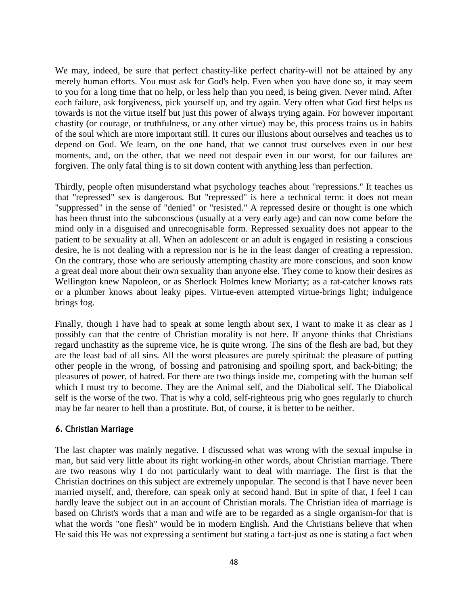We may, indeed, be sure that perfect chastity-like perfect charity-will not be attained by any merely human efforts. You must ask for God's help. Even when you have done so, it may seem to you for a long time that no help, or less help than you need, is being given. Never mind. After each failure, ask forgiveness, pick yourself up, and try again. Very often what God first helps us towards is not the virtue itself but just this power of always trying again. For however important chastity (or courage, or truthfulness, or any other virtue) may be, this process trains us in habits of the soul which are more important still. It cures our illusions about ourselves and teaches us to depend on God. We learn, on the one hand, that we cannot trust ourselves even in our best moments, and, on the other, that we need not despair even in our worst, for our failures are forgiven. The only fatal thing is to sit down content with anything less than perfection.

Thirdly, people often misunderstand what psychology teaches about "repressions." It teaches us that "repressed" sex is dangerous. But "repressed" is here a technical term: it does not mean "suppressed" in the sense of "denied" or "resisted." A repressed desire or thought is one which has been thrust into the subconscious (usually at a very early age) and can now come before the mind only in a disguised and unrecognisable form. Repressed sexuality does not appear to the patient to be sexuality at all. When an adolescent or an adult is engaged in resisting a conscious desire, he is not dealing with a repression nor is he in the least danger of creating a repression. On the contrary, those who are seriously attempting chastity are more conscious, and soon know a great deal more about their own sexuality than anyone else. They come to know their desires as Wellington knew Napoleon, or as Sherlock Holmes knew Moriarty; as a rat-catcher knows rats or a plumber knows about leaky pipes. Virtue-even attempted virtue-brings light; indulgence brings fog.

Finally, though I have had to speak at some length about sex, I want to make it as clear as I possibly can that the centre of Christian morality is not here. If anyone thinks that Christians regard unchastity as the supreme vice, he is quite wrong. The sins of the flesh are bad, but they are the least bad of all sins. All the worst pleasures are purely spiritual: the pleasure of putting other people in the wrong, of bossing and patronising and spoiling sport, and back-biting; the pleasures of power, of hatred. For there are two things inside me, competing with the human self which I must try to become. They are the Animal self, and the Diabolical self. The Diabolical self is the worse of the two. That is why a cold, self-righteous prig who goes regularly to church may be far nearer to hell than a prostitute. But, of course, it is better to be neither.

## 6. Christian Marriage

The last chapter was mainly negative. I discussed what was wrong with the sexual impulse in man, but said very little about its right working-in other words, about Christian marriage. There are two reasons why I do not particularly want to deal with marriage. The first is that the Christian doctrines on this subject are extremely unpopular. The second is that I have never been married myself, and, therefore, can speak only at second hand. But in spite of that, I feel I can hardly leave the subject out in an account of Christian morals. The Christian idea of marriage is based on Christ's words that a man and wife are to be regarded as a single organism-for that is what the words "one flesh" would be in modern English. And the Christians believe that when He said this He was not expressing a sentiment but stating a fact-just as one is stating a fact when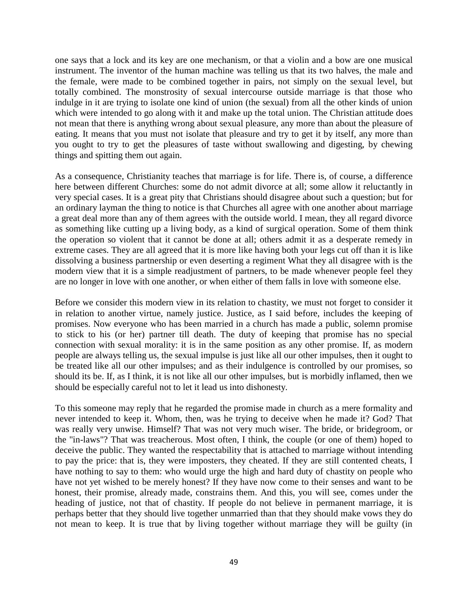one says that a lock and its key are one mechanism, or that a violin and a bow are one musical instrument. The inventor of the human machine was telling us that its two halves, the male and the female, were made to be combined together in pairs, not simply on the sexual level, but totally combined. The monstrosity of sexual intercourse outside marriage is that those who indulge in it are trying to isolate one kind of union (the sexual) from all the other kinds of union which were intended to go along with it and make up the total union. The Christian attitude does not mean that there is anything wrong about sexual pleasure, any more than about the pleasure of eating. It means that you must not isolate that pleasure and try to get it by itself, any more than you ought to try to get the pleasures of taste without swallowing and digesting, by chewing things and spitting them out again.

As a consequence, Christianity teaches that marriage is for life. There is, of course, a difference here between different Churches: some do not admit divorce at all; some allow it reluctantly in very special cases. It is a great pity that Christians should disagree about such a question; but for an ordinary layman the thing to notice is that Churches all agree with one another about marriage a great deal more than any of them agrees with the outside world. I mean, they all regard divorce as something like cutting up a living body, as a kind of surgical operation. Some of them think the operation so violent that it cannot be done at all; others admit it as a desperate remedy in extreme cases. They are all agreed that it is more like having both your legs cut off than it is like dissolving a business partnership or even deserting a regiment What they all disagree with is the modern view that it is a simple readjustment of partners, to be made whenever people feel they are no longer in love with one another, or when either of them falls in love with someone else.

Before we consider this modern view in its relation to chastity, we must not forget to consider it in relation to another virtue, namely justice. Justice, as I said before, includes the keeping of promises. Now everyone who has been married in a church has made a public, solemn promise to stick to his (or her) partner till death. The duty of keeping that promise has no special connection with sexual morality: it is in the same position as any other promise. If, as modern people are always telling us, the sexual impulse is just like all our other impulses, then it ought to be treated like all our other impulses; and as their indulgence is controlled by our promises, so should its be. If, as I think, it is not like all our other impulses, but is morbidly inflamed, then we should be especially careful not to let it lead us into dishonesty.

To this someone may reply that he regarded the promise made in church as a mere formality and never intended to keep it. Whom, then, was he trying to deceive when he made it? God? That was really very unwise. Himself? That was not very much wiser. The bride, or bridegroom, or the "in-laws"? That was treacherous. Most often, I think, the couple (or one of them) hoped to deceive the public. They wanted the respectability that is attached to marriage without intending to pay the price: that is, they were imposters, they cheated. If they are still contented cheats, I have nothing to say to them: who would urge the high and hard duty of chastity on people who have not yet wished to be merely honest? If they have now come to their senses and want to be honest, their promise, already made, constrains them. And this, you will see, comes under the heading of justice, not that of chastity. If people do not believe in permanent marriage, it is perhaps better that they should live together unmarried than that they should make vows they do not mean to keep. It is true that by living together without marriage they will be guilty (in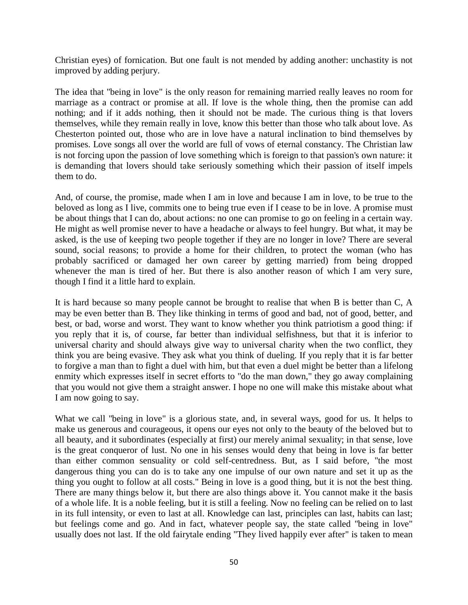Christian eyes) of fornication. But one fault is not mended by adding another: unchastity is not improved by adding perjury.

The idea that "being in love" is the only reason for remaining married really leaves no room for marriage as a contract or promise at all. If love is the whole thing, then the promise can add nothing; and if it adds nothing, then it should not be made. The curious thing is that lovers themselves, while they remain really in love, know this better than those who talk about love. As Chesterton pointed out, those who are in love have a natural inclination to bind themselves by promises. Love songs all over the world are full of vows of eternal constancy. The Christian law is not forcing upon the passion of love something which is foreign to that passion's own nature: it is demanding that lovers should take seriously something which their passion of itself impels them to do.

And, of course, the promise, made when I am in love and because I am in love, to be true to the beloved as long as I live, commits one to being true even if I cease to be in love. A promise must be about things that I can do, about actions: no one can promise to go on feeling in a certain way. He might as well promise never to have a headache or always to feel hungry. But what, it may be asked, is the use of keeping two people together if they are no longer in love? There are several sound, social reasons; to provide a home for their children, to protect the woman (who has probably sacrificed or damaged her own career by getting married) from being dropped whenever the man is tired of her. But there is also another reason of which I am very sure, though I find it a little hard to explain.

It is hard because so many people cannot be brought to realise that when B is better than C, A may be even better than B. They like thinking in terms of good and bad, not of good, better, and best, or bad, worse and worst. They want to know whether you think patriotism a good thing: if you reply that it is, of course, far better than individual selfishness, but that it is inferior to universal charity and should always give way to universal charity when the two conflict, they think you are being evasive. They ask what you think of dueling. If you reply that it is far better to forgive a man than to fight a duel with him, but that even a duel might be better than a lifelong enmity which expresses itself in secret efforts to "do the man down," they go away complaining that you would not give them a straight answer. I hope no one will make this mistake about what I am now going to say.

What we call "being in love" is a glorious state, and, in several ways, good for us. It helps to make us generous and courageous, it opens our eyes not only to the beauty of the beloved but to all beauty, and it subordinates (especially at first) our merely animal sexuality; in that sense, love is the great conqueror of lust. No one in his senses would deny that being in love is far better than either common sensuality or cold self-centredness. But, as I said before, "the most dangerous thing you can do is to take any one impulse of our own nature and set it up as the thing you ought to follow at all costs." Being in love is a good thing, but it is not the best thing. There are many things below it, but there are also things above it. You cannot make it the basis of a whole life. It is a noble feeling, but it is still a feeling. Now no feeling can be relied on to last in its full intensity, or even to last at all. Knowledge can last, principles can last, habits can last; but feelings come and go. And in fact, whatever people say, the state called "being in love" usually does not last. If the old fairytale ending "They lived happily ever after" is taken to mean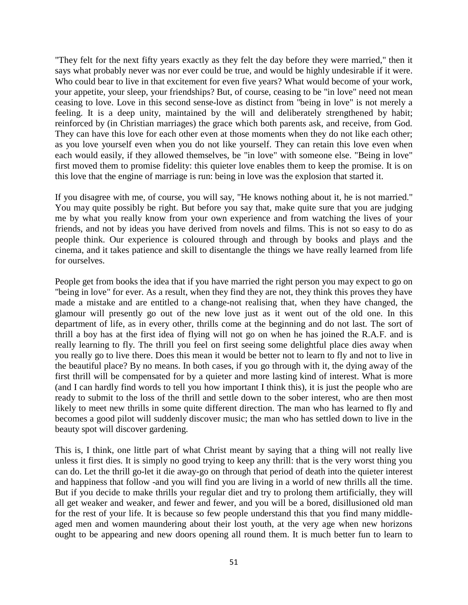"They felt for the next fifty years exactly as they felt the day before they were married," then it says what probably never was nor ever could be true, and would be highly undesirable if it were. Who could bear to live in that excitement for even five years? What would become of your work, your appetite, your sleep, your friendships? But, of course, ceasing to be "in love" need not mean ceasing to love. Love in this second sense-love as distinct from "being in love" is not merely a feeling. It is a deep unity, maintained by the will and deliberately strengthened by habit; reinforced by (in Christian marriages) the grace which both parents ask, and receive, from God. They can have this love for each other even at those moments when they do not like each other; as you love yourself even when you do not like yourself. They can retain this love even when each would easily, if they allowed themselves, be "in love" with someone else. "Being in love" first moved them to promise fidelity: this quieter love enables them to keep the promise. It is on this love that the engine of marriage is run: being in love was the explosion that started it.

If you disagree with me, of course, you will say, "He knows nothing about it, he is not married." You may quite possibly be right. But before you say that, make quite sure that you are judging me by what you really know from your own experience and from watching the lives of your friends, and not by ideas you have derived from novels and films. This is not so easy to do as people think. Our experience is coloured through and through by books and plays and the cinema, and it takes patience and skill to disentangle the things we have really learned from life for ourselves.

People get from books the idea that if you have married the right person you may expect to go on "being in love" for ever. As a result, when they find they are not, they think this proves they have made a mistake and are entitled to a change-not realising that, when they have changed, the glamour will presently go out of the new love just as it went out of the old one. In this department of life, as in every other, thrills come at the beginning and do not last. The sort of thrill a boy has at the first idea of flying will not go on when he has joined the R.A.F. and is really learning to fly. The thrill you feel on first seeing some delightful place dies away when you really go to live there. Does this mean it would be better not to learn to fly and not to live in the beautiful place? By no means. In both cases, if you go through with it, the dying away of the first thrill will be compensated for by a quieter and more lasting kind of interest. What is more (and I can hardly find words to tell you how important I think this), it is just the people who are ready to submit to the loss of the thrill and settle down to the sober interest, who are then most likely to meet new thrills in some quite different direction. The man who has learned to fly and becomes a good pilot will suddenly discover music; the man who has settled down to live in the beauty spot will discover gardening.

This is, I think, one little part of what Christ meant by saying that a thing will not really live unless it first dies. It is simply no good trying to keep any thrill: that is the very worst thing you can do. Let the thrill go-let it die away-go on through that period of death into the quieter interest and happiness that follow -and you will find you are living in a world of new thrills all the time. But if you decide to make thrills your regular diet and try to prolong them artificially, they will all get weaker and weaker, and fewer and fewer, and you will be a bored, disillusioned old man for the rest of your life. It is because so few people understand this that you find many middleaged men and women maundering about their lost youth, at the very age when new horizons ought to be appearing and new doors opening all round them. It is much better fun to learn to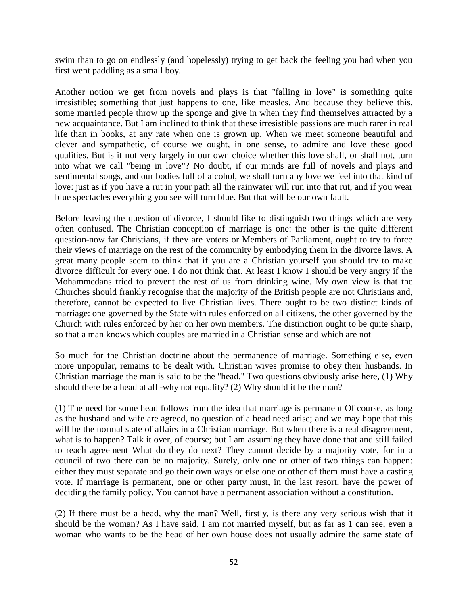swim than to go on endlessly (and hopelessly) trying to get back the feeling you had when you first went paddling as a small boy.

Another notion we get from novels and plays is that "falling in love" is something quite irresistible; something that just happens to one, like measles. And because they believe this, some married people throw up the sponge and give in when they find themselves attracted by a new acquaintance. But I am inclined to think that these irresistible passions are much rarer in real life than in books, at any rate when one is grown up. When we meet someone beautiful and clever and sympathetic, of course we ought, in one sense, to admire and love these good qualities. But is it not very largely in our own choice whether this love shall, or shall not, turn into what we call "being in love"? No doubt, if our minds are full of novels and plays and sentimental songs, and our bodies full of alcohol, we shall turn any love we feel into that kind of love: just as if you have a rut in your path all the rainwater will run into that rut, and if you wear blue spectacles everything you see will turn blue. But that will be our own fault.

Before leaving the question of divorce, I should like to distinguish two things which are very often confused. The Christian conception of marriage is one: the other is the quite different question-now far Christians, if they are voters or Members of Parliament, ought to try to force their views of marriage on the rest of the community by embodying them in the divorce laws. A great many people seem to think that if you are a Christian yourself you should try to make divorce difficult for every one. I do not think that. At least I know I should be very angry if the Mohammedans tried to prevent the rest of us from drinking wine. My own view is that the Churches should frankly recognise that the majority of the British people are not Christians and, therefore, cannot be expected to live Christian lives. There ought to be two distinct kinds of marriage: one governed by the State with rules enforced on all citizens, the other governed by the Church with rules enforced by her on her own members. The distinction ought to be quite sharp, so that a man knows which couples are married in a Christian sense and which are not

So much for the Christian doctrine about the permanence of marriage. Something else, even more unpopular, remains to be dealt with. Christian wives promise to obey their husbands. In Christian marriage the man is said to be the "head." Two questions obviously arise here, (1) Why should there be a head at all -why not equality? (2) Why should it be the man?

(1) The need for some head follows from the idea that marriage is permanent Of course, as long as the husband and wife are agreed, no question of a head need arise; and we may hope that this will be the normal state of affairs in a Christian marriage. But when there is a real disagreement, what is to happen? Talk it over, of course; but I am assuming they have done that and still failed to reach agreement What do they do next? They cannot decide by a majority vote, for in a council of two there can be no majority. Surely, only one or other of two things can happen: either they must separate and go their own ways or else one or other of them must have a casting vote. If marriage is permanent, one or other party must, in the last resort, have the power of deciding the family policy. You cannot have a permanent association without a constitution.

(2) If there must be a head, why the man? Well, firstly, is there any very serious wish that it should be the woman? As I have said, I am not married myself, but as far as 1 can see, even a woman who wants to be the head of her own house does not usually admire the same state of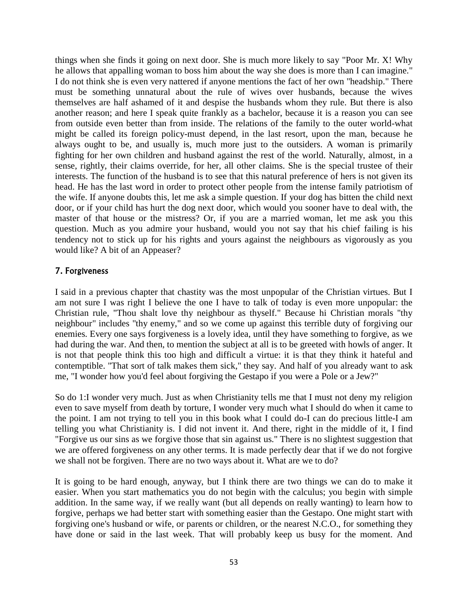things when she finds it going on next door. She is much more likely to say "Poor Mr. X! Why he allows that appalling woman to boss him about the way she does is more than I can imagine." I do not think she is even very nattered if anyone mentions the fact of her own "headship." There must be something unnatural about the rule of wives over husbands, because the wives themselves are half ashamed of it and despise the husbands whom they rule. But there is also another reason; and here I speak quite frankly as a bachelor, because it is a reason you can see from outside even better than from inside. The relations of the family to the outer world-what might be called its foreign policy-must depend, in the last resort, upon the man, because he always ought to be, and usually is, much more just to the outsiders. A woman is primarily fighting for her own children and husband against the rest of the world. Naturally, almost, in a sense, rightly, their claims override, for her, all other claims. She is the special trustee of their interests. The function of the husband is to see that this natural preference of hers is not given its head. He has the last word in order to protect other people from the intense family patriotism of the wife. If anyone doubts this, let me ask a simple question. If your dog has bitten the child next door, or if your child has hurt the dog next door, which would you sooner have to deal with, the master of that house or the mistress? Or, if you are a married woman, let me ask you this question. Much as you admire your husband, would you not say that his chief failing is his tendency not to stick up for his rights and yours against the neighbours as vigorously as you would like? A bit of an Appeaser?

## 7. Forgiveness

I said in a previous chapter that chastity was the most unpopular of the Christian virtues. But I am not sure I was right I believe the one I have to talk of today is even more unpopular: the Christian rule, "Thou shalt love thy neighbour as thyself." Because hi Christian morals "thy neighbour" includes "thy enemy," and so we come up against this terrible duty of forgiving our enemies. Every one says forgiveness is a lovely idea, until they have something to forgive, as we had during the war. And then, to mention the subject at all is to be greeted with howls of anger. It is not that people think this too high and difficult a virtue: it is that they think it hateful and contemptible. "That sort of talk makes them sick," they say. And half of you already want to ask me, "I wonder how you'd feel about forgiving the Gestapo if you were a Pole or a Jew?"

So do 1:I wonder very much. Just as when Christianity tells me that I must not deny my religion even to save myself from death by torture, I wonder very much what I should do when it came to the point. I am not trying to tell you in this book what I could do-I can do precious little-I am telling you what Christianity is. I did not invent it. And there, right in the middle of it, I find "Forgive us our sins as we forgive those that sin against us." There is no slightest suggestion that we are offered forgiveness on any other terms. It is made perfectly dear that if we do not forgive we shall not be forgiven. There are no two ways about it. What are we to do?

It is going to be hard enough, anyway, but I think there are two things we can do to make it easier. When you start mathematics you do not begin with the calculus; you begin with simple addition. In the same way, if we really want (but all depends on really wanting) to learn how to forgive, perhaps we had better start with something easier than the Gestapo. One might start with forgiving one's husband or wife, or parents or children, or the nearest N.C.O., for something they have done or said in the last week. That will probably keep us busy for the moment. And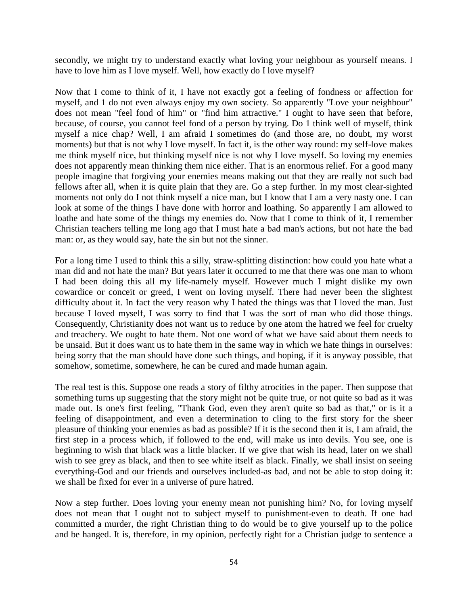secondly, we might try to understand exactly what loving your neighbour as yourself means. I have to love him as I love myself. Well, how exactly do I love myself?

Now that I come to think of it, I have not exactly got a feeling of fondness or affection for myself, and 1 do not even always enjoy my own society. So apparently "Love your neighbour" does not mean "feel fond of him" or "find him attractive." I ought to have seen that before, because, of course, you cannot feel fond of a person by trying. Do 1 think well of myself, think myself a nice chap? Well, I am afraid I sometimes do (and those are, no doubt, my worst moments) but that is not why I love myself. In fact it, is the other way round: my self-love makes me think myself nice, but thinking myself nice is not why I love myself. So loving my enemies does not apparently mean thinking them nice either. That is an enormous relief. For a good many people imagine that forgiving your enemies means making out that they are really not such bad fellows after all, when it is quite plain that they are. Go a step further. In my most clear-sighted moments not only do I not think myself a nice man, but I know that I am a very nasty one. I can look at some of the things I have done with horror and loathing. So apparently I am allowed to loathe and hate some of the things my enemies do. Now that I come to think of it, I remember Christian teachers telling me long ago that I must hate a bad man's actions, but not hate the bad man: or, as they would say, hate the sin but not the sinner.

For a long time I used to think this a silly, straw-splitting distinction: how could you hate what a man did and not hate the man? But years later it occurred to me that there was one man to whom I had been doing this all my life-namely myself. However much I might dislike my own cowardice or conceit or greed, I went on loving myself. There had never been the slightest difficulty about it. In fact the very reason why I hated the things was that I loved the man. Just because I loved myself, I was sorry to find that I was the sort of man who did those things. Consequently, Christianity does not want us to reduce by one atom the hatred we feel for cruelty and treachery. We ought to hate them. Not one word of what we have said about them needs to be unsaid. But it does want us to hate them in the same way in which we hate things in ourselves: being sorry that the man should have done such things, and hoping, if it is anyway possible, that somehow, sometime, somewhere, he can be cured and made human again.

The real test is this. Suppose one reads a story of filthy atrocities in the paper. Then suppose that something turns up suggesting that the story might not be quite true, or not quite so bad as it was made out. Is one's first feeling, "Thank God, even they aren't quite so bad as that," or is it a feeling of disappointment, and even a determination to cling to the first story for the sheer pleasure of thinking your enemies as bad as possible? If it is the second then it is, I am afraid, the first step in a process which, if followed to the end, will make us into devils. You see, one is beginning to wish that black was a little blacker. If we give that wish its head, later on we shall wish to see grey as black, and then to see white itself as black. Finally, we shall insist on seeing everything-God and our friends and ourselves included-as bad, and not be able to stop doing it: we shall be fixed for ever in a universe of pure hatred.

Now a step further. Does loving your enemy mean not punishing him? No, for loving myself does not mean that I ought not to subject myself to punishment-even to death. If one had committed a murder, the right Christian thing to do would be to give yourself up to the police and be hanged. It is, therefore, in my opinion, perfectly right for a Christian judge to sentence a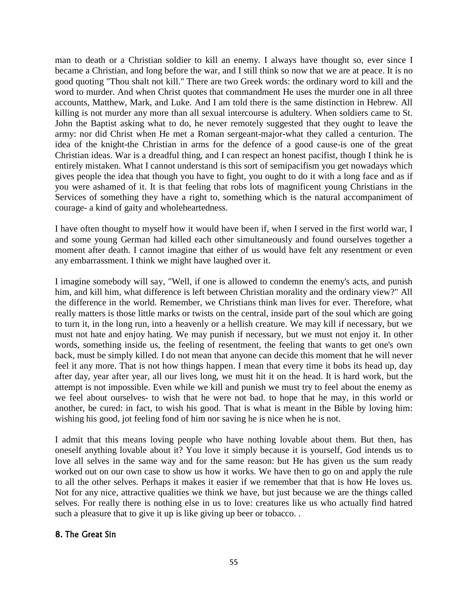man to death or a Christian soldier to kill an enemy. I always have thought so, ever since I became a Christian, and long before the war, and I still think so now that we are at peace. It is no good quoting "Thou shalt not kill." There are two Greek words: the ordinary word to kill and the word to murder. And when Christ quotes that commandment He uses the murder one in all three accounts, Matthew, Mark, and Luke. And I am told there is the same distinction in Hebrew. All killing is not murder any more than all sexual intercourse is adultery. When soldiers came to St. John the Baptist asking what to do, he never remotely suggested that they ought to leave the army: nor did Christ when He met a Roman sergeant-major-what they called a centurion. The idea of the knight-the Christian in arms for the defence of a good cause-is one of the great Christian ideas. War is a dreadful thing, and I can respect an honest pacifist, though I think he is entirely mistaken. What I cannot understand is this sort of semipacifism you get nowadays which gives people the idea that though you have to fight, you ought to do it with a long face and as if you were ashamed of it. It is that feeling that robs lots of magnificent young Christians in the Services of something they have a right to, something which is the natural accompaniment of courage- a kind of gaity and wholeheartedness.

I have often thought to myself how it would have been if, when I served in the first world war, I and some young German had killed each other simultaneously and found ourselves together a moment after death. I cannot imagine that either of us would have felt any resentment or even any embarrassment. I think we might have laughed over it.

I imagine somebody will say, "Well, if one is allowed to condemn the enemy's acts, and punish him, and kill him, what difference is left between Christian morality and the ordinary view?" All the difference in the world. Remember, we Christians think man lives for ever. Therefore, what really matters is those little marks or twists on the central, inside part of the soul which are going to turn it, in the long run, into a heavenly or a hellish creature. We may kill if necessary, but we must not hate and enjoy hating. We may punish if necessary, but we must not enjoy it. In other words, something inside us, the feeling of resentment, the feeling that wants to get one's own back, must be simply killed. I do not mean that anyone can decide this moment that he will never feel it any more. That is not how things happen. I mean that every time it bobs its head up, day after day, year after year, all our lives long, we must hit it on the head. It is hard work, but the attempt is not impossible. Even while we kill and punish we must try to feel about the enemy as we feel about ourselves- to wish that he were not bad. to hope that he may, in this world or another, be cured: in fact, to wish his good. That is what is meant in the Bible by loving him: wishing his good, jot feeling fond of him nor saving he is nice when he is not.

I admit that this means loving people who have nothing lovable about them. But then, has oneself anything lovable about it? You love it simply because it is yourself, God intends us to love all selves in the same way and for the same reason: but He has given us the sum ready worked out on our own case to show us how it works. We have then to go on and apply the rule to all the other selves. Perhaps it makes it easier if we remember that that is how He loves us. Not for any nice, attractive qualities we think we have, but just because we are the things called selves. For really there is nothing else in us to love: creatures like us who actually find hatred such a pleasure that to give it up is like giving up beer or tobacco...

## 8. The Great Sin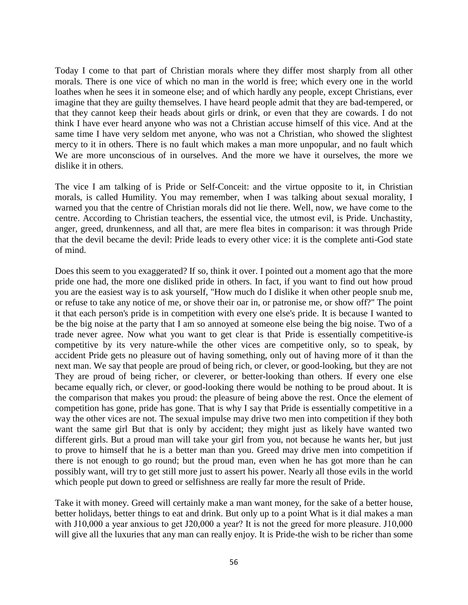Today I come to that part of Christian morals where they differ most sharply from all other morals. There is one vice of which no man in the world is free; which every one in the world loathes when he sees it in someone else; and of which hardly any people, except Christians, ever imagine that they are guilty themselves. I have heard people admit that they are bad-tempered, or that they cannot keep their heads about girls or drink, or even that they are cowards. I do not think I have ever heard anyone who was not a Christian accuse himself of this vice. And at the same time I have very seldom met anyone, who was not a Christian, who showed the slightest mercy to it in others. There is no fault which makes a man more unpopular, and no fault which We are more unconscious of in ourselves. And the more we have it ourselves, the more we dislike it in others.

The vice I am talking of is Pride or Self-Conceit: and the virtue opposite to it, in Christian morals, is called Humility. You may remember, when I was talking about sexual morality, I warned you that the centre of Christian morals did not lie there. Well, now, we have come to the centre. According to Christian teachers, the essential vice, the utmost evil, is Pride. Unchastity, anger, greed, drunkenness, and all that, are mere flea bites in comparison: it was through Pride that the devil became the devil: Pride leads to every other vice: it is the complete anti-God state of mind.

Does this seem to you exaggerated? If so, think it over. I pointed out a moment ago that the more pride one had, the more one disliked pride in others. In fact, if you want to find out how proud you are the easiest way is to ask yourself, "How much do I dislike it when other people snub me, or refuse to take any notice of me, or shove their oar in, or patronise me, or show off?" The point it that each person's pride is in competition with every one else's pride. It is because I wanted to be the big noise at the party that I am so annoyed at someone else being the big noise. Two of a trade never agree. Now what you want to get clear is that Pride is essentially competitive-is competitive by its very nature-while the other vices are competitive only, so to speak, by accident Pride gets no pleasure out of having something, only out of having more of it than the next man. We say that people are proud of being rich, or clever, or good-looking, but they are not They are proud of being richer, or cleverer, or better-looking than others. If every one else became equally rich, or clever, or good-looking there would be nothing to be proud about. It is the comparison that makes you proud: the pleasure of being above the rest. Once the element of competition has gone, pride has gone. That is why I say that Pride is essentially competitive in a way the other vices are not. The sexual impulse may drive two men into competition if they both want the same girl But that is only by accident; they might just as likely have wanted two different girls. But a proud man will take your girl from you, not because he wants her, but just to prove to himself that he is a better man than you. Greed may drive men into competition if there is not enough to go round; but the proud man, even when he has got more than he can possibly want, will try to get still more just to assert his power. Nearly all those evils in the world which people put down to greed or selfishness are really far more the result of Pride.

Take it with money. Greed will certainly make a man want money, for the sake of a better house, better holidays, better things to eat and drink. But only up to a point What is it dial makes a man with J10,000 a year anxious to get J20,000 a year? It is not the greed for more pleasure. J10,000 will give all the luxuries that any man can really enjoy. It is Pride-the wish to be richer than some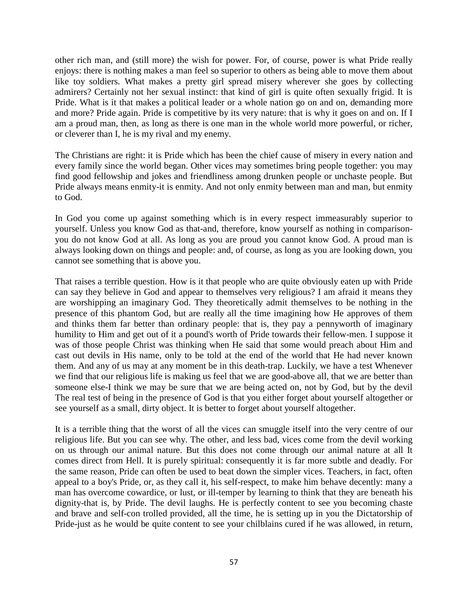other rich man, and (still more) the wish for power. For, of course, power is what Pride really enjoys: there is nothing makes a man feel so superior to others as being able to move them about like toy soldiers. What makes a pretty girl spread misery wherever she goes by collecting admirers? Certainly not her sexual instinct: that kind of girl is quite often sexually frigid. It is Pride. What is it that makes a political leader or a whole nation go on and on, demanding more and more? Pride again. Pride is competitive by its very nature: that is why it goes on and on. If I am a proud man, then, as long as there is one man in the whole world more powerful, or richer, or cleverer than I, he is my rival and my enemy.

The Christians are right: it is Pride which has been the chief cause of misery in every nation and every family since the world began. Other vices may sometimes bring people together: you may find good fellowship and jokes and friendliness among drunken people or unchaste people. But Pride always means enmity-it is enmity. And not only enmity between man and man, but enmity to God.

In God you come up against something which is in every respect immeasurably superior to yourself. Unless you know God as that-and, therefore, know yourself as nothing in comparisonyou do not know God at all. As long as you are proud you cannot know God. A proud man is always looking down on things and people: and, of course, as long as you are looking down, you cannot see something that is above you.

That raises a terrible question. How is it that people who are quite obviously eaten up with Pride can say they believe in God and appear to themselves very religious? I am afraid it means they are worshipping an imaginary God. They theoretically admit themselves to be nothing in the presence of this phantom God, but are really all the time imagining how He approves of them and thinks them far better than ordinary people: that is, they pay a pennyworth of imaginary humility to Him and get out of it a pound's worth of Pride towards their fellow-men. I suppose it was of those people Christ was thinking when He said that some would preach about Him and cast out devils in His name, only to be told at the end of the world that He had never known them. And any of us may at any moment be in this death-trap. Luckily, we have a test Whenever we find that our religious life is making us feel that we are good-above all, that we are better than someone else-I think we may be sure that we are being acted on, not by God, but by the devil The real test of being in the presence of God is that you either forget about yourself altogether or see yourself as a small, dirty object. It is better to forget about yourself altogether.

It is a terrible thing that the worst of all the vices can smuggle itself into the very centre of our religious life. But you can see why. The other, and less bad, vices come from the devil working on us through our animal nature. But this does not come through our animal nature at all It comes direct from Hell. It is purely spiritual: consequently it is far more subtle and deadly. For the same reason, Pride can often be used to beat down the simpler vices. Teachers, in fact, often appeal to a boy's Pride, or, as they call it, his self-respect, to make him behave decently: many a man has overcome cowardice, or lust, or ill-temper by learning to think that they are beneath his dignity-that is, by Pride. The devil laughs. He is perfectly content to see you becoming chaste and brave and self-con trolled provided, all the time, he is setting up in you the Dictatorship of Pride-just as he would be quite content to see your chilblains cured if he was allowed, in return,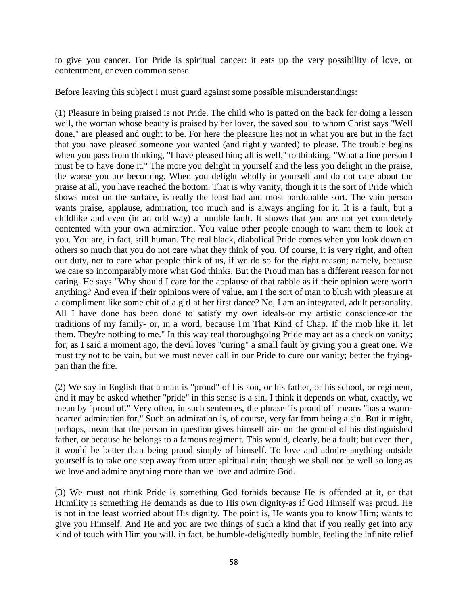to give you cancer. For Pride is spiritual cancer: it eats up the very possibility of love, or contentment, or even common sense.

Before leaving this subject I must guard against some possible misunderstandings:

(1) Pleasure in being praised is not Pride. The child who is patted on the back for doing a lesson well, the woman whose beauty is praised by her lover, the saved soul to whom Christ says "Well done," are pleased and ought to be. For here the pleasure lies not in what you are but in the fact that you have pleased someone you wanted (and rightly wanted) to please. The trouble begins when you pass from thinking, "I have pleased him; all is well," to thinking, "What a fine person I must be to have done it." The more you delight in yourself and the less you delight in the praise, the worse you are becoming. When you delight wholly in yourself and do not care about the praise at all, you have reached the bottom. That is why vanity, though it is the sort of Pride which shows most on the surface, is really the least bad and most pardonable sort. The vain person wants praise, applause, admiration, too much and is always angling for it. It is a fault, but a childlike and even (in an odd way) a humble fault. It shows that you are not yet completely contented with your own admiration. You value other people enough to want them to look at you. You are, in fact, still human. The real black, diabolical Pride comes when you look down on others so much that you do not care what they think of you. Of course, it is very right, and often our duty, not to care what people think of us, if we do so for the right reason; namely, because we care so incomparably more what God thinks. But the Proud man has a different reason for not caring. He says "Why should I care for the applause of that rabble as if their opinion were worth anything? And even if their opinions were of value, am I the sort of man to blush with pleasure at a compliment like some chit of a girl at her first dance? No, I am an integrated, adult personality. All I have done has been done to satisfy my own ideals-or my artistic conscience-or the traditions of my family- or, in a word, because I'm That Kind of Chap. If the mob like it, let them. They're nothing to me." In this way real thoroughgoing Pride may act as a check on vanity; for, as I said a moment ago, the devil loves "curing" a small fault by giving you a great one. We must try not to be vain, but we must never call in our Pride to cure our vanity; better the fryingpan than the fire.

(2) We say in English that a man is "proud" of his son, or his father, or his school, or regiment, and it may be asked whether "pride" in this sense is a sin. I think it depends on what, exactly, we mean by "proud of." Very often, in such sentences, the phrase "is proud of" means "has a warmhearted admiration for." Such an admiration is, of course, very far from being a sin. But it might, perhaps, mean that the person in question gives himself airs on the ground of his distinguished father, or because he belongs to a famous regiment. This would, clearly, be a fault; but even then, it would be better than being proud simply of himself. To love and admire anything outside yourself is to take one step away from utter spiritual ruin; though we shall not be well so long as we love and admire anything more than we love and admire God.

(3) We must not think Pride is something God forbids because He is offended at it, or that Humility is something He demands as due to His own dignity-as if God Himself was proud. He is not in the least worried about His dignity. The point is, He wants you to know Him; wants to give you Himself. And He and you are two things of such a kind that if you really get into any kind of touch with Him you will, in fact, be humble-delightedly humble, feeling the infinite relief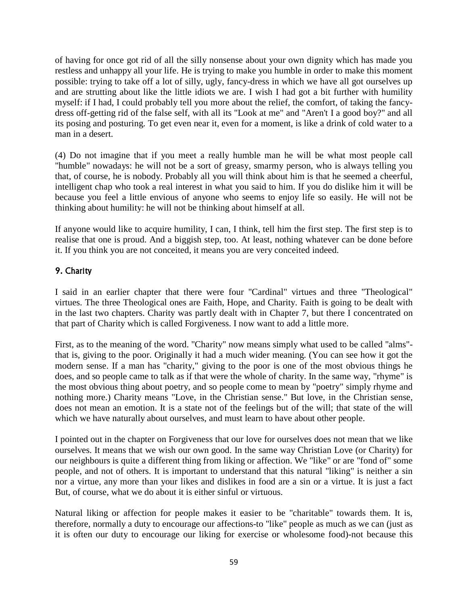of having for once got rid of all the silly nonsense about your own dignity which has made you restless and unhappy all your life. He is trying to make you humble in order to make this moment possible: trying to take off a lot of silly, ugly, fancy-dress in which we have all got ourselves up and are strutting about like the little idiots we are. I wish I had got a bit further with humility myself: if I had, I could probably tell you more about the relief, the comfort, of taking the fancydress off-getting rid of the false self, with all its "Look at me" and "Aren't I a good boy?" and all its posing and posturing. To get even near it, even for a moment, is like a drink of cold water to a man in a desert.

(4) Do not imagine that if you meet a really humble man he will be what most people call "humble" nowadays: he will not be a sort of greasy, smarmy person, who is always telling you that, of course, he is nobody. Probably all you will think about him is that he seemed a cheerful, intelligent chap who took a real interest in what you said to him. If you do dislike him it will be because you feel a little envious of anyone who seems to enjoy life so easily. He will not be thinking about humility: he will not be thinking about himself at all.

If anyone would like to acquire humility, I can, I think, tell him the first step. The first step is to realise that one is proud. And a biggish step, too. At least, nothing whatever can be done before it. If you think you are not conceited, it means you are very conceited indeed.

## 9. Charity

I said in an earlier chapter that there were four "Cardinal" virtues and three "Theological" virtues. The three Theological ones are Faith, Hope, and Charity. Faith is going to be dealt with in the last two chapters. Charity was partly dealt with in Chapter 7, but there I concentrated on that part of Charity which is called Forgiveness. I now want to add a little more.

First, as to the meaning of the word. "Charity" now means simply what used to be called "alms" that is, giving to the poor. Originally it had a much wider meaning. (You can see how it got the modern sense. If a man has "charity," giving to the poor is one of the most obvious things he does, and so people came to talk as if that were the whole of charity. In the same way, "rhyme" is the most obvious thing about poetry, and so people come to mean by "poetry" simply rhyme and nothing more.) Charity means "Love, in the Christian sense." But love, in the Christian sense, does not mean an emotion. It is a state not of the feelings but of the will; that state of the will which we have naturally about ourselves, and must learn to have about other people.

I pointed out in the chapter on Forgiveness that our love for ourselves does not mean that we like ourselves. It means that we wish our own good. In the same way Christian Love (or Charity) for our neighbours is quite a different thing from liking or affection. We "like" or are "fond of" some people, and not of others. It is important to understand that this natural "liking" is neither a sin nor a virtue, any more than your likes and dislikes in food are a sin or a virtue. It is just a fact But, of course, what we do about it is either sinful or virtuous.

Natural liking or affection for people makes it easier to be "charitable" towards them. It is, therefore, normally a duty to encourage our affections-to "like" people as much as we can (just as it is often our duty to encourage our liking for exercise or wholesome food)-not because this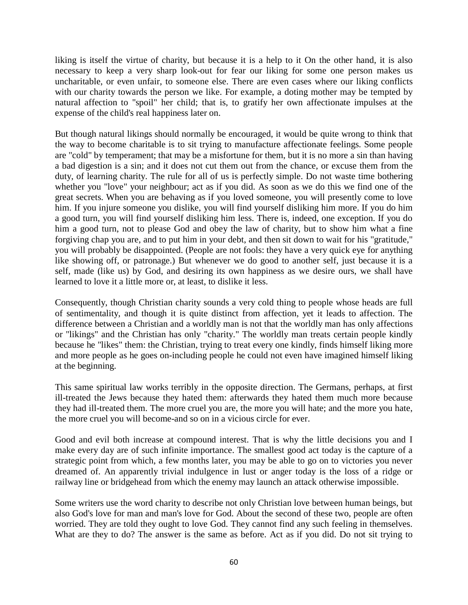liking is itself the virtue of charity, but because it is a help to it On the other hand, it is also necessary to keep a very sharp look-out for fear our liking for some one person makes us uncharitable, or even unfair, to someone else. There are even cases where our liking conflicts with our charity towards the person we like. For example, a doting mother may be tempted by natural affection to "spoil" her child; that is, to gratify her own affectionate impulses at the expense of the child's real happiness later on.

But though natural likings should normally be encouraged, it would be quite wrong to think that the way to become charitable is to sit trying to manufacture affectionate feelings. Some people are "cold" by temperament; that may be a misfortune for them, but it is no more a sin than having a bad digestion is a sin; and it does not cut them out from the chance, or excuse them from the duty, of learning charity. The rule for all of us is perfectly simple. Do not waste time bothering whether you "love" your neighbour; act as if you did. As soon as we do this we find one of the great secrets. When you are behaving as if you loved someone, you will presently come to love him. If you injure someone you dislike, you will find yourself disliking him more. If you do him a good turn, you will find yourself disliking him less. There is, indeed, one exception. If you do him a good turn, not to please God and obey the law of charity, but to show him what a fine forgiving chap you are, and to put him in your debt, and then sit down to wait for his "gratitude," you will probably be disappointed. (People are not fools: they have a very quick eye for anything like showing off, or patronage.) But whenever we do good to another self, just because it is a self, made (like us) by God, and desiring its own happiness as we desire ours, we shall have learned to love it a little more or, at least, to dislike it less.

Consequently, though Christian charity sounds a very cold thing to people whose heads are full of sentimentality, and though it is quite distinct from affection, yet it leads to affection. The difference between a Christian and a worldly man is not that the worldly man has only affections or "likings" and the Christian has only "charity." The worldly man treats certain people kindly because he "likes" them: the Christian, trying to treat every one kindly, finds himself liking more and more people as he goes on-including people he could not even have imagined himself liking at the beginning.

This same spiritual law works terribly in the opposite direction. The Germans, perhaps, at first ill-treated the Jews because they hated them: afterwards they hated them much more because they had ill-treated them. The more cruel you are, the more you will hate; and the more you hate, the more cruel you will become-and so on in a vicious circle for ever.

Good and evil both increase at compound interest. That is why the little decisions you and I make every day are of such infinite importance. The smallest good act today is the capture of a strategic point from which, a few months later, you may be able to go on to victories you never dreamed of. An apparently trivial indulgence in lust or anger today is the loss of a ridge or railway line or bridgehead from which the enemy may launch an attack otherwise impossible.

Some writers use the word charity to describe not only Christian love between human beings, but also God's love for man and man's love for God. About the second of these two, people are often worried. They are told they ought to love God. They cannot find any such feeling in themselves. What are they to do? The answer is the same as before. Act as if you did. Do not sit trying to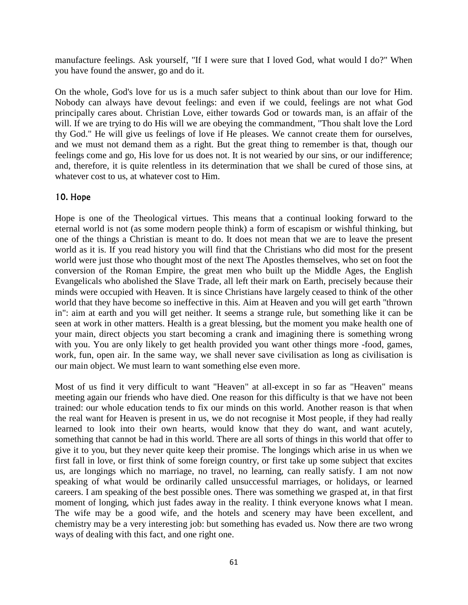manufacture feelings. Ask yourself, "If I were sure that I loved God, what would I do?" When you have found the answer, go and do it.

On the whole, God's love for us is a much safer subject to think about than our love for Him. Nobody can always have devout feelings: and even if we could, feelings are not what God principally cares about. Christian Love, either towards God or towards man, is an affair of the will. If we are trying to do His will we are obeying the commandment, "Thou shalt love the Lord thy God." He will give us feelings of love if He pleases. We cannot create them for ourselves, and we must not demand them as a right. But the great thing to remember is that, though our feelings come and go, His love for us does not. It is not wearied by our sins, or our indifference; and, therefore, it is quite relentless in its determination that we shall be cured of those sins, at whatever cost to us, at whatever cost to Him.

#### 10. Hope

Hope is one of the Theological virtues. This means that a continual looking forward to the eternal world is not (as some modern people think) a form of escapism or wishful thinking, but one of the things a Christian is meant to do. It does not mean that we are to leave the present world as it is. If you read history you will find that the Christians who did most for the present world were just those who thought most of the next The Apostles themselves, who set on foot the conversion of the Roman Empire, the great men who built up the Middle Ages, the English Evangelicals who abolished the Slave Trade, all left their mark on Earth, precisely because their minds were occupied with Heaven. It is since Christians have largely ceased to think of the other world that they have become so ineffective in this. Aim at Heaven and you will get earth "thrown in": aim at earth and you will get neither. It seems a strange rule, but something like it can be seen at work in other matters. Health is a great blessing, but the moment you make health one of your main, direct objects you start becoming a crank and imagining there is something wrong with you. You are only likely to get health provided you want other things more -food, games, work, fun, open air. In the same way, we shall never save civilisation as long as civilisation is our main object. We must learn to want something else even more.

Most of us find it very difficult to want "Heaven" at all-except in so far as "Heaven" means meeting again our friends who have died. One reason for this difficulty is that we have not been trained: our whole education tends to fix our minds on this world. Another reason is that when the real want for Heaven is present in us, we do not recognise it Most people, if they had really learned to look into their own hearts, would know that they do want, and want acutely, something that cannot be had in this world. There are all sorts of things in this world that offer to give it to you, but they never quite keep their promise. The longings which arise in us when we first fall in love, or first think of some foreign country, or first take up some subject that excites us, are longings which no marriage, no travel, no learning, can really satisfy. I am not now speaking of what would be ordinarily called unsuccessful marriages, or holidays, or learned careers. I am speaking of the best possible ones. There was something we grasped at, in that first moment of longing, which just fades away in the reality. I think everyone knows what I mean. The wife may be a good wife, and the hotels and scenery may have been excellent, and chemistry may be a very interesting job: but something has evaded us. Now there are two wrong ways of dealing with this fact, and one right one.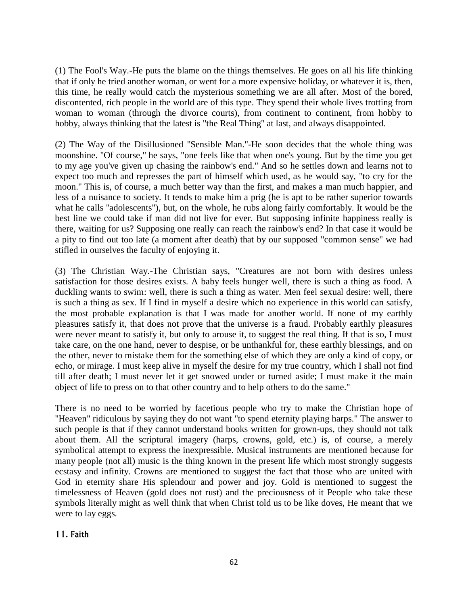(1) The Fool's Way.-He puts the blame on the things themselves. He goes on all his life thinking that if only he tried another woman, or went for a more expensive holiday, or whatever it is, then, this time, he really would catch the mysterious something we are all after. Most of the bored, discontented, rich people in the world are of this type. They spend their whole lives trotting from woman to woman (through the divorce courts), from continent to continent, from hobby to hobby, always thinking that the latest is "the Real Thing" at last, and always disappointed.

(2) The Way of the Disillusioned "Sensible Man."-He soon decides that the whole thing was moonshine. "Of course," he says, "one feels like that when one's young. But by the time you get to my age you've given up chasing the rainbow's end." And so he settles down and learns not to expect too much and represses the part of himself which used, as he would say, "to cry for the moon." This is, of course, a much better way than the first, and makes a man much happier, and less of a nuisance to society. It tends to make him a prig (he is apt to be rather superior towards what he calls "adolescents"), but, on the whole, he rubs along fairly comfortably. It would be the best line we could take if man did not live for ever. But supposing infinite happiness really is there, waiting for us? Supposing one really can reach the rainbow's end? In that case it would be a pity to find out too late (a moment after death) that by our supposed "common sense" we had stifled in ourselves the faculty of enjoying it.

(3) The Christian Way.-The Christian says, "Creatures are not born with desires unless satisfaction for those desires exists. A baby feels hunger well, there is such a thing as food. A duckling wants to swim: well, there is such a thing as water. Men feel sexual desire: well, there is such a thing as sex. If I find in myself a desire which no experience in this world can satisfy, the most probable explanation is that I was made for another world. If none of my earthly pleasures satisfy it, that does not prove that the universe is a fraud. Probably earthly pleasures were never meant to satisfy it, but only to arouse it, to suggest the real thing. If that is so, I must take care, on the one hand, never to despise, or be unthankful for, these earthly blessings, and on the other, never to mistake them for the something else of which they are only a kind of copy, or echo, or mirage. I must keep alive in myself the desire for my true country, which I shall not find till after death; I must never let it get snowed under or turned aside; I must make it the main object of life to press on to that other country and to help others to do the same."

There is no need to be worried by facetious people who try to make the Christian hope of "Heaven" ridiculous by saying they do not want "to spend eternity playing harps." The answer to such people is that if they cannot understand books written for grown-ups, they should not talk about them. All the scriptural imagery (harps, crowns, gold, etc.) is, of course, a merely symbolical attempt to express the inexpressible. Musical instruments are mentioned because for many people (not all) music is the thing known in the present life which most strongly suggests ecstasy and infinity. Crowns are mentioned to suggest the fact that those who are united with God in eternity share His splendour and power and joy. Gold is mentioned to suggest the timelessness of Heaven (gold does not rust) and the preciousness of it People who take these symbols literally might as well think that when Christ told us to be like doves, He meant that we were to lay eggs.

## 11. Faith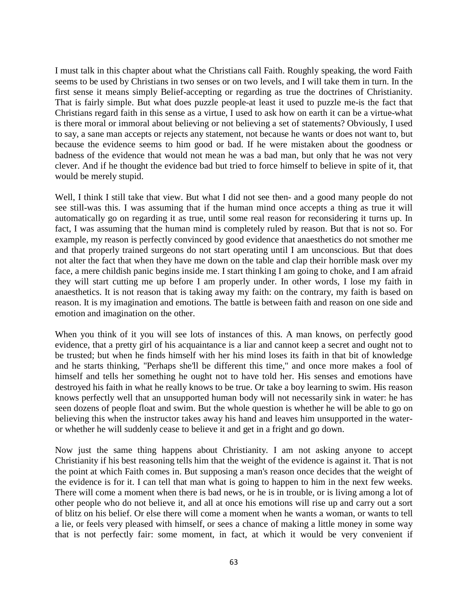I must talk in this chapter about what the Christians call Faith. Roughly speaking, the word Faith seems to be used by Christians in two senses or on two levels, and I will take them in turn. In the first sense it means simply Belief-accepting or regarding as true the doctrines of Christianity. That is fairly simple. But what does puzzle people-at least it used to puzzle me-is the fact that Christians regard faith in this sense as a virtue, I used to ask how on earth it can be a virtue-what is there moral or immoral about believing or not believing a set of statements? Obviously, I used to say, a sane man accepts or rejects any statement, not because he wants or does not want to, but because the evidence seems to him good or bad. If he were mistaken about the goodness or badness of the evidence that would not mean he was a bad man, but only that he was not very clever. And if he thought the evidence bad but tried to force himself to believe in spite of it, that would be merely stupid.

Well, I think I still take that view. But what I did not see then- and a good many people do not see still-was this. I was assuming that if the human mind once accepts a thing as true it will automatically go on regarding it as true, until some real reason for reconsidering it turns up. In fact, I was assuming that the human mind is completely ruled by reason. But that is not so. For example, my reason is perfectly convinced by good evidence that anaesthetics do not smother me and that properly trained surgeons do not start operating until I am unconscious. But that does not alter the fact that when they have me down on the table and clap their horrible mask over my face, a mere childish panic begins inside me. I start thinking I am going to choke, and I am afraid they will start cutting me up before I am properly under. In other words, I lose my faith in anaesthetics. It is not reason that is taking away my faith: on the contrary, my faith is based on reason. It is my imagination and emotions. The battle is between faith and reason on one side and emotion and imagination on the other.

When you think of it you will see lots of instances of this. A man knows, on perfectly good evidence, that a pretty girl of his acquaintance is a liar and cannot keep a secret and ought not to be trusted; but when he finds himself with her his mind loses its faith in that bit of knowledge and he starts thinking, "Perhaps she'll be different this time," and once more makes a fool of himself and tells her something he ought not to have told her. His senses and emotions have destroyed his faith in what he really knows to be true. Or take a boy learning to swim. His reason knows perfectly well that an unsupported human body will not necessarily sink in water: he has seen dozens of people float and swim. But the whole question is whether he will be able to go on believing this when the instructor takes away his hand and leaves him unsupported in the wateror whether he will suddenly cease to believe it and get in a fright and go down.

Now just the same thing happens about Christianity. I am not asking anyone to accept Christianity if his best reasoning tells him that the weight of the evidence is against it. That is not the point at which Faith comes in. But supposing a man's reason once decides that the weight of the evidence is for it. I can tell that man what is going to happen to him in the next few weeks. There will come a moment when there is bad news, or he is in trouble, or is living among a lot of other people who do not believe it, and all at once his emotions will rise up and carry out a sort of blitz on his belief. Or else there will come a moment when he wants a woman, or wants to tell a lie, or feels very pleased with himself, or sees a chance of making a little money in some way that is not perfectly fair: some moment, in fact, at which it would be very convenient if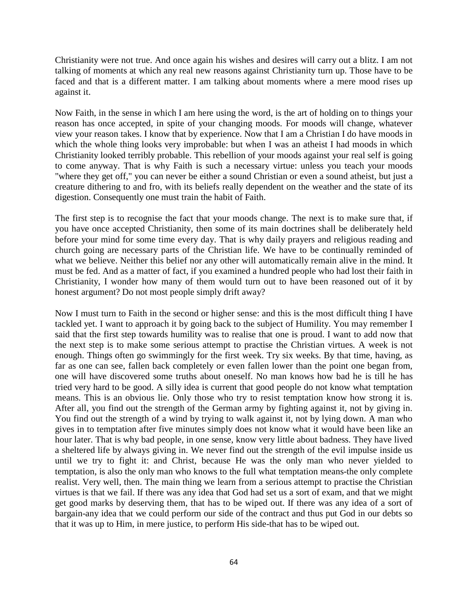Christianity were not true. And once again his wishes and desires will carry out a blitz. I am not talking of moments at which any real new reasons against Christianity turn up. Those have to be faced and that is a different matter. I am talking about moments where a mere mood rises up against it.

Now Faith, in the sense in which I am here using the word, is the art of holding on to things your reason has once accepted, in spite of your changing moods. For moods will change, whatever view your reason takes. I know that by experience. Now that I am a Christian I do have moods in which the whole thing looks very improbable: but when I was an atheist I had moods in which Christianity looked terribly probable. This rebellion of your moods against your real self is going to come anyway. That is why Faith is such a necessary virtue: unless you teach your moods "where they get off," you can never be either a sound Christian or even a sound atheist, but just a creature dithering to and fro, with its beliefs really dependent on the weather and the state of its digestion. Consequently one must train the habit of Faith.

The first step is to recognise the fact that your moods change. The next is to make sure that, if you have once accepted Christianity, then some of its main doctrines shall be deliberately held before your mind for some time every day. That is why daily prayers and religious reading and church going are necessary parts of the Christian life. We have to be continually reminded of what we believe. Neither this belief nor any other will automatically remain alive in the mind. It must be fed. And as a matter of fact, if you examined a hundred people who had lost their faith in Christianity, I wonder how many of them would turn out to have been reasoned out of it by honest argument? Do not most people simply drift away?

Now I must turn to Faith in the second or higher sense: and this is the most difficult thing I have tackled yet. I want to approach it by going back to the subject of Humility. You may remember I said that the first step towards humility was to realise that one is proud. I want to add now that the next step is to make some serious attempt to practise the Christian virtues. A week is not enough. Things often go swimmingly for the first week. Try six weeks. By that time, having, as far as one can see, fallen back completely or even fallen lower than the point one began from, one will have discovered some truths about oneself. No man knows how bad he is till he has tried very hard to be good. A silly idea is current that good people do not know what temptation means. This is an obvious lie. Only those who try to resist temptation know how strong it is. After all, you find out the strength of the German army by fighting against it, not by giving in. You find out the strength of a wind by trying to walk against it, not by lying down. A man who gives in to temptation after five minutes simply does not know what it would have been like an hour later. That is why bad people, in one sense, know very little about badness. They have lived a sheltered life by always giving in. We never find out the strength of the evil impulse inside us until we try to fight it: and Christ, because He was the only man who never yielded to temptation, is also the only man who knows to the full what temptation means-the only complete realist. Very well, then. The main thing we learn from a serious attempt to practise the Christian virtues is that we fail. If there was any idea that God had set us a sort of exam, and that we might get good marks by deserving them, that has to be wiped out. If there was any idea of a sort of bargain-any idea that we could perform our side of the contract and thus put God in our debts so that it was up to Him, in mere justice, to perform His side-that has to be wiped out.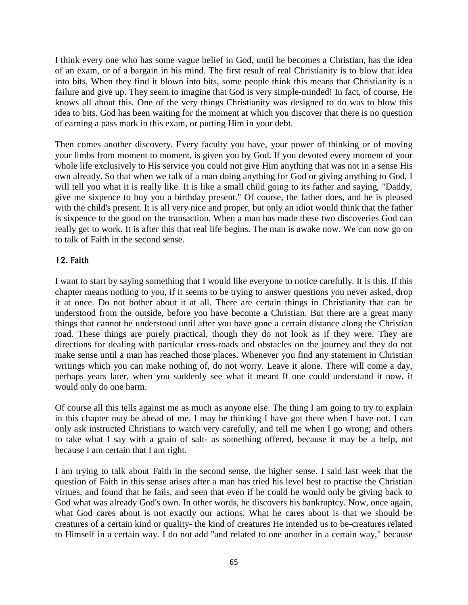I think every one who has some vague belief in God, until he becomes a Christian, has the idea of an exam, or of a bargain in his mind. The first result of real Christianity is to blow that idea into bits. When they find it blown into bits, some people think this means that Christianity is a failure and give up. They seem to imagine that God is very simple-minded! In fact, of course, He knows all about this. One of the very things Christianity was designed to do was to blow this idea to bits. God has been waiting for the moment at which you discover that there is no question of earning a pass mark in this exam, or putting Him in your debt.

Then comes another discovery. Every faculty you have, your power of thinking or of moving your limbs from moment to moment, is given you by God. If you devoted every moment of your whole life exclusively to His service you could not give Him anything that was not in a sense His own already. So that when we talk of a man doing anything for God or giving anything to God, I will tell you what it is really like. It is like a small child going to its father and saying, "Daddy, give me sixpence to buy you a birthday present." Of course, the father does, and he is pleased with the child's present. It is all very nice and proper, but only an idiot would think that the father is sixpence to the good on the transaction. When a man has made these two discoveries God can really get to work. It is after this that real life begins. The man is awake now. We can now go on to talk of Faith in the second sense.

## 12. Faith

I want to start by saying something that I would like everyone to notice carefully. It is this. If this chapter means nothing to you, if it seems to be trying to answer questions you never asked, drop it at once. Do not bother about it at all. There are certain things in Christianity that can be understood from the outside, before you have become a Christian. But there are a great many things that cannot be understood until after you have gone a certain distance along the Christian road. These things are purely practical, though they do not look as if they were. They are directions for dealing with particular cross-roads and obstacles on the journey and they do not make sense until a man has reached those places. Whenever you find any statement in Christian writings which you can make nothing of, do not worry. Leave it alone. There will come a day, perhaps years later, when you suddenly see what it meant If one could understand it now, it would only do one harm.

Of course all this tells against me as much as anyone else. The thing I am going to try to explain in this chapter may be ahead of me. I may be thinking I have got there when I have not. I can only ask instructed Christians to watch very carefully, and tell me when I go wrong; and others to take what I say with a grain of salt- as something offered, because it may be a help, not because I am certain that I am right.

I am trying to talk about Faith in the second sense, the higher sense. I said last week that the question of Faith in this sense arises after a man has tried his level best to practise the Christian virtues, and found that he fails, and seen that even if he could he would only be giving back to God what was already God's own. In other words, he discovers his bankruptcy. Now, once again, what God cares about is not exactly our actions. What he cares about is that we should be creatures of a certain kind or quality- the kind of creatures He intended us to be-creatures related to Himself in a certain way. I do not add "and related to one another in a certain way," because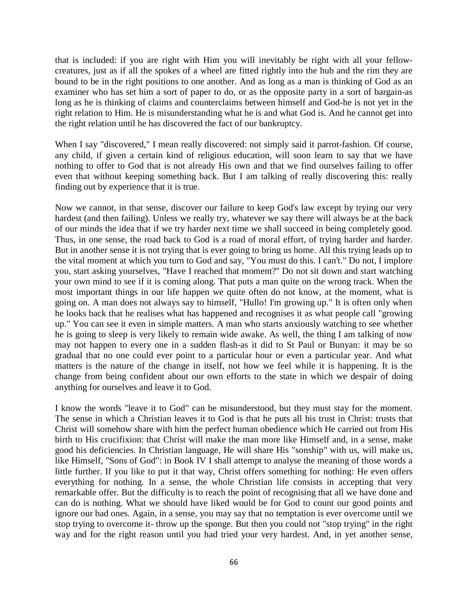that is included: if you are right with Him you will inevitably be right with all your fellowcreatures, just as if all the spokes of a wheel are fitted rightly into the hub and the rim they are bound to be in the right positions to one another. And as long as a man is thinking of God as an examiner who has set him a sort of paper to do, or as the opposite party in a sort of bargain-as long as he is thinking of claims and counterclaims between himself and God-he is not yet in the right relation to Him. He is misunderstanding what he is and what God is. And he cannot get into the right relation until he has discovered the fact of our bankruptcy.

When I say "discovered," I mean really discovered: not simply said it parrot-fashion. Of course, any child, if given a certain kind of religious education, will soon learn to say that we have nothing to offer to God that is not already His own and that we find ourselves failing to offer even that without keeping something back. But I am talking of really discovering this: really finding out by experience that it is true.

Now we cannot, in that sense, discover our failure to keep God's law except by trying our very hardest (and then failing). Unless we really try, whatever we say there will always be at the back of our minds the idea that if we try harder next time we shall succeed in being completely good. Thus, in one sense, the road back to God is a road of moral effort, of trying harder and harder. But in another sense it is not trying that is ever going to bring us home. All this trying leads up to the vital moment at which you turn to God and say, "You must do this. I can't." Do not, I implore you, start asking yourselves, "Have I reached that moment?" Do not sit down and start watching your own mind to see if it is coming along. That puts a man quite on the wrong track. When the most important things in our life happen we quite often do not know, at the moment, what is going on. A man does not always say to himself, "Hullo! I'm growing up." It is often only when he looks back that he realises what has happened and recognises it as what people call "growing up." You can see it even in simple matters. A man who starts anxiously watching to see whether he is going to sleep is very likely to remain wide awake. As well, the thing I am talking of now may not happen to every one in a sudden flash-as it did to St Paul or Bunyan: it may be so gradual that no one could ever point to a particular hour or even a particular year. And what matters is the nature of the change in itself, not how we feel while it is happening. It is the change from being confident about our own efforts to the state in which we despair of doing anything for ourselves and leave it to God.

I know the words "leave it to God" can be misunderstood, but they must stay for the moment. The sense in which a Christian leaves it to God is that he puts all his trust in Christ: trusts that Christ will somehow share with him the perfect human obedience which He carried out from His birth to His crucifixion: that Christ will make the man more like Himself and, in a sense, make good his deficiencies. In Christian language, He will share His "sonship" with us, will make us, like Himself, "Sons of God": in Book IV I shall attempt to analyse the meaning of those words a little further. If you like to put it that way, Christ offers something for nothing: He even offers everything for nothing. In a sense, the whole Christian life consists in accepting that very remarkable offer. But the difficulty is to reach the point of recognising that all we have done and can do is nothing. What we should have liked would be for God to count our good points and ignore our bad ones. Again, in a sense, you may say that no temptation is ever overcome until we stop trying to overcome it- throw up the sponge. But then you could not "stop trying" in the right way and for the right reason until you had tried your very hardest. And, in yet another sense,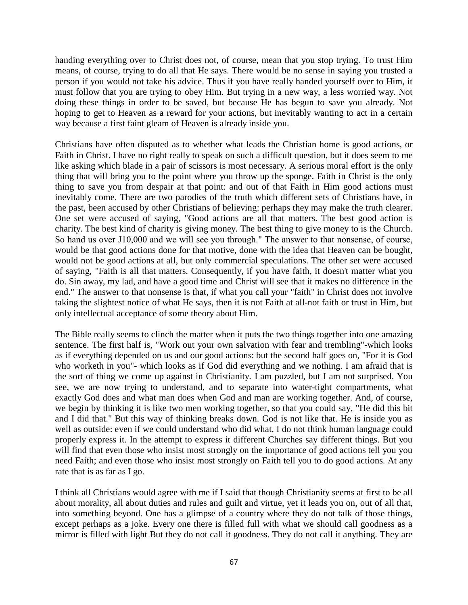handing everything over to Christ does not, of course, mean that you stop trying. To trust Him means, of course, trying to do all that He says. There would be no sense in saying you trusted a person if you would not take his advice. Thus if you have really handed yourself over to Him, it must follow that you are trying to obey Him. But trying in a new way, a less worried way. Not doing these things in order to be saved, but because He has begun to save you already. Not hoping to get to Heaven as a reward for your actions, but inevitably wanting to act in a certain way because a first faint gleam of Heaven is already inside you.

Christians have often disputed as to whether what leads the Christian home is good actions, or Faith in Christ. I have no right really to speak on such a difficult question, but it does seem to me like asking which blade in a pair of scissors is most necessary. A serious moral effort is the only thing that will bring you to the point where you throw up the sponge. Faith in Christ is the only thing to save you from despair at that point: and out of that Faith in Him good actions must inevitably come. There are two parodies of the truth which different sets of Christians have, in the past, been accused by other Christians of believing: perhaps they may make the truth clearer. One set were accused of saying, "Good actions are all that matters. The best good action is charity. The best kind of charity is giving money. The best thing to give money to is the Church. So hand us over  $J10,000$  and we will see you through." The answer to that nonsense, of course, would be that good actions done for that motive, done with the idea that Heaven can be bought, would not be good actions at all, but only commercial speculations. The other set were accused of saying, "Faith is all that matters. Consequently, if you have faith, it doesn't matter what you do. Sin away, my lad, and have a good time and Christ will see that it makes no difference in the end." The answer to that nonsense is that, if what you call your "faith" in Christ does not involve taking the slightest notice of what He says, then it is not Faith at all-not faith or trust in Him, but only intellectual acceptance of some theory about Him.

The Bible really seems to clinch the matter when it puts the two things together into one amazing sentence. The first half is, "Work out your own salvation with fear and trembling"-which looks as if everything depended on us and our good actions: but the second half goes on, "For it is God who worketh in you"- which looks as if God did everything and we nothing. I am afraid that is the sort of thing we come up against in Christianity. I am puzzled, but I am not surprised. You see, we are now trying to understand, and to separate into water-tight compartments, what exactly God does and what man does when God and man are working together. And, of course, we begin by thinking it is like two men working together, so that you could say, "He did this bit and I did that." But this way of thinking breaks down. God is not like that. He is inside you as well as outside: even if we could understand who did what, I do not think human language could properly express it. In the attempt to express it different Churches say different things. But you will find that even those who insist most strongly on the importance of good actions tell you you need Faith; and even those who insist most strongly on Faith tell you to do good actions. At any rate that is as far as I go.

I think all Christians would agree with me if I said that though Christianity seems at first to be all about morality, all about duties and rules and guilt and virtue, yet it leads you on, out of all that, into something beyond. One has a glimpse of a country where they do not talk of those things, except perhaps as a joke. Every one there is filled full with what we should call goodness as a mirror is filled with light But they do not call it goodness. They do not call it anything. They are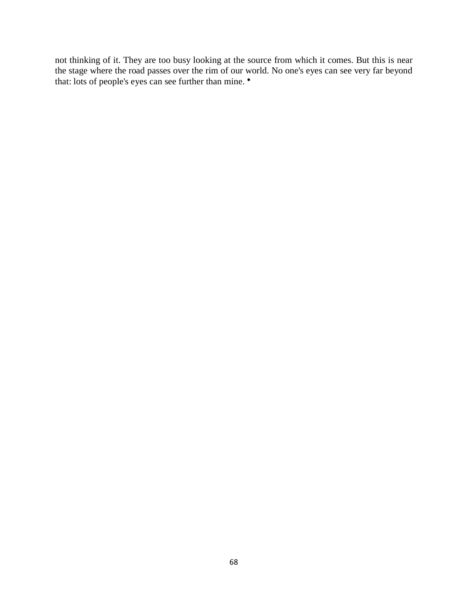not thinking of it. They are too busy looking at the source from which it comes. But this is near the stage where the road passes over the rim of our world. No one's eyes can see very far beyond that: lots of people's eyes can see further than mine. \*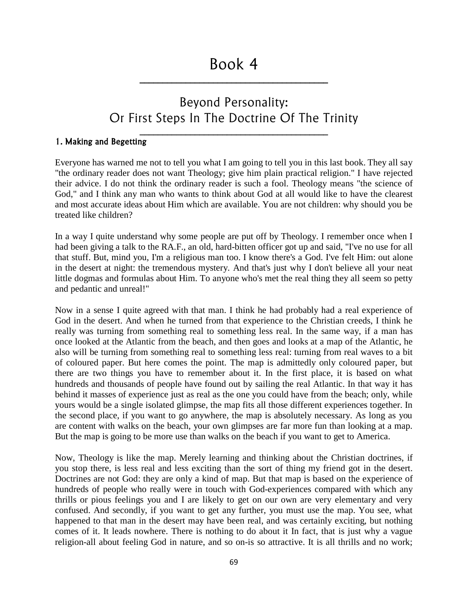# Beyond Personality: Or First Steps In The Doctrine Of The Trinity

\_\_\_\_\_\_\_\_\_\_\_\_\_\_\_\_\_\_\_\_\_\_\_\_\_\_\_\_\_\_\_\_\_\_\_\_\_\_\_\_\_

### 1. Making and Begetting

Everyone has warned me not to tell you what I am going to tell you in this last book. They all say "the ordinary reader does not want Theology; give him plain practical religion." I have rejected their advice. I do not think the ordinary reader is such a fool. Theology means "the science of God," and I think any man who wants to think about God at all would like to have the clearest and most accurate ideas about Him which are available. You are not children: why should you be treated like children?

In a way I quite understand why some people are put off by Theology. I remember once when I had been giving a talk to the RA.F., an old, hard-bitten officer got up and said, "I've no use for all that stuff. But, mind you, I'm a religious man too. I know there's a God. I've felt Him: out alone in the desert at night: the tremendous mystery. And that's just why I don't believe all your neat little dogmas and formulas about Him. To anyone who's met the real thing they all seem so petty and pedantic and unreal!"

Now in a sense I quite agreed with that man. I think he had probably had a real experience of God in the desert. And when he turned from that experience to the Christian creeds, I think he really was turning from something real to something less real. In the same way, if a man has once looked at the Atlantic from the beach, and then goes and looks at a map of the Atlantic, he also will be turning from something real to something less real: turning from real waves to a bit of coloured paper. But here comes the point. The map is admittedly only coloured paper, but there are two things you have to remember about it. In the first place, it is based on what hundreds and thousands of people have found out by sailing the real Atlantic. In that way it has behind it masses of experience just as real as the one you could have from the beach; only, while yours would be a single isolated glimpse, the map fits all those different experiences together. In the second place, if you want to go anywhere, the map is absolutely necessary. As long as you are content with walks on the beach, your own glimpses are far more fun than looking at a map. But the map is going to be more use than walks on the beach if you want to get to America.

Now, Theology is like the map. Merely learning and thinking about the Christian doctrines, if you stop there, is less real and less exciting than the sort of thing my friend got in the desert. Doctrines are not God: they are only a kind of map. But that map is based on the experience of hundreds of people who really were in touch with God-experiences compared with which any thrills or pious feelings you and I are likely to get on our own are very elementary and very confused. And secondly, if you want to get any further, you must use the map. You see, what happened to that man in the desert may have been real, and was certainly exciting, but nothing comes of it. It leads nowhere. There is nothing to do about it In fact, that is just why a vague religion-all about feeling God in nature, and so on-is so attractive. It is all thrills and no work;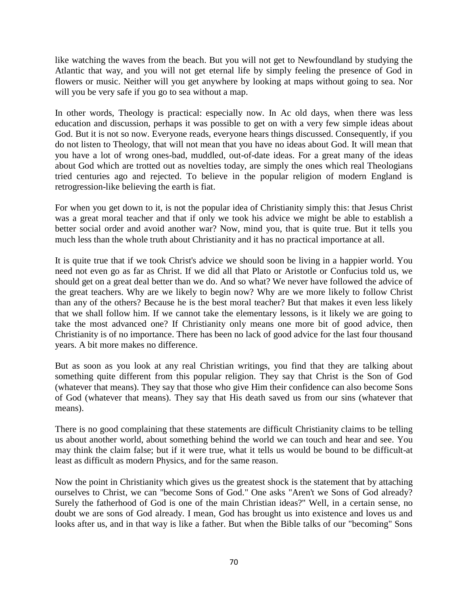like watching the waves from the beach. But you will not get to Newfoundland by studying the Atlantic that way, and you will not get eternal life by simply feeling the presence of God in flowers or music. Neither will you get anywhere by looking at maps without going to sea. Nor will you be very safe if you go to sea without a map.

In other words, Theology is practical: especially now. In Ac old days, when there was less education and discussion, perhaps it was possible to get on with a very few simple ideas about God. But it is not so now. Everyone reads, everyone hears things discussed. Consequently, if you do not listen to Theology, that will not mean that you have no ideas about God. It will mean that you have a lot of wrong ones-bad, muddled, out-of-date ideas. For a great many of the ideas about God which are trotted out as novelties today, are simply the ones which real Theologians tried centuries ago and rejected. To believe in the popular religion of modern England is retrogression-like believing the earth is fiat.

For when you get down to it, is not the popular idea of Christianity simply this: that Jesus Christ was a great moral teacher and that if only we took his advice we might be able to establish a better social order and avoid another war? Now, mind you, that is quite true. But it tells you much less than the whole truth about Christianity and it has no practical importance at all.

It is quite true that if we took Christ's advice we should soon be living in a happier world. You need not even go as far as Christ. If we did all that Plato or Aristotle or Confucius told us, we should get on a great deal better than we do. And so what? We never have followed the advice of the great teachers. Why are we likely to begin now? Why are we more likely to follow Christ than any of the others? Because he is the best moral teacher? But that makes it even less likely that we shall follow him. If we cannot take the elementary lessons, is it likely we are going to take the most advanced one? If Christianity only means one more bit of good advice, then Christianity is of no importance. There has been no lack of good advice for the last four thousand years. A bit more makes no difference.

But as soon as you look at any real Christian writings, you find that they are talking about something quite different from this popular religion. They say that Christ is the Son of God (whatever that means). They say that those who give Him their confidence can also become Sons of God (whatever that means). They say that His death saved us from our sins (whatever that means).

There is no good complaining that these statements are difficult Christianity claims to be telling us about another world, about something behind the world we can touch and hear and see. You may think the claim false; but if it were true, what it tells us would be bound to be difficult-at least as difficult as modern Physics, and for the same reason.

Now the point in Christianity which gives us the greatest shock is the statement that by attaching ourselves to Christ, we can "become Sons of God." One asks "Aren't we Sons of God already? Surely the fatherhood of God is one of the main Christian ideas?" Well, in a certain sense, no doubt we are sons of God already. I mean, God has brought us into existence and loves us and looks after us, and in that way is like a father. But when the Bible talks of our "becoming" Sons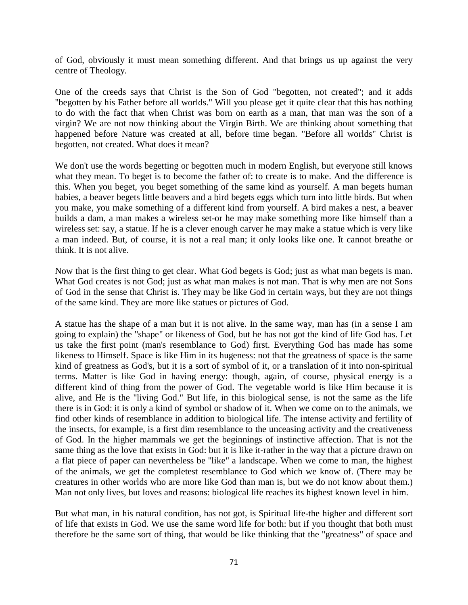of God, obviously it must mean something different. And that brings us up against the very centre of Theology.

One of the creeds says that Christ is the Son of God "begotten, not created"; and it adds "begotten by his Father before all worlds." Will you please get it quite clear that this has nothing to do with the fact that when Christ was born on earth as a man, that man was the son of a virgin? We are not now thinking about the Virgin Birth. We are thinking about something that happened before Nature was created at all, before time began. "Before all worlds" Christ is begotten, not created. What does it mean?

We don't use the words begetting or begotten much in modern English, but everyone still knows what they mean. To beget is to become the father of: to create is to make. And the difference is this. When you beget, you beget something of the same kind as yourself. A man begets human babies, a beaver begets little beavers and a bird begets eggs which turn into little birds. But when you make, you make something of a different kind from yourself. A bird makes a nest, a beaver builds a dam, a man makes a wireless set-or he may make something more like himself than a wireless set: say, a statue. If he is a clever enough carver he may make a statue which is very like a man indeed. But, of course, it is not a real man; it only looks like one. It cannot breathe or think. It is not alive.

Now that is the first thing to get clear. What God begets is God; just as what man begets is man. What God creates is not God; just as what man makes is not man. That is why men are not Sons of God in the sense that Christ is. They may be like God in certain ways, but they are not things of the same kind. They are more like statues or pictures of God.

A statue has the shape of a man but it is not alive. In the same way, man has (in a sense I am going to explain) the "shape" or likeness of God, but he has not got the kind of life God has. Let us take the first point (man's resemblance to God) first. Everything God has made has some likeness to Himself. Space is like Him in its hugeness: not that the greatness of space is the same kind of greatness as God's, but it is a sort of symbol of it, or a translation of it into non-spiritual terms. Matter is like God in having energy: though, again, of course, physical energy is a different kind of thing from the power of God. The vegetable world is like Him because it is alive, and He is the "living God." But life, in this biological sense, is not the same as the life there is in God: it is only a kind of symbol or shadow of it. When we come on to the animals, we find other kinds of resemblance in addition to biological life. The intense activity and fertility of the insects, for example, is a first dim resemblance to the unceasing activity and the creativeness of God. In the higher mammals we get the beginnings of instinctive affection. That is not the same thing as the love that exists in God: but it is like it-rather in the way that a picture drawn on a flat piece of paper can nevertheless be "like" a landscape. When we come to man, the highest of the animals, we get the completest resemblance to God which we know of. (There may be creatures in other worlds who are more like God than man is, but we do not know about them.) Man not only lives, but loves and reasons: biological life reaches its highest known level in him.

But what man, in his natural condition, has not got, is Spiritual life-the higher and different sort of life that exists in God. We use the same word life for both: but if you thought that both must therefore be the same sort of thing, that would be like thinking that the "greatness" of space and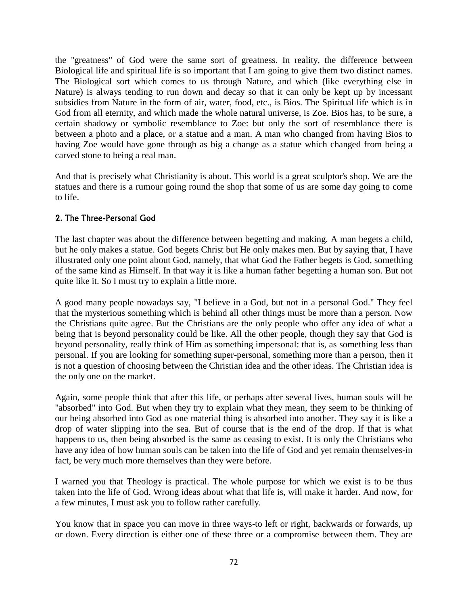the "greatness" of God were the same sort of greatness. In reality, the difference between Biological life and spiritual life is so important that I am going to give them two distinct names. The Biological sort which comes to us through Nature, and which (like everything else in Nature) is always tending to run down and decay so that it can only be kept up by incessant subsidies from Nature in the form of air, water, food, etc., is Bios. The Spiritual life which is in God from all eternity, and which made the whole natural universe, is Zoe. Bios has, to be sure, a certain shadowy or symbolic resemblance to Zoe: but only the sort of resemblance there is between a photo and a place, or a statue and a man. A man who changed from having Bios to having Zoe would have gone through as big a change as a statue which changed from being a carved stone to being a real man.

And that is precisely what Christianity is about. This world is a great sculptor's shop. We are the statues and there is a rumour going round the shop that some of us are some day going to come to life.

## 2. The Three-Personal God

The last chapter was about the difference between begetting and making. A man begets a child, but he only makes a statue. God begets Christ but He only makes men. But by saying that, I have illustrated only one point about God, namely, that what God the Father begets is God, something of the same kind as Himself. In that way it is like a human father begetting a human son. But not quite like it. So I must try to explain a little more.

A good many people nowadays say, "I believe in a God, but not in a personal God." They feel that the mysterious something which is behind all other things must be more than a person. Now the Christians quite agree. But the Christians are the only people who offer any idea of what a being that is beyond personality could be like. All the other people, though they say that God is beyond personality, really think of Him as something impersonal: that is, as something less than personal. If you are looking for something super-personal, something more than a person, then it is not a question of choosing between the Christian idea and the other ideas. The Christian idea is the only one on the market.

Again, some people think that after this life, or perhaps after several lives, human souls will be "absorbed" into God. But when they try to explain what they mean, they seem to be thinking of our being absorbed into God as one material thing is absorbed into another. They say it is like a drop of water slipping into the sea. But of course that is the end of the drop. If that is what happens to us, then being absorbed is the same as ceasing to exist. It is only the Christians who have any idea of how human souls can be taken into the life of God and yet remain themselves-in fact, be very much more themselves than they were before.

I warned you that Theology is practical. The whole purpose for which we exist is to be thus taken into the life of God. Wrong ideas about what that life is, will make it harder. And now, for a few minutes, I must ask you to follow rather carefully.

You know that in space you can move in three ways-to left or right, backwards or forwards, up or down. Every direction is either one of these three or a compromise between them. They are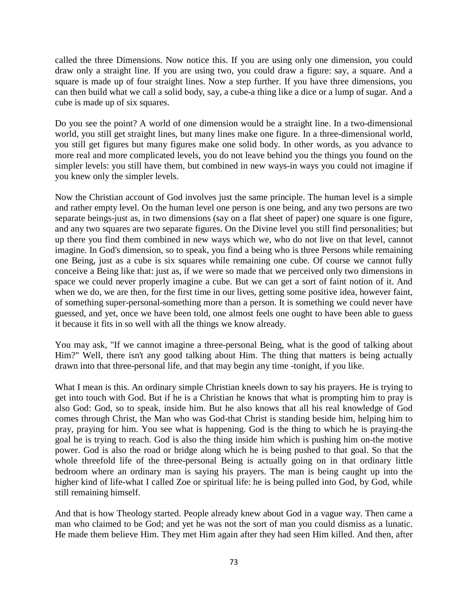called the three Dimensions. Now notice this. If you are using only one dimension, you could draw only a straight line. If you are using two, you could draw a figure: say, a square. And a square is made up of four straight lines. Now a step further. If you have three dimensions, you can then build what we call a solid body, say, a cube-a thing like a dice or a lump of sugar. And a cube is made up of six squares.

Do you see the point? A world of one dimension would be a straight line. In a two-dimensional world, you still get straight lines, but many lines make one figure. In a three-dimensional world, you still get figures but many figures make one solid body. In other words, as you advance to more real and more complicated levels, you do not leave behind you the things you found on the simpler levels: you still have them, but combined in new ways-in ways you could not imagine if you knew only the simpler levels.

Now the Christian account of God involves just the same principle. The human level is a simple and rather empty level. On the human level one person is one being, and any two persons are two separate beings-just as, in two dimensions (say on a flat sheet of paper) one square is one figure, and any two squares are two separate figures. On the Divine level you still find personalities; but up there you find them combined in new ways which we, who do not live on that level, cannot imagine. In God's dimension, so to speak, you find a being who is three Persons while remaining one Being, just as a cube is six squares while remaining one cube. Of course we cannot fully conceive a Being like that: just as, if we were so made that we perceived only two dimensions in space we could never properly imagine a cube. But we can get a sort of faint notion of it. And when we do, we are then, for the first time in our lives, getting some positive idea, however faint, of something super-personal-something more than a person. It is something we could never have guessed, and yet, once we have been told, one almost feels one ought to have been able to guess it because it fits in so well with all the things we know already.

You may ask, "If we cannot imagine a three-personal Being, what is the good of talking about Him?" Well, there isn't any good talking about Him. The thing that matters is being actually drawn into that three-personal life, and that may begin any time -tonight, if you like.

What I mean is this. An ordinary simple Christian kneels down to say his prayers. He is trying to get into touch with God. But if he is a Christian he knows that what is prompting him to pray is also God: God, so to speak, inside him. But he also knows that all his real knowledge of God comes through Christ, the Man who was God-that Christ is standing beside him, helping him to pray, praying for him. You see what is happening. God is the thing to which he is praying-the goal he is trying to reach. God is also the thing inside him which is pushing him on-the motive power. God is also the road or bridge along which he is being pushed to that goal. So that the whole threefold life of the three-personal Being is actually going on in that ordinary little bedroom where an ordinary man is saying his prayers. The man is being caught up into the higher kind of life-what I called Zoe or spiritual life: he is being pulled into God, by God, while still remaining himself.

And that is how Theology started. People already knew about God in a vague way. Then came a man who claimed to be God; and yet he was not the sort of man you could dismiss as a lunatic. He made them believe Him. They met Him again after they had seen Him killed. And then, after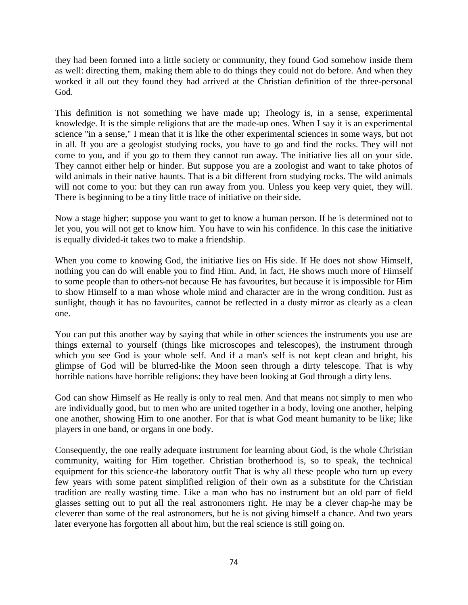they had been formed into a little society or community, they found God somehow inside them as well: directing them, making them able to do things they could not do before. And when they worked it all out they found they had arrived at the Christian definition of the three-personal God.

This definition is not something we have made up; Theology is, in a sense, experimental knowledge. It is the simple religions that are the made-up ones. When I say it is an experimental science "in a sense," I mean that it is like the other experimental sciences in some ways, but not in all. If you are a geologist studying rocks, you have to go and find the rocks. They will not come to you, and if you go to them they cannot run away. The initiative lies all on your side. They cannot either help or hinder. But suppose you are a zoologist and want to take photos of wild animals in their native haunts. That is a bit different from studying rocks. The wild animals will not come to you: but they can run away from you. Unless you keep very quiet, they will. There is beginning to be a tiny little trace of initiative on their side.

Now a stage higher; suppose you want to get to know a human person. If he is determined not to let you, you will not get to know him. You have to win his confidence. In this case the initiative is equally divided-it takes two to make a friendship.

When you come to knowing God, the initiative lies on His side. If He does not show Himself, nothing you can do will enable you to find Him. And, in fact, He shows much more of Himself to some people than to others-not because He has favourites, but because it is impossible for Him to show Himself to a man whose whole mind and character are in the wrong condition. Just as sunlight, though it has no favourites, cannot be reflected in a dusty mirror as clearly as a clean one.

You can put this another way by saying that while in other sciences the instruments you use are things external to yourself (things like microscopes and telescopes), the instrument through which you see God is your whole self. And if a man's self is not kept clean and bright, his glimpse of God will be blurred-like the Moon seen through a dirty telescope. That is why horrible nations have horrible religions: they have been looking at God through a dirty lens.

God can show Himself as He really is only to real men. And that means not simply to men who are individually good, but to men who are united together in a body, loving one another, helping one another, showing Him to one another. For that is what God meant humanity to be like; like players in one band, or organs in one body.

Consequently, the one really adequate instrument for learning about God, is the whole Christian community, waiting for Him together. Christian brotherhood is, so to speak, the technical equipment for this science-the laboratory outfit That is why all these people who turn up every few years with some patent simplified religion of their own as a substitute for the Christian tradition are really wasting time. Like a man who has no instrument but an old parr of field glasses setting out to put all the real astronomers right. He may be a clever chap-he may be cleverer than some of the real astronomers, but he is not giving himself a chance. And two years later everyone has forgotten all about him, but the real science is still going on.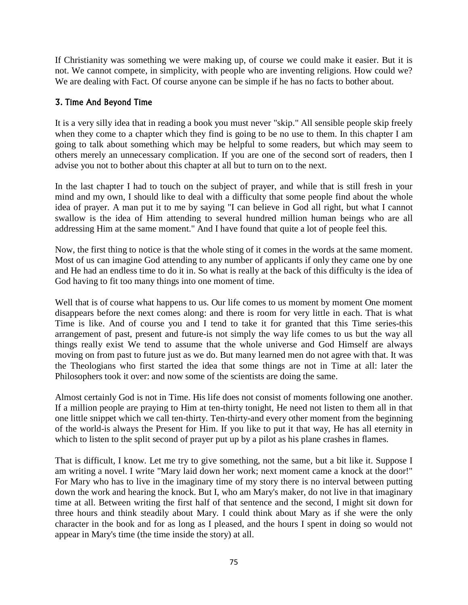If Christianity was something we were making up, of course we could make it easier. But it is not. We cannot compete, in simplicity, with people who are inventing religions. How could we? We are dealing with Fact. Of course anyone can be simple if he has no facts to bother about.

## 3. Time And Beyond Time

It is a very silly idea that in reading a book you must never "skip." All sensible people skip freely when they come to a chapter which they find is going to be no use to them. In this chapter I am going to talk about something which may be helpful to some readers, but which may seem to others merely an unnecessary complication. If you are one of the second sort of readers, then I advise you not to bother about this chapter at all but to turn on to the next.

In the last chapter I had to touch on the subject of prayer, and while that is still fresh in your mind and my own, I should like to deal with a difficulty that some people find about the whole idea of prayer. A man put it to me by saying "I can believe in God all right, but what I cannot swallow is the idea of Him attending to several hundred million human beings who are all addressing Him at the same moment." And I have found that quite a lot of people feel this.

Now, the first thing to notice is that the whole sting of it comes in the words at the same moment. Most of us can imagine God attending to any number of applicants if only they came one by one and He had an endless time to do it in. So what is really at the back of this difficulty is the idea of God having to fit too many things into one moment of time.

Well that is of course what happens to us. Our life comes to us moment by moment One moment disappears before the next comes along: and there is room for very little in each. That is what Time is like. And of course you and I tend to take it for granted that this Time series-this arrangement of past, present and future-is not simply the way life comes to us but the way all things really exist We tend to assume that the whole universe and God Himself are always moving on from past to future just as we do. But many learned men do not agree with that. It was the Theologians who first started the idea that some things are not in Time at all: later the Philosophers took it over: and now some of the scientists are doing the same.

Almost certainly God is not in Time. His life does not consist of moments following one another. If a million people are praying to Him at ten-thirty tonight, He need not listen to them all in that one little snippet which we call ten-thirty. Ten-thirty-and every other moment from the beginning of the world-is always the Present for Him. If you like to put it that way, He has all eternity in which to listen to the split second of prayer put up by a pilot as his plane crashes in flames.

That is difficult, I know. Let me try to give something, not the same, but a bit like it. Suppose I am writing a novel. I write "Mary laid down her work; next moment came a knock at the door!" For Mary who has to live in the imaginary time of my story there is no interval between putting down the work and hearing the knock. But I, who am Mary's maker, do not live in that imaginary time at all. Between writing the first half of that sentence and the second, I might sit down for three hours and think steadily about Mary. I could think about Mary as if she were the only character in the book and for as long as I pleased, and the hours I spent in doing so would not appear in Mary's time (the time inside the story) at all.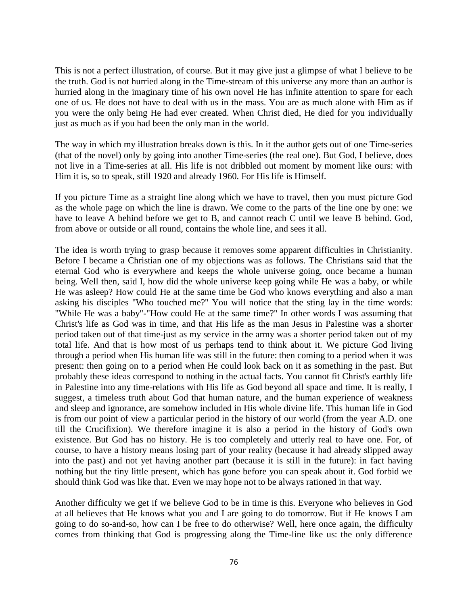This is not a perfect illustration, of course. But it may give just a glimpse of what I believe to be the truth. God is not hurried along in the Time-stream of this universe any more than an author is hurried along in the imaginary time of his own novel He has infinite attention to spare for each one of us. He does not have to deal with us in the mass. You are as much alone with Him as if you were the only being He had ever created. When Christ died, He died for you individually just as much as if you had been the only man in the world.

The way in which my illustration breaks down is this. In it the author gets out of one Time-series (that of the novel) only by going into another Time-series (the real one). But God, I believe, does not live in a Time-series at all. His life is not dribbled out moment by moment like ours: with Him it is, so to speak, still 1920 and already 1960. For His life is Himself.

If you picture Time as a straight line along which we have to travel, then you must picture God as the whole page on which the line is drawn. We come to the parts of the line one by one: we have to leave A behind before we get to B, and cannot reach C until we leave B behind. God, from above or outside or all round, contains the whole line, and sees it all.

The idea is worth trying to grasp because it removes some apparent difficulties in Christianity. Before I became a Christian one of my objections was as follows. The Christians said that the eternal God who is everywhere and keeps the whole universe going, once became a human being. Well then, said I, how did the whole universe keep going while He was a baby, or while He was asleep? How could He at the same time be God who knows everything and also a man asking his disciples "Who touched me?" You will notice that the sting lay in the time words: "While He was a baby"-"How could He at the same time?" In other words I was assuming that Christ's life as God was in time, and that His life as the man Jesus in Palestine was a shorter period taken out of that time-just as my service in the army was a shorter period taken out of my total life. And that is how most of us perhaps tend to think about it. We picture God living through a period when His human life was still in the future: then coming to a period when it was present: then going on to a period when He could look back on it as something in the past. But probably these ideas correspond to nothing in the actual facts. You cannot fit Christ's earthly life in Palestine into any time-relations with His life as God beyond all space and time. It is really, I suggest, a timeless truth about God that human nature, and the human experience of weakness and sleep and ignorance, are somehow included in His whole divine life. This human life in God is from our point of view a particular period in the history of our world (from the year A.D. one till the Crucifixion). We therefore imagine it is also a period in the history of God's own existence. But God has no history. He is too completely and utterly real to have one. For, of course, to have a history means losing part of your reality (because it had already slipped away into the past) and not yet having another part (because it is still in the future): in fact having nothing but the tiny little present, which has gone before you can speak about it. God forbid we should think God was like that. Even we may hope not to be always rationed in that way.

Another difficulty we get if we believe God to be in time is this. Everyone who believes in God at all believes that He knows what you and I are going to do tomorrow. But if He knows I am going to do so-and-so, how can I be free to do otherwise? Well, here once again, the difficulty comes from thinking that God is progressing along the Time-line like us: the only difference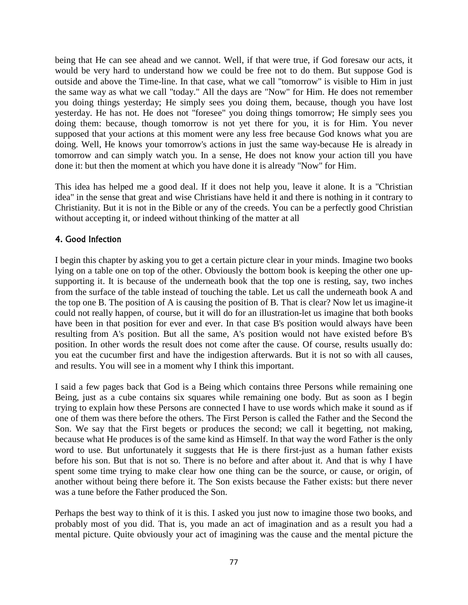being that He can see ahead and we cannot. Well, if that were true, if God foresaw our acts, it would be very hard to understand how we could be free not to do them. But suppose God is outside and above the Time-line. In that case, what we call "tomorrow" is visible to Him in just the same way as what we call "today." All the days are "Now" for Him. He does not remember you doing things yesterday; He simply sees you doing them, because, though you have lost yesterday. He has not. He does not "foresee" you doing things tomorrow; He simply sees you doing them: because, though tomorrow is not yet there for you, it is for Him. You never supposed that your actions at this moment were any less free because God knows what you are doing. Well, He knows your tomorrow's actions in just the same way-because He is already in tomorrow and can simply watch you. In a sense, He does not know your action till you have done it: but then the moment at which you have done it is already "Now" for Him.

This idea has helped me a good deal. If it does not help you, leave it alone. It is a "Christian idea" in the sense that great and wise Christians have held it and there is nothing in it contrary to Christianity. But it is not in the Bible or any of the creeds. You can be a perfectly good Christian without accepting it, or indeed without thinking of the matter at all

## 4. Good Infection

I begin this chapter by asking you to get a certain picture clear in your minds. Imagine two books lying on a table one on top of the other. Obviously the bottom book is keeping the other one upsupporting it. It is because of the underneath book that the top one is resting, say, two inches from the surface of the table instead of touching the table. Let us call the underneath book A and the top one B. The position of A is causing the position of B. That is clear? Now let us imagine-it could not really happen, of course, but it will do for an illustration-let us imagine that both books have been in that position for ever and ever. In that case B's position would always have been resulting from A's position. But all the same, A's position would not have existed before B's position. In other words the result does not come after the cause. Of course, results usually do: you eat the cucumber first and have the indigestion afterwards. But it is not so with all causes, and results. You will see in a moment why I think this important.

I said a few pages back that God is a Being which contains three Persons while remaining one Being, just as a cube contains six squares while remaining one body. But as soon as I begin trying to explain how these Persons are connected I have to use words which make it sound as if one of them was there before the others. The First Person is called the Father and the Second the Son. We say that the First begets or produces the second; we call it begetting, not making, because what He produces is of the same kind as Himself. In that way the word Father is the only word to use. But unfortunately it suggests that He is there first-just as a human father exists before his son. But that is not so. There is no before and after about it. And that is why I have spent some time trying to make clear how one thing can be the source, or cause, or origin, of another without being there before it. The Son exists because the Father exists: but there never was a tune before the Father produced the Son.

Perhaps the best way to think of it is this. I asked you just now to imagine those two books, and probably most of you did. That is, you made an act of imagination and as a result you had a mental picture. Quite obviously your act of imagining was the cause and the mental picture the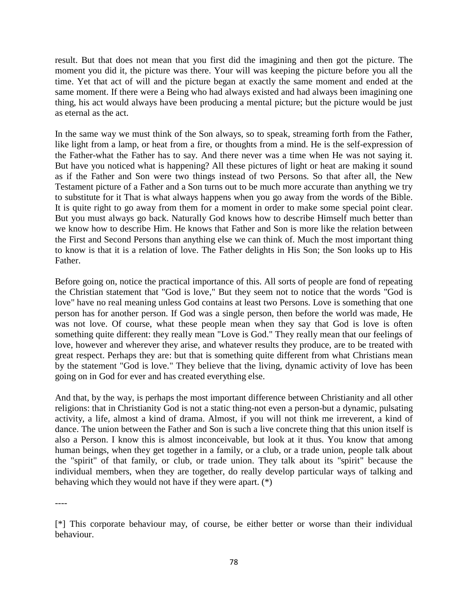result. But that does not mean that you first did the imagining and then got the picture. The moment you did it, the picture was there. Your will was keeping the picture before you all the time. Yet that act of will and the picture began at exactly the same moment and ended at the same moment. If there were a Being who had always existed and had always been imagining one thing, his act would always have been producing a mental picture; but the picture would be just as eternal as the act.

In the same way we must think of the Son always, so to speak, streaming forth from the Father, like light from a lamp, or heat from a fire, or thoughts from a mind. He is the self-expression of the Father-what the Father has to say. And there never was a time when He was not saying it. But have you noticed what is happening? All these pictures of light or heat are making it sound as if the Father and Son were two things instead of two Persons. So that after all, the New Testament picture of a Father and a Son turns out to be much more accurate than anything we try to substitute for it That is what always happens when you go away from the words of the Bible. It is quite right to go away from them for a moment in order to make some special point clear. But you must always go back. Naturally God knows how to describe Himself much better than we know how to describe Him. He knows that Father and Son is more like the relation between the First and Second Persons than anything else we can think of. Much the most important thing to know is that it is a relation of love. The Father delights in His Son; the Son looks up to His Father.

Before going on, notice the practical importance of this. All sorts of people are fond of repeating the Christian statement that "God is love," But they seem not to notice that the words "God is love" have no real meaning unless God contains at least two Persons. Love is something that one person has for another person. If God was a single person, then before the world was made, He was not love. Of course, what these people mean when they say that God is love is often something quite different: they really mean "Love is God." They really mean that our feelings of love, however and wherever they arise, and whatever results they produce, are to be treated with great respect. Perhaps they are: but that is something quite different from what Christians mean by the statement "God is love." They believe that the living, dynamic activity of love has been going on in God for ever and has created everything else.

And that, by the way, is perhaps the most important difference between Christianity and all other religions: that in Christianity God is not a static thing-not even a person-but a dynamic, pulsating activity, a life, almost a kind of drama. Almost, if you will not think me irreverent, a kind of dance. The union between the Father and Son is such a live concrete thing that this union itself is also a Person. I know this is almost inconceivable, but look at it thus. You know that among human beings, when they get together in a family, or a club, or a trade union, people talk about the "spirit" of that family, or club, or trade union. They talk about its "spirit" because the individual members, when they are together, do really develop particular ways of talking and behaving which they would not have if they were apart. (\*)

----

<sup>[\*]</sup> This corporate behaviour may, of course, be either better or worse than their individual behaviour.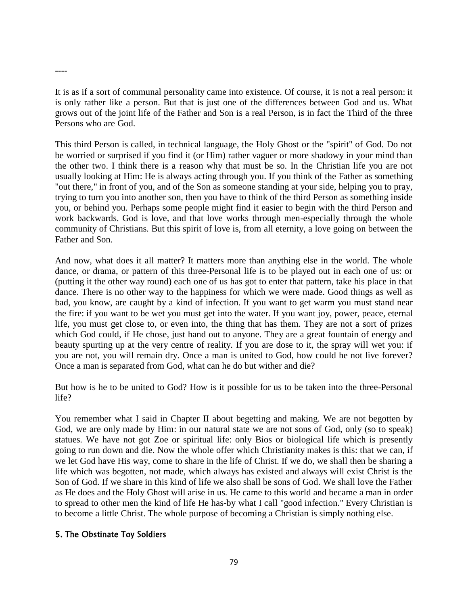### It is as if a sort of communal personality came into existence. Of course, it is not a real person: it is only rather like a person. But that is just one of the differences between God and us. What grows out of the joint life of the Father and Son is a real Person, is in fact the Third of the three Persons who are God.

This third Person is called, in technical language, the Holy Ghost or the "spirit" of God. Do not be worried or surprised if you find it (or Him) rather vaguer or more shadowy in your mind than the other two. I think there is a reason why that must be so. In the Christian life you are not usually looking at Him: He is always acting through you. If you think of the Father as something "out there," in front of you, and of the Son as someone standing at your side, helping you to pray, trying to turn you into another son, then you have to think of the third Person as something inside you, or behind you. Perhaps some people might find it easier to begin with the third Person and work backwards. God is love, and that love works through men-especially through the whole community of Christians. But this spirit of love is, from all eternity, a love going on between the Father and Son.

And now, what does it all matter? It matters more than anything else in the world. The whole dance, or drama, or pattern of this three-Personal life is to be played out in each one of us: or (putting it the other way round) each one of us has got to enter that pattern, take his place in that dance. There is no other way to the happiness for which we were made. Good things as well as bad, you know, are caught by a kind of infection. If you want to get warm you must stand near the fire: if you want to be wet you must get into the water. If you want joy, power, peace, eternal life, you must get close to, or even into, the thing that has them. They are not a sort of prizes which God could, if He chose, just hand out to anyone. They are a great fountain of energy and beauty spurting up at the very centre of reality. If you are dose to it, the spray will wet you: if you are not, you will remain dry. Once a man is united to God, how could he not live forever? Once a man is separated from God, what can he do but wither and die?

But how is he to be united to God? How is it possible for us to be taken into the three-Personal life?

You remember what I said in Chapter II about begetting and making. We are not begotten by God, we are only made by Him: in our natural state we are not sons of God, only (so to speak) statues. We have not got Zoe or spiritual life: only Bios or biological life which is presently going to run down and die. Now the whole offer which Christianity makes is this: that we can, if we let God have His way, come to share in the life of Christ. If we do, we shall then be sharing a life which was begotten, not made, which always has existed and always will exist Christ is the Son of God. If we share in this kind of life we also shall be sons of God. We shall love the Father as He does and the Holy Ghost will arise in us. He came to this world and became a man in order to spread to other men the kind of life He has-by what I call "good infection." Every Christian is to become a little Christ. The whole purpose of becoming a Christian is simply nothing else.

### 5. The Obstinate Toy Soldiers

----

79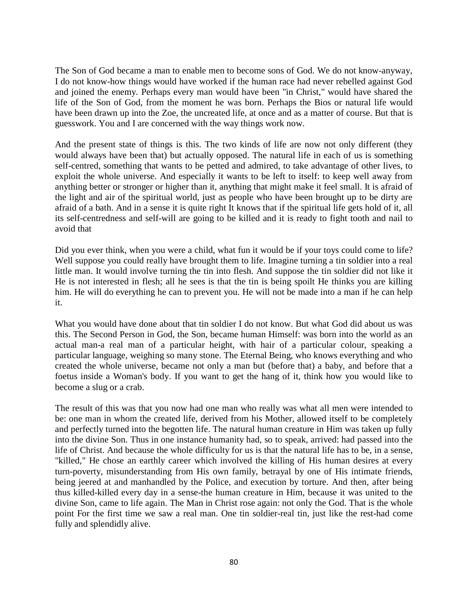The Son of God became a man to enable men to become sons of God. We do not know-anyway, I do not know-how things would have worked if the human race had never rebelled against God and joined the enemy. Perhaps every man would have been "in Christ," would have shared the life of the Son of God, from the moment he was born. Perhaps the Bios or natural life would have been drawn up into the Zoe, the uncreated life, at once and as a matter of course. But that is guesswork. You and I are concerned with the way things work now.

And the present state of things is this. The two kinds of life are now not only different (they would always have been that) but actually opposed. The natural life in each of us is something self-centred, something that wants to be petted and admired, to take advantage of other lives, to exploit the whole universe. And especially it wants to be left to itself: to keep well away from anything better or stronger or higher than it, anything that might make it feel small. It is afraid of the light and air of the spiritual world, just as people who have been brought up to be dirty are afraid of a bath. And in a sense it is quite right It knows that if the spiritual life gets hold of it, all its self-centredness and self-will are going to be killed and it is ready to fight tooth and nail to avoid that

Did you ever think, when you were a child, what fun it would be if your toys could come to life? Well suppose you could really have brought them to life. Imagine turning a tin soldier into a real little man. It would involve turning the tin into flesh. And suppose the tin soldier did not like it He is not interested in flesh; all he sees is that the tin is being spoilt He thinks you are killing him. He will do everything he can to prevent you. He will not be made into a man if he can help it.

What you would have done about that tin soldier I do not know. But what God did about us was this. The Second Person in God, the Son, became human Himself: was born into the world as an actual man-a real man of a particular height, with hair of a particular colour, speaking a particular language, weighing so many stone. The Eternal Being, who knows everything and who created the whole universe, became not only a man but (before that) a baby, and before that a foetus inside a Woman's body. If you want to get the hang of it, think how you would like to become a slug or a crab.

The result of this was that you now had one man who really was what all men were intended to be: one man in whom the created life, derived from his Mother, allowed itself to be completely and perfectly turned into the begotten life. The natural human creature in Him was taken up fully into the divine Son. Thus in one instance humanity had, so to speak, arrived: had passed into the life of Christ. And because the whole difficulty for us is that the natural life has to be, in a sense, "killed," He chose an earthly career which involved the killing of His human desires at every turn-poverty, misunderstanding from His own family, betrayal by one of His intimate friends, being jeered at and manhandled by the Police, and execution by torture. And then, after being thus killed-killed every day in a sense-the human creature in Him, because it was united to the divine Son, came to life again. The Man in Christ rose again: not only the God. That is the whole point For the first time we saw a real man. One tin soldier-real tin, just like the rest-had come fully and splendidly alive.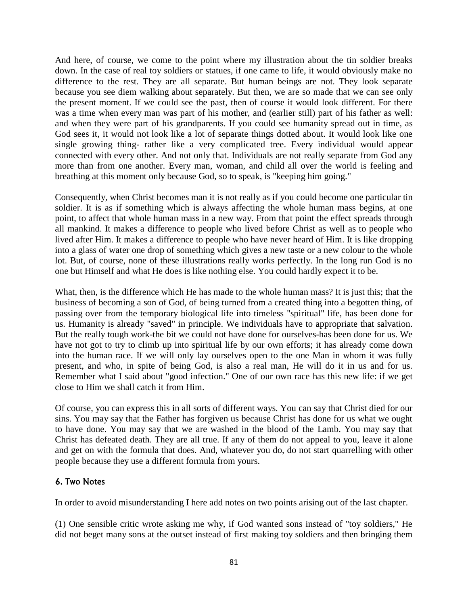And here, of course, we come to the point where my illustration about the tin soldier breaks down. In the case of real toy soldiers or statues, if one came to life, it would obviously make no difference to the rest. They are all separate. But human beings are not. They look separate because you see diem walking about separately. But then, we are so made that we can see only the present moment. If we could see the past, then of course it would look different. For there was a time when every man was part of his mother, and (earlier still) part of his father as well: and when they were part of his grandparents. If you could see humanity spread out in time, as God sees it, it would not look like a lot of separate things dotted about. It would look like one single growing thing- rather like a very complicated tree. Every individual would appear connected with every other. And not only that. Individuals are not really separate from God any more than from one another. Every man, woman, and child all over the world is feeling and breathing at this moment only because God, so to speak, is "keeping him going."

Consequently, when Christ becomes man it is not really as if you could become one particular tin soldier. It is as if something which is always affecting the whole human mass begins, at one point, to affect that whole human mass in a new way. From that point the effect spreads through all mankind. It makes a difference to people who lived before Christ as well as to people who lived after Him. It makes a difference to people who have never heard of Him. It is like dropping into a glass of water one drop of something which gives a new taste or a new colour to the whole lot. But, of course, none of these illustrations really works perfectly. In the long run God is no one but Himself and what He does is like nothing else. You could hardly expect it to be.

What, then, is the difference which He has made to the whole human mass? It is just this; that the business of becoming a son of God, of being turned from a created thing into a begotten thing, of passing over from the temporary biological life into timeless "spiritual" life, has been done for us. Humanity is already "saved" in principle. We individuals have to appropriate that salvation. But the really tough work-the bit we could not have done for ourselves-has been done for us. We have not got to try to climb up into spiritual life by our own efforts; it has already come down into the human race. If we will only lay ourselves open to the one Man in whom it was fully present, and who, in spite of being God, is also a real man, He will do it in us and for us. Remember what I said about "good infection." One of our own race has this new life: if we get close to Him we shall catch it from Him.

Of course, you can express this in all sorts of different ways. You can say that Christ died for our sins. You may say that the Father has forgiven us because Christ has done for us what we ought to have done. You may say that we are washed in the blood of the Lamb. You may say that Christ has defeated death. They are all true. If any of them do not appeal to you, leave it alone and get on with the formula that does. And, whatever you do, do not start quarrelling with other people because they use a different formula from yours.

### 6. Two Notes

In order to avoid misunderstanding I here add notes on two points arising out of the last chapter.

(1) One sensible critic wrote asking me why, if God wanted sons instead of "toy soldiers," He did not beget many sons at the outset instead of first making toy soldiers and then bringing them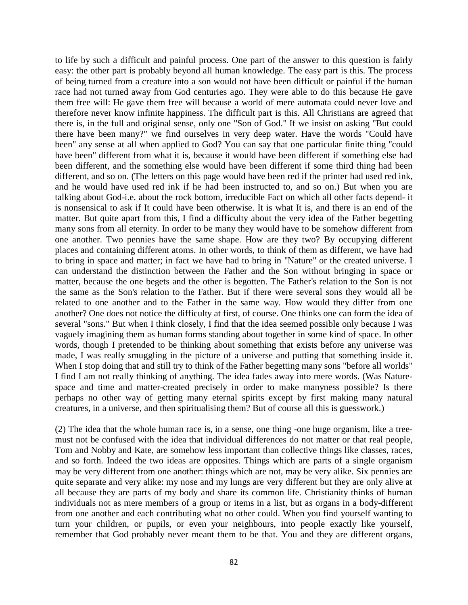to life by such a difficult and painful process. One part of the answer to this question is fairly easy: the other part is probably beyond all human knowledge. The easy part is this. The process of being turned from a creature into a son would not have been difficult or painful if the human race had not turned away from God centuries ago. They were able to do this because He gave them free will: He gave them free will because a world of mere automata could never love and therefore never know infinite happiness. The difficult part is this. All Christians are agreed that there is, in the full and original sense, only one "Son of God." If we insist on asking "But could there have been many?" we find ourselves in very deep water. Have the words "Could have been" any sense at all when applied to God? You can say that one particular finite thing "could have been" different from what it is, because it would have been different if something else had been different, and the something else would have been different if some third thing had been different, and so on. (The letters on this page would have been red if the printer had used red ink, and he would have used red ink if he had been instructed to, and so on.) But when you are talking about God-i.e. about the rock bottom, irreducible Fact on which all other facts depend- it is nonsensical to ask if It could have been otherwise. It is what It is, and there is an end of the matter. But quite apart from this, I find a difficulty about the very idea of the Father begetting many sons from all eternity. In order to be many they would have to be somehow different from one another. Two pennies have the same shape. How are they two? By occupying different places and containing different atoms. In other words, to think of them as different, we have had to bring in space and matter; in fact we have had to bring in "Nature" or the created universe. I can understand the distinction between the Father and the Son without bringing in space or matter, because the one begets and the other is begotten. The Father's relation to the Son is not the same as the Son's relation to the Father. But if there were several sons they would all be related to one another and to the Father in the same way. How would they differ from one another? One does not notice the difficulty at first, of course. One thinks one can form the idea of several "sons." But when I think closely, I find that the idea seemed possible only because I was vaguely imagining them as human forms standing about together in some kind of space. In other words, though I pretended to be thinking about something that exists before any universe was made, I was really smuggling in the picture of a universe and putting that something inside it. When I stop doing that and still try to think of the Father begetting many sons "before all worlds" I find I am not really thinking of anything. The idea fades away into mere words. (Was Naturespace and time and matter-created precisely in order to make manyness possible? Is there perhaps no other way of getting many eternal spirits except by first making many natural creatures, in a universe, and then spiritualising them? But of course all this is guesswork.)

(2) The idea that the whole human race is, in a sense, one thing -one huge organism, like a treemust not be confused with the idea that individual differences do not matter or that real people, Tom and Nobby and Kate, are somehow less important than collective things like classes, races, and so forth. Indeed the two ideas are opposites. Things which are parts of a single organism may be very different from one another: things which are not, may be very alike. Six pennies are quite separate and very alike: my nose and my lungs are very different but they are only alive at all because they are parts of my body and share its common life. Christianity thinks of human individuals not as mere members of a group or items in a list, but as organs in a body-different from one another and each contributing what no other could. When you find yourself wanting to turn your children, or pupils, or even your neighbours, into people exactly like yourself, remember that God probably never meant them to be that. You and they are different organs,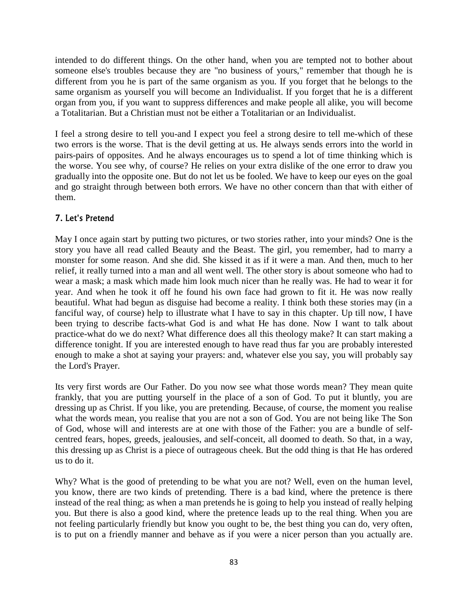intended to do different things. On the other hand, when you are tempted not to bother about someone else's troubles because they are "no business of yours," remember that though he is different from you he is part of the same organism as you. If you forget that he belongs to the same organism as yourself you will become an Individualist. If you forget that he is a different organ from you, if you want to suppress differences and make people all alike, you will become a Totalitarian. But a Christian must not be either a Totalitarian or an Individualist.

I feel a strong desire to tell you-and I expect you feel a strong desire to tell me-which of these two errors is the worse. That is the devil getting at us. He always sends errors into the world in pairs-pairs of opposites. And he always encourages us to spend a lot of time thinking which is the worse. You see why, of course? He relies on your extra dislike of the one error to draw you gradually into the opposite one. But do not let us be fooled. We have to keep our eyes on the goal and go straight through between both errors. We have no other concern than that with either of them.

# 7. Let's Pretend

May I once again start by putting two pictures, or two stories rather, into your minds? One is the story you have all read called Beauty and the Beast. The girl, you remember, had to marry a monster for some reason. And she did. She kissed it as if it were a man. And then, much to her relief, it really turned into a man and all went well. The other story is about someone who had to wear a mask; a mask which made him look much nicer than he really was. He had to wear it for year. And when he took it off he found his own face had grown to fit it. He was now really beautiful. What had begun as disguise had become a reality. I think both these stories may (in a fanciful way, of course) help to illustrate what I have to say in this chapter. Up till now, I have been trying to describe facts-what God is and what He has done. Now I want to talk about practice-what do we do next? What difference does all this theology make? It can start making a difference tonight. If you are interested enough to have read thus far you are probably interested enough to make a shot at saying your prayers: and, whatever else you say, you will probably say the Lord's Prayer.

Its very first words are Our Father. Do you now see what those words mean? They mean quite frankly, that you are putting yourself in the place of a son of God. To put it bluntly, you are dressing up as Christ. If you like, you are pretending. Because, of course, the moment you realise what the words mean, you realise that you are not a son of God. You are not being like The Son of God, whose will and interests are at one with those of the Father: you are a bundle of selfcentred fears, hopes, greeds, jealousies, and self-conceit, all doomed to death. So that, in a way, this dressing up as Christ is a piece of outrageous cheek. But the odd thing is that He has ordered us to do it.

Why? What is the good of pretending to be what you are not? Well, even on the human level, you know, there are two kinds of pretending. There is a bad kind, where the pretence is there instead of the real thing; as when a man pretends he is going to help you instead of really helping you. But there is also a good kind, where the pretence leads up to the real thing. When you are not feeling particularly friendly but know you ought to be, the best thing you can do, very often, is to put on a friendly manner and behave as if you were a nicer person than you actually are.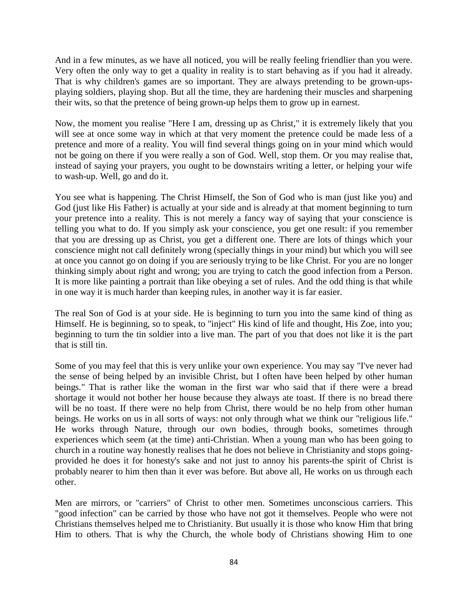And in a few minutes, as we have all noticed, you will be really feeling friendlier than you were. Very often the only way to get a quality in reality is to start behaving as if you had it already. That is why children's games are so important. They are always pretending to be grown-upsplaying soldiers, playing shop. But all the time, they are hardening their muscles and sharpening their wits, so that the pretence of being grown-up helps them to grow up in earnest.

Now, the moment you realise "Here I am, dressing up as Christ," it is extremely likely that you will see at once some way in which at that very moment the pretence could be made less of a pretence and more of a reality. You will find several things going on in your mind which would not be going on there if you were really a son of God. Well, stop them. Or you may realise that, instead of saying your prayers, you ought to be downstairs writing a letter, or helping your wife to wash-up. Well, go and do it.

You see what is happening. The Christ Himself, the Son of God who is man (just like you) and God (just like His Father) is actually at your side and is already at that moment beginning to turn your pretence into a reality. This is not merely a fancy way of saying that your conscience is telling you what to do. If you simply ask your conscience, you get one result: if you remember that you are dressing up as Christ, you get a different one. There are lots of things which your conscience might not call definitely wrong (specially things in your mind) but which you will see at once you cannot go on doing if you are seriously trying to be like Christ. For you are no longer thinking simply about right and wrong; you are trying to catch the good infection from a Person. It is more like painting a portrait than like obeying a set of rules. And the odd thing is that while in one way it is much harder than keeping rules, in another way it is far easier.

The real Son of God is at your side. He is beginning to turn you into the same kind of thing as Himself. He is beginning, so to speak, to "inject" His kind of life and thought, His Zoe, into you; beginning to turn the tin soldier into a live man. The part of you that does not like it is the part that is still tin.

Some of you may feel that this is very unlike your own experience. You may say "I've never had the sense of being helped by an invisible Christ, but I often have been helped by other human beings." That is rather like the woman in the first war who said that if there were a bread shortage it would not bother her house because they always ate toast. If there is no bread there will be no toast. If there were no help from Christ, there would be no help from other human beings. He works on us in all sorts of ways: not only through what we think our "religious life." He works through Nature, through our own bodies, through books, sometimes through experiences which seem (at the time) anti-Christian. When a young man who has been going to church in a routine way honestly realises that he does not believe in Christianity and stops goingprovided he does it for honesty's sake and not just to annoy his parents-the spirit of Christ is probably nearer to him then than it ever was before. But above all, He works on us through each other.

Men are mirrors, or "carriers" of Christ to other men. Sometimes unconscious carriers. This "good infection" can be carried by those who have not got it themselves. People who were not Christians themselves helped me to Christianity. But usually it is those who know Him that bring Him to others. That is why the Church, the whole body of Christians showing Him to one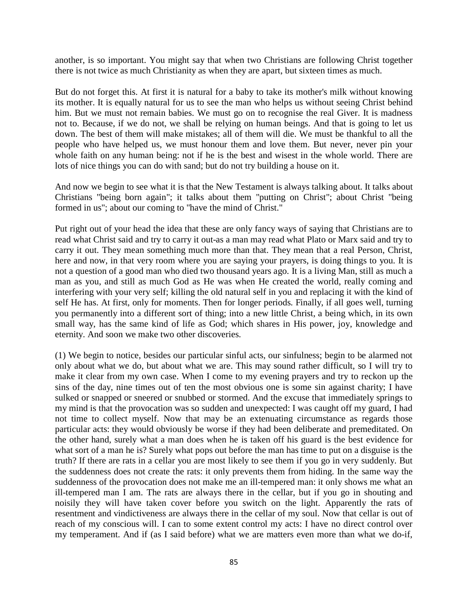another, is so important. You might say that when two Christians are following Christ together there is not twice as much Christianity as when they are apart, but sixteen times as much.

But do not forget this. At first it is natural for a baby to take its mother's milk without knowing its mother. It is equally natural for us to see the man who helps us without seeing Christ behind him. But we must not remain babies. We must go on to recognise the real Giver. It is madness not to. Because, if we do not, we shall be relying on human beings. And that is going to let us down. The best of them will make mistakes; all of them will die. We must be thankful to all the people who have helped us, we must honour them and love them. But never, never pin your whole faith on any human being: not if he is the best and wisest in the whole world. There are lots of nice things you can do with sand; but do not try building a house on it.

And now we begin to see what it is that the New Testament is always talking about. It talks about Christians "being born again"; it talks about them "putting on Christ"; about Christ "being formed in us"; about our coming to "have the mind of Christ."

Put right out of your head the idea that these are only fancy ways of saying that Christians are to read what Christ said and try to carry it out-as a man may read what Plato or Marx said and try to carry it out. They mean something much more than that. They mean that a real Person, Christ, here and now, in that very room where you are saying your prayers, is doing things to you. It is not a question of a good man who died two thousand years ago. It is a living Man, still as much a man as you, and still as much God as He was when He created the world, really coming and interfering with your very self; killing the old natural self in you and replacing it with the kind of self He has. At first, only for moments. Then for longer periods. Finally, if all goes well, turning you permanently into a different sort of thing; into a new little Christ, a being which, in its own small way, has the same kind of life as God; which shares in His power, joy, knowledge and eternity. And soon we make two other discoveries.

(1) We begin to notice, besides our particular sinful acts, our sinfulness; begin to be alarmed not only about what we do, but about what we are. This may sound rather difficult, so I will try to make it clear from my own case. When I come to my evening prayers and try to reckon up the sins of the day, nine times out of ten the most obvious one is some sin against charity; I have sulked or snapped or sneered or snubbed or stormed. And the excuse that immediately springs to my mind is that the provocation was so sudden and unexpected: I was caught off my guard, I had not time to collect myself. Now that may be an extenuating circumstance as regards those particular acts: they would obviously be worse if they had been deliberate and premeditated. On the other hand, surely what a man does when he is taken off his guard is the best evidence for what sort of a man he is? Surely what pops out before the man has time to put on a disguise is the truth? If there are rats in a cellar you are most likely to see them if you go in very suddenly. But the suddenness does not create the rats: it only prevents them from hiding. In the same way the suddenness of the provocation does not make me an ill-tempered man: it only shows me what an ill-tempered man I am. The rats are always there in the cellar, but if you go in shouting and noisily they will have taken cover before you switch on the light. Apparently the rats of resentment and vindictiveness are always there in the cellar of my soul. Now that cellar is out of reach of my conscious will. I can to some extent control my acts: I have no direct control over my temperament. And if (as I said before) what we are matters even more than what we do-if,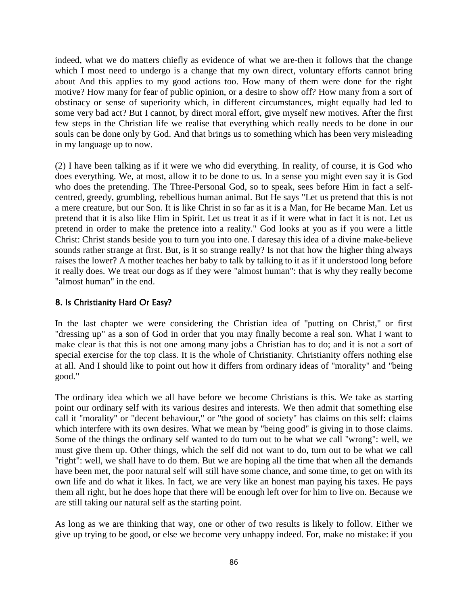indeed, what we do matters chiefly as evidence of what we are-then it follows that the change which I most need to undergo is a change that my own direct, voluntary efforts cannot bring about And this applies to my good actions too. How many of them were done for the right motive? How many for fear of public opinion, or a desire to show off? How many from a sort of obstinacy or sense of superiority which, in different circumstances, might equally had led to some very bad act? But I cannot, by direct moral effort, give myself new motives. After the first few steps in the Christian life we realise that everything which really needs to be done in our souls can be done only by God. And that brings us to something which has been very misleading in my language up to now.

(2) I have been talking as if it were we who did everything. In reality, of course, it is God who does everything. We, at most, allow it to be done to us. In a sense you might even say it is God who does the pretending. The Three-Personal God, so to speak, sees before Him in fact a selfcentred, greedy, grumbling, rebellious human animal. But He says "Let us pretend that this is not a mere creature, but our Son. It is like Christ in so far as it is a Man, for He became Man. Let us pretend that it is also like Him in Spirit. Let us treat it as if it were what in fact it is not. Let us pretend in order to make the pretence into a reality." God looks at you as if you were a little Christ: Christ stands beside you to turn you into one. I daresay this idea of a divine make-believe sounds rather strange at first. But, is it so strange really? Is not that how the higher thing always raises the lower? A mother teaches her baby to talk by talking to it as if it understood long before it really does. We treat our dogs as if they were "almost human": that is why they really become "almost human" in the end.

# 8. Is Christianity Hard Or Easy?

In the last chapter we were considering the Christian idea of "putting on Christ," or first "dressing up" as a son of God in order that you may finally become a real son. What I want to make clear is that this is not one among many jobs a Christian has to do; and it is not a sort of special exercise for the top class. It is the whole of Christianity. Christianity offers nothing else at all. And I should like to point out how it differs from ordinary ideas of "morality" and "being good."

The ordinary idea which we all have before we become Christians is this. We take as starting point our ordinary self with its various desires and interests. We then admit that something else call it "morality" or "decent behaviour," or "the good of society" has claims on this self: claims which interfere with its own desires. What we mean by "being good" is giving in to those claims. Some of the things the ordinary self wanted to do turn out to be what we call "wrong": well, we must give them up. Other things, which the self did not want to do, turn out to be what we call "right": well, we shall have to do them. But we are hoping all the time that when all the demands have been met, the poor natural self will still have some chance, and some time, to get on with its own life and do what it likes. In fact, we are very like an honest man paying his taxes. He pays them all right, but he does hope that there will be enough left over for him to live on. Because we are still taking our natural self as the starting point.

As long as we are thinking that way, one or other of two results is likely to follow. Either we give up trying to be good, or else we become very unhappy indeed. For, make no mistake: if you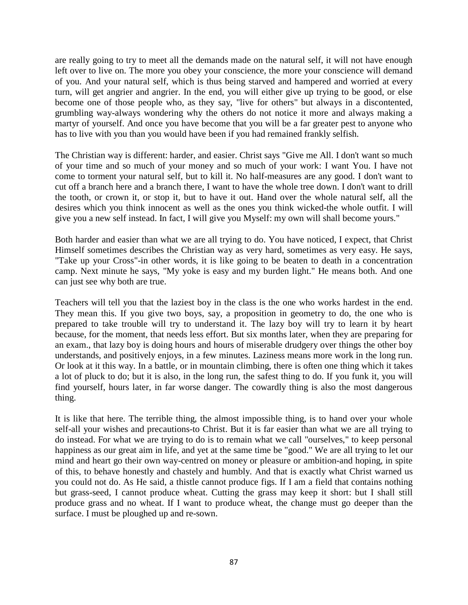are really going to try to meet all the demands made on the natural self, it will not have enough left over to live on. The more you obey your conscience, the more your conscience will demand of you. And your natural self, which is thus being starved and hampered and worried at every turn, will get angrier and angrier. In the end, you will either give up trying to be good, or else become one of those people who, as they say, "live for others" but always in a discontented, grumbling way-always wondering why the others do not notice it more and always making a martyr of yourself. And once you have become that you will be a far greater pest to anyone who has to live with you than you would have been if you had remained frankly selfish.

The Christian way is different: harder, and easier. Christ says "Give me All. I don't want so much of your time and so much of your money and so much of your work: I want You. I have not come to torment your natural self, but to kill it. No half-measures are any good. I don't want to cut off a branch here and a branch there, I want to have the whole tree down. I don't want to drill the tooth, or crown it, or stop it, but to have it out. Hand over the whole natural self, all the desires which you think innocent as well as the ones you think wicked-the whole outfit. I will give you a new self instead. In fact, I will give you Myself: my own will shall become yours."

Both harder and easier than what we are all trying to do. You have noticed, I expect, that Christ Himself sometimes describes the Christian way as very hard, sometimes as very easy. He says, "Take up your Cross"-in other words, it is like going to be beaten to death in a concentration camp. Next minute he says, "My yoke is easy and my burden light." He means both. And one can just see why both are true.

Teachers will tell you that the laziest boy in the class is the one who works hardest in the end. They mean this. If you give two boys, say, a proposition in geometry to do, the one who is prepared to take trouble will try to understand it. The lazy boy will try to learn it by heart because, for the moment, that needs less effort. But six months later, when they are preparing for an exam., that lazy boy is doing hours and hours of miserable drudgery over things the other boy understands, and positively enjoys, in a few minutes. Laziness means more work in the long run. Or look at it this way. In a battle, or in mountain climbing, there is often one thing which it takes a lot of pluck to do; but it is also, in the long run, the safest thing to do. If you funk it, you will find yourself, hours later, in far worse danger. The cowardly thing is also the most dangerous thing.

It is like that here. The terrible thing, the almost impossible thing, is to hand over your whole self-all your wishes and precautions-to Christ. But it is far easier than what we are all trying to do instead. For what we are trying to do is to remain what we call "ourselves," to keep personal happiness as our great aim in life, and yet at the same time be "good." We are all trying to let our mind and heart go their own way-centred on money or pleasure or ambition-and hoping, in spite of this, to behave honestly and chastely and humbly. And that is exactly what Christ warned us you could not do. As He said, a thistle cannot produce figs. If I am a field that contains nothing but grass-seed, I cannot produce wheat. Cutting the grass may keep it short: but I shall still produce grass and no wheat. If I want to produce wheat, the change must go deeper than the surface. I must be ploughed up and re-sown.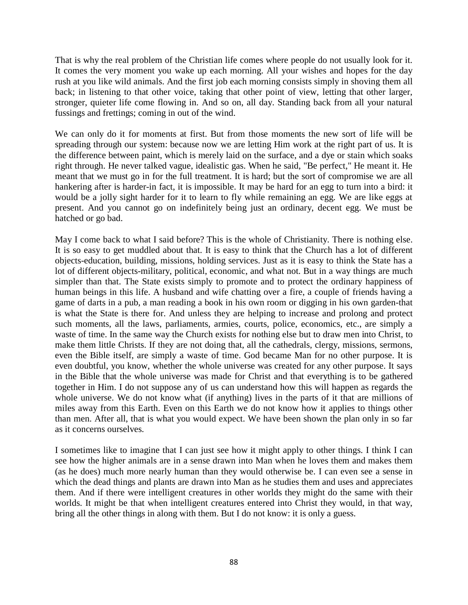That is why the real problem of the Christian life comes where people do not usually look for it. It comes the very moment you wake up each morning. All your wishes and hopes for the day rush at you like wild animals. And the first job each morning consists simply in shoving them all back; in listening to that other voice, taking that other point of view, letting that other larger, stronger, quieter life come flowing in. And so on, all day. Standing back from all your natural fussings and frettings; coming in out of the wind.

We can only do it for moments at first. But from those moments the new sort of life will be spreading through our system: because now we are letting Him work at the right part of us. It is the difference between paint, which is merely laid on the surface, and a dye or stain which soaks right through. He never talked vague, idealistic gas. When he said, "Be perfect," He meant it. He meant that we must go in for the full treatment. It is hard; but the sort of compromise we are all hankering after is harder-in fact, it is impossible. It may be hard for an egg to turn into a bird: it would be a jolly sight harder for it to learn to fly while remaining an egg. We are like eggs at present. And you cannot go on indefinitely being just an ordinary, decent egg. We must be hatched or go bad.

May I come back to what I said before? This is the whole of Christianity. There is nothing else. It is so easy to get muddled about that. It is easy to think that the Church has a lot of different objects-education, building, missions, holding services. Just as it is easy to think the State has a lot of different objects-military, political, economic, and what not. But in a way things are much simpler than that. The State exists simply to promote and to protect the ordinary happiness of human beings in this life. A husband and wife chatting over a fire, a couple of friends having a game of darts in a pub, a man reading a book in his own room or digging in his own garden-that is what the State is there for. And unless they are helping to increase and prolong and protect such moments, all the laws, parliaments, armies, courts, police, economics, etc., are simply a waste of time. In the same way the Church exists for nothing else but to draw men into Christ, to make them little Christs. If they are not doing that, all the cathedrals, clergy, missions, sermons, even the Bible itself, are simply a waste of time. God became Man for no other purpose. It is even doubtful, you know, whether the whole universe was created for any other purpose. It says in the Bible that the whole universe was made for Christ and that everything is to be gathered together in Him. I do not suppose any of us can understand how this will happen as regards the whole universe. We do not know what (if anything) lives in the parts of it that are millions of miles away from this Earth. Even on this Earth we do not know how it applies to things other than men. After all, that is what you would expect. We have been shown the plan only in so far as it concerns ourselves.

I sometimes like to imagine that I can just see how it might apply to other things. I think I can see how the higher animals are in a sense drawn into Man when he loves them and makes them (as he does) much more nearly human than they would otherwise be. I can even see a sense in which the dead things and plants are drawn into Man as he studies them and uses and appreciates them. And if there were intelligent creatures in other worlds they might do the same with their worlds. It might be that when intelligent creatures entered into Christ they would, in that way, bring all the other things in along with them. But I do not know: it is only a guess.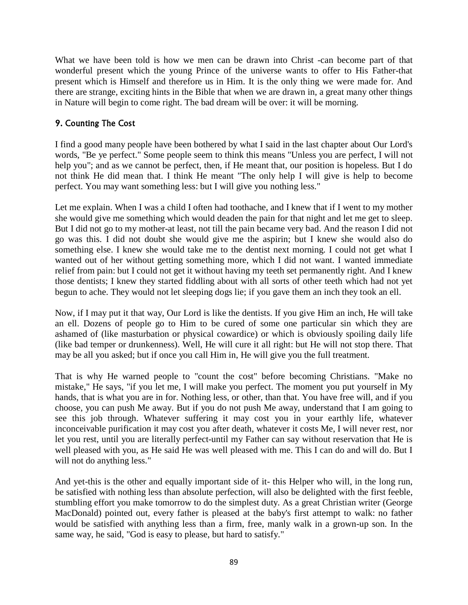What we have been told is how we men can be drawn into Christ -can become part of that wonderful present which the young Prince of the universe wants to offer to His Father-that present which is Himself and therefore us in Him. It is the only thing we were made for. And there are strange, exciting hints in the Bible that when we are drawn in, a great many other things in Nature will begin to come right. The bad dream will be over: it will be morning.

## 9. Counting The Cost

I find a good many people have been bothered by what I said in the last chapter about Our Lord's words, "Be ye perfect." Some people seem to think this means "Unless you are perfect, I will not help you"; and as we cannot be perfect, then, if He meant that, our position is hopeless. But I do not think He did mean that. I think He meant "The only help I will give is help to become perfect. You may want something less: but I will give you nothing less."

Let me explain. When I was a child I often had toothache, and I knew that if I went to my mother she would give me something which would deaden the pain for that night and let me get to sleep. But I did not go to my mother-at least, not till the pain became very bad. And the reason I did not go was this. I did not doubt she would give me the aspirin; but I knew she would also do something else. I knew she would take me to the dentist next morning. I could not get what I wanted out of her without getting something more, which I did not want. I wanted immediate relief from pain: but I could not get it without having my teeth set permanently right. And I knew those dentists; I knew they started fiddling about with all sorts of other teeth which had not yet begun to ache. They would not let sleeping dogs lie; if you gave them an inch they took an ell.

Now, if I may put it that way, Our Lord is like the dentists. If you give Him an inch, He will take an ell. Dozens of people go to Him to be cured of some one particular sin which they are ashamed of (like masturbation or physical cowardice) or which is obviously spoiling daily life (like bad temper or drunkenness). Well, He will cure it all right: but He will not stop there. That may be all you asked; but if once you call Him in, He will give you the full treatment.

That is why He warned people to "count the cost" before becoming Christians. "Make no mistake," He says, "if you let me, I will make you perfect. The moment you put yourself in My hands, that is what you are in for. Nothing less, or other, than that. You have free will, and if you choose, you can push Me away. But if you do not push Me away, understand that I am going to see this job through. Whatever suffering it may cost you in your earthly life, whatever inconceivable purification it may cost you after death, whatever it costs Me, I will never rest, nor let you rest, until you are literally perfect-until my Father can say without reservation that He is well pleased with you, as He said He was well pleased with me. This I can do and will do. But I will not do anything less."

And yet-this is the other and equally important side of it- this Helper who will, in the long run, be satisfied with nothing less than absolute perfection, will also be delighted with the first feeble, stumbling effort you make tomorrow to do the simplest duty. As a great Christian writer (George MacDonald) pointed out, every father is pleased at the baby's first attempt to walk: no father would be satisfied with anything less than a firm, free, manly walk in a grown-up son. In the same way, he said, "God is easy to please, but hard to satisfy."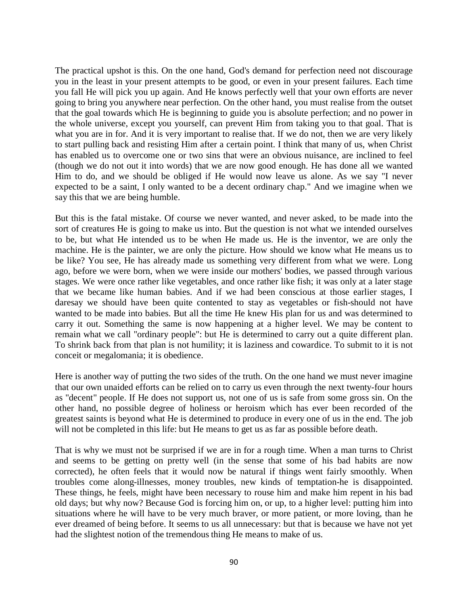The practical upshot is this. On the one hand, God's demand for perfection need not discourage you in the least in your present attempts to be good, or even in your present failures. Each time you fall He will pick you up again. And He knows perfectly well that your own efforts are never going to bring you anywhere near perfection. On the other hand, you must realise from the outset that the goal towards which He is beginning to guide you is absolute perfection; and no power in the whole universe, except you yourself, can prevent Him from taking you to that goal. That is what you are in for. And it is very important to realise that. If we do not, then we are very likely to start pulling back and resisting Him after a certain point. I think that many of us, when Christ has enabled us to overcome one or two sins that were an obvious nuisance, are inclined to feel (though we do not out it into words) that we are now good enough. He has done all we wanted Him to do, and we should be obliged if He would now leave us alone. As we say "I never expected to be a saint, I only wanted to be a decent ordinary chap." And we imagine when we say this that we are being humble.

But this is the fatal mistake. Of course we never wanted, and never asked, to be made into the sort of creatures He is going to make us into. But the question is not what we intended ourselves to be, but what He intended us to be when He made us. He is the inventor, we are only the machine. He is the painter, we are only the picture. How should we know what He means us to be like? You see, He has already made us something very different from what we were. Long ago, before we were born, when we were inside our mothers' bodies, we passed through various stages. We were once rather like vegetables, and once rather like fish; it was only at a later stage that we became like human babies. And if we had been conscious at those earlier stages, I daresay we should have been quite contented to stay as vegetables or fish-should not have wanted to be made into babies. But all the time He knew His plan for us and was determined to carry it out. Something the same is now happening at a higher level. We may be content to remain what we call "ordinary people": but He is determined to carry out a quite different plan. To shrink back from that plan is not humility; it is laziness and cowardice. To submit to it is not conceit or megalomania; it is obedience.

Here is another way of putting the two sides of the truth. On the one hand we must never imagine that our own unaided efforts can be relied on to carry us even through the next twenty-four hours as "decent" people. If He does not support us, not one of us is safe from some gross sin. On the other hand, no possible degree of holiness or heroism which has ever been recorded of the greatest saints is beyond what He is determined to produce in every one of us in the end. The job will not be completed in this life: but He means to get us as far as possible before death.

That is why we must not be surprised if we are in for a rough time. When a man turns to Christ and seems to be getting on pretty well (in the sense that some of his bad habits are now corrected), he often feels that it would now be natural if things went fairly smoothly. When troubles come along-illnesses, money troubles, new kinds of temptation-he is disappointed. These things, he feels, might have been necessary to rouse him and make him repent in his bad old days; but why now? Because God is forcing him on, or up, to a higher level: putting him into situations where he will have to be very much braver, or more patient, or more loving, than he ever dreamed of being before. It seems to us all unnecessary: but that is because we have not yet had the slightest notion of the tremendous thing He means to make of us.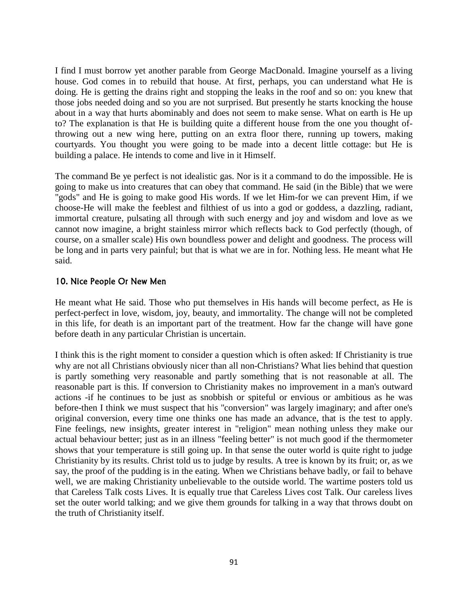I find I must borrow yet another parable from George MacDonald. Imagine yourself as a living house. God comes in to rebuild that house. At first, perhaps, you can understand what He is doing. He is getting the drains right and stopping the leaks in the roof and so on: you knew that those jobs needed doing and so you are not surprised. But presently he starts knocking the house about in a way that hurts abominably and does not seem to make sense. What on earth is He up to? The explanation is that He is building quite a different house from the one you thought ofthrowing out a new wing here, putting on an extra floor there, running up towers, making courtyards. You thought you were going to be made into a decent little cottage: but He is building a palace. He intends to come and live in it Himself.

The command Be ye perfect is not idealistic gas. Nor is it a command to do the impossible. He is going to make us into creatures that can obey that command. He said (in the Bible) that we were "gods" and He is going to make good His words. If we let Him-for we can prevent Him, if we choose-He will make the feeblest and filthiest of us into a god or goddess, a dazzling, radiant, immortal creature, pulsating all through with such energy and joy and wisdom and love as we cannot now imagine, a bright stainless mirror which reflects back to God perfectly (though, of course, on a smaller scale) His own boundless power and delight and goodness. The process will be long and in parts very painful; but that is what we are in for. Nothing less. He meant what He said.

### 10. Nice People Or New Men

He meant what He said. Those who put themselves in His hands will become perfect, as He is perfect-perfect in love, wisdom, joy, beauty, and immortality. The change will not be completed in this life, for death is an important part of the treatment. How far the change will have gone before death in any particular Christian is uncertain.

I think this is the right moment to consider a question which is often asked: If Christianity is true why are not all Christians obviously nicer than all non-Christians? What lies behind that question is partly something very reasonable and partly something that is not reasonable at all. The reasonable part is this. If conversion to Christianity makes no improvement in a man's outward actions -if he continues to be just as snobbish or spiteful or envious or ambitious as he was before-then I think we must suspect that his "conversion" was largely imaginary; and after one's original conversion, every time one thinks one has made an advance, that is the test to apply. Fine feelings, new insights, greater interest in "religion" mean nothing unless they make our actual behaviour better; just as in an illness "feeling better" is not much good if the thermometer shows that your temperature is still going up. In that sense the outer world is quite right to judge Christianity by its results. Christ told us to judge by results. A tree is known by its fruit; or, as we say, the proof of the pudding is in the eating. When we Christians behave badly, or fail to behave well, we are making Christianity unbelievable to the outside world. The wartime posters told us that Careless Talk costs Lives. It is equally true that Careless Lives cost Talk. Our careless lives set the outer world talking; and we give them grounds for talking in a way that throws doubt on the truth of Christianity itself.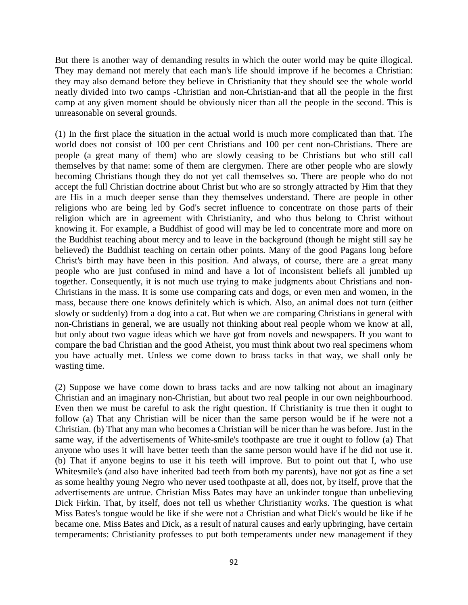But there is another way of demanding results in which the outer world may be quite illogical. They may demand not merely that each man's life should improve if he becomes a Christian: they may also demand before they believe in Christianity that they should see the whole world neatly divided into two camps -Christian and non-Christian-and that all the people in the first camp at any given moment should be obviously nicer than all the people in the second. This is unreasonable on several grounds.

(1) In the first place the situation in the actual world is much more complicated than that. The world does not consist of 100 per cent Christians and 100 per cent non-Christians. There are people (a great many of them) who are slowly ceasing to be Christians but who still call themselves by that name: some of them are clergymen. There are other people who are slowly becoming Christians though they do not yet call themselves so. There are people who do not accept the full Christian doctrine about Christ but who are so strongly attracted by Him that they are His in a much deeper sense than they themselves understand. There are people in other religions who are being led by God's secret influence to concentrate on those parts of their religion which are in agreement with Christianity, and who thus belong to Christ without knowing it. For example, a Buddhist of good will may be led to concentrate more and more on the Buddhist teaching about mercy and to leave in the background (though he might still say he believed) the Buddhist teaching on certain other points. Many of the good Pagans long before Christ's birth may have been in this position. And always, of course, there are a great many people who are just confused in mind and have a lot of inconsistent beliefs all jumbled up together. Consequently, it is not much use trying to make judgments about Christians and non-Christians in the mass. It is some use comparing cats and dogs, or even men and women, in the mass, because there one knows definitely which is which. Also, an animal does not turn (either slowly or suddenly) from a dog into a cat. But when we are comparing Christians in general with non-Christians in general, we are usually not thinking about real people whom we know at all, but only about two vague ideas which we have got from novels and newspapers. If you want to compare the bad Christian and the good Atheist, you must think about two real specimens whom you have actually met. Unless we come down to brass tacks in that way, we shall only be wasting time.

(2) Suppose we have come down to brass tacks and are now talking not about an imaginary Christian and an imaginary non-Christian, but about two real people in our own neighbourhood. Even then we must be careful to ask the right question. If Christianity is true then it ought to follow (a) That any Christian will be nicer than the same person would be if he were not a Christian. (b) That any man who becomes a Christian will be nicer than he was before. Just in the same way, if the advertisements of White-smile's toothpaste are true it ought to follow (a) That anyone who uses it will have better teeth than the same person would have if he did not use it. (b) That if anyone begins to use it his teeth will improve. But to point out that I, who use Whitesmile's (and also have inherited bad teeth from both my parents), have not got as fine a set as some healthy young Negro who never used toothpaste at all, does not, by itself, prove that the advertisements are untrue. Christian Miss Bates may have an unkinder tongue than unbelieving Dick Firkin. That, by itself, does not tell us whether Christianity works. The question is what Miss Bates's tongue would be like if she were not a Christian and what Dick's would be like if he became one. Miss Bates and Dick, as a result of natural causes and early upbringing, have certain temperaments: Christianity professes to put both temperaments under new management if they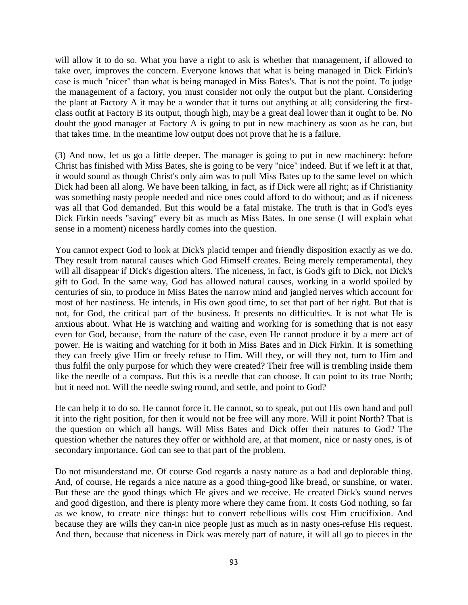will allow it to do so. What you have a right to ask is whether that management, if allowed to take over, improves the concern. Everyone knows that what is being managed in Dick Firkin's case is much "nicer" than what is being managed in Miss Bates's. That is not the point. To judge the management of a factory, you must consider not only the output but the plant. Considering the plant at Factory A it may be a wonder that it turns out anything at all; considering the firstclass outfit at Factory B its output, though high, may be a great deal lower than it ought to be. No doubt the good manager at Factory A is going to put in new machinery as soon as he can, but that takes time. In the meantime low output does not prove that he is a failure.

(3) And now, let us go a little deeper. The manager is going to put in new machinery: before Christ has finished with Miss Bates, she is going to be very "nice" indeed. But if we left it at that, it would sound as though Christ's only aim was to pull Miss Bates up to the same level on which Dick had been all along. We have been talking, in fact, as if Dick were all right; as if Christianity was something nasty people needed and nice ones could afford to do without; and as if niceness was all that God demanded. But this would be a fatal mistake. The truth is that in God's eyes Dick Firkin needs "saving" every bit as much as Miss Bates. In one sense (I will explain what sense in a moment) niceness hardly comes into the question.

You cannot expect God to look at Dick's placid temper and friendly disposition exactly as we do. They result from natural causes which God Himself creates. Being merely temperamental, they will all disappear if Dick's digestion alters. The niceness, in fact, is God's gift to Dick, not Dick's gift to God. In the same way, God has allowed natural causes, working in a world spoiled by centuries of sin, to produce in Miss Bates the narrow mind and jangled nerves which account for most of her nastiness. He intends, in His own good time, to set that part of her right. But that is not, for God, the critical part of the business. It presents no difficulties. It is not what He is anxious about. What He is watching and waiting and working for is something that is not easy even for God, because, from the nature of the case, even He cannot produce it by a mere act of power. He is waiting and watching for it both in Miss Bates and in Dick Firkin. It is something they can freely give Him or freely refuse to Him. Will they, or will they not, turn to Him and thus fulfil the only purpose for which they were created? Their free will is trembling inside them like the needle of a compass. But this is a needle that can choose. It can point to its true North; but it need not. Will the needle swing round, and settle, and point to God?

He can help it to do so. He cannot force it. He cannot, so to speak, put out His own hand and pull it into the right position, for then it would not be free will any more. Will it point North? That is the question on which all hangs. Will Miss Bates and Dick offer their natures to God? The question whether the natures they offer or withhold are, at that moment, nice or nasty ones, is of secondary importance. God can see to that part of the problem.

Do not misunderstand me. Of course God regards a nasty nature as a bad and deplorable thing. And, of course, He regards a nice nature as a good thing-good like bread, or sunshine, or water. But these are the good things which He gives and we receive. He created Dick's sound nerves and good digestion, and there is plenty more where they came from. It costs God nothing, so far as we know, to create nice things: but to convert rebellious wills cost Him crucifixion. And because they are wills they can-in nice people just as much as in nasty ones-refuse His request. And then, because that niceness in Dick was merely part of nature, it will all go to pieces in the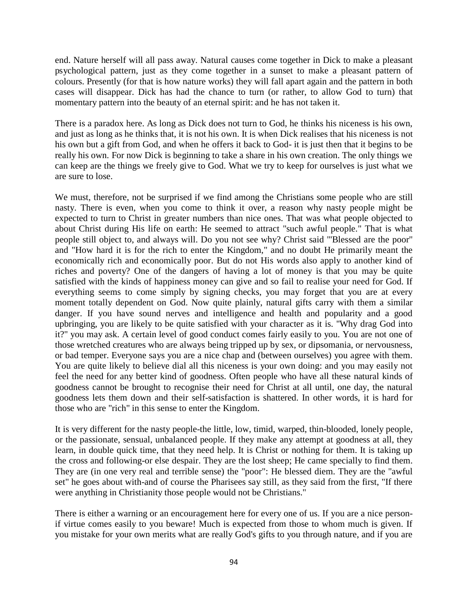end. Nature herself will all pass away. Natural causes come together in Dick to make a pleasant psychological pattern, just as they come together in a sunset to make a pleasant pattern of colours. Presently (for that is how nature works) they will fall apart again and the pattern in both cases will disappear. Dick has had the chance to turn (or rather, to allow God to turn) that momentary pattern into the beauty of an eternal spirit: and he has not taken it.

There is a paradox here. As long as Dick does not turn to God, he thinks his niceness is his own, and just as long as he thinks that, it is not his own. It is when Dick realises that his niceness is not his own but a gift from God, and when he offers it back to God- it is just then that it begins to be really his own. For now Dick is beginning to take a share in his own creation. The only things we can keep are the things we freely give to God. What we try to keep for ourselves is just what we are sure to lose.

We must, therefore, not be surprised if we find among the Christians some people who are still nasty. There is even, when you come to think it over, a reason why nasty people might be expected to turn to Christ in greater numbers than nice ones. That was what people objected to about Christ during His life on earth: He seemed to attract "such awful people." That is what people still object to, and always will. Do you not see why? Christ said '"Blessed are the poor" and "How hard it is for the rich to enter the Kingdom," and no doubt He primarily meant the economically rich and economically poor. But do not His words also apply to another kind of riches and poverty? One of the dangers of having a lot of money is that you may be quite satisfied with the kinds of happiness money can give and so fail to realise your need for God. If everything seems to come simply by signing checks, you may forget that you are at every moment totally dependent on God. Now quite plainly, natural gifts carry with them a similar danger. If you have sound nerves and intelligence and health and popularity and a good upbringing, you are likely to be quite satisfied with your character as it is. "Why drag God into it?" you may ask. A certain level of good conduct comes fairly easily to you. You are not one of those wretched creatures who are always being tripped up by sex, or dipsomania, or nervousness, or bad temper. Everyone says you are a nice chap and (between ourselves) you agree with them. You are quite likely to believe dial all this niceness is your own doing: and you may easily not feel the need for any better kind of goodness. Often people who have all these natural kinds of goodness cannot be brought to recognise their need for Christ at all until, one day, the natural goodness lets them down and their self-satisfaction is shattered. In other words, it is hard for those who are "rich" in this sense to enter the Kingdom.

It is very different for the nasty people-the little, low, timid, warped, thin-blooded, lonely people, or the passionate, sensual, unbalanced people. If they make any attempt at goodness at all, they learn, in double quick time, that they need help. It is Christ or nothing for them. It is taking up the cross and following-or else despair. They are the lost sheep; He came specially to find them. They are (in one very real and terrible sense) the "poor": He blessed diem. They are the "awful set" he goes about with-and of course the Pharisees say still, as they said from the first, "If there were anything in Christianity those people would not be Christians."

There is either a warning or an encouragement here for every one of us. If you are a nice personif virtue comes easily to you beware! Much is expected from those to whom much is given. If you mistake for your own merits what are really God's gifts to you through nature, and if you are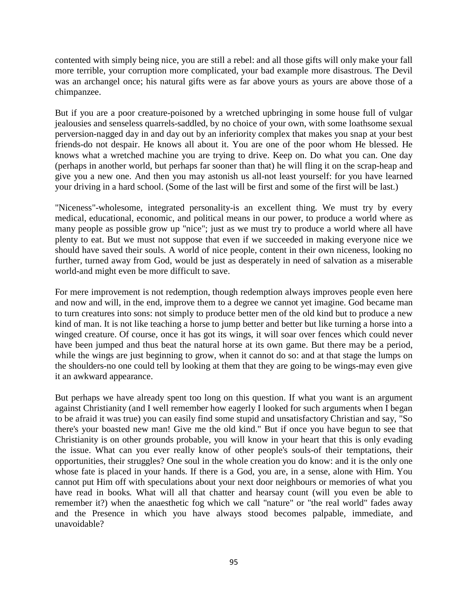contented with simply being nice, you are still a rebel: and all those gifts will only make your fall more terrible, your corruption more complicated, your bad example more disastrous. The Devil was an archangel once; his natural gifts were as far above yours as yours are above those of a chimpanzee.

But if you are a poor creature-poisoned by a wretched upbringing in some house full of vulgar jealousies and senseless quarrels-saddled, by no choice of your own, with some loathsome sexual perversion-nagged day in and day out by an inferiority complex that makes you snap at your best friends-do not despair. He knows all about it. You are one of the poor whom He blessed. He knows what a wretched machine you are trying to drive. Keep on. Do what you can. One day (perhaps in another world, but perhaps far sooner than that) he will fling it on the scrap-heap and give you a new one. And then you may astonish us all-not least yourself: for you have learned your driving in a hard school. (Some of the last will be first and some of the first will be last.)

"Niceness"-wholesome, integrated personality-is an excellent thing. We must try by every medical, educational, economic, and political means in our power, to produce a world where as many people as possible grow up "nice"; just as we must try to produce a world where all have plenty to eat. But we must not suppose that even if we succeeded in making everyone nice we should have saved their souls. A world of nice people, content in their own niceness, looking no further, turned away from God, would be just as desperately in need of salvation as a miserable world-and might even be more difficult to save.

For mere improvement is not redemption, though redemption always improves people even here and now and will, in the end, improve them to a degree we cannot yet imagine. God became man to turn creatures into sons: not simply to produce better men of the old kind but to produce a new kind of man. It is not like teaching a horse to jump better and better but like turning a horse into a winged creature. Of course, once it has got its wings, it will soar over fences which could never have been jumped and thus beat the natural horse at its own game. But there may be a period, while the wings are just beginning to grow, when it cannot do so: and at that stage the lumps on the shoulders-no one could tell by looking at them that they are going to be wings-may even give it an awkward appearance.

But perhaps we have already spent too long on this question. If what you want is an argument against Christianity (and I well remember how eagerly I looked for such arguments when I began to be afraid it was true) you can easily find some stupid and unsatisfactory Christian and say, "So there's your boasted new man! Give me the old kind." But if once you have begun to see that Christianity is on other grounds probable, you will know in your heart that this is only evading the issue. What can you ever really know of other people's souls-of their temptations, their opportunities, their struggles? One soul in the whole creation you do know: and it is the only one whose fate is placed in your hands. If there is a God, you are, in a sense, alone with Him. You cannot put Him off with speculations about your next door neighbours or memories of what you have read in books. What will all that chatter and hearsay count (will you even be able to remember it?) when the anaesthetic fog which we call "nature" or "the real world" fades away and the Presence in which you have always stood becomes palpable, immediate, and unavoidable?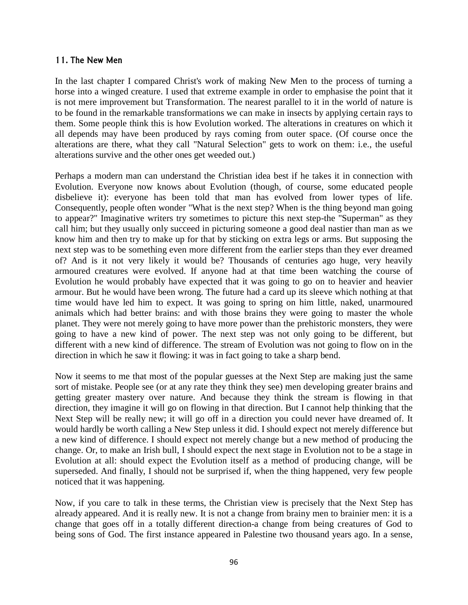#### 11. The New Men

In the last chapter I compared Christ's work of making New Men to the process of turning a horse into a winged creature. I used that extreme example in order to emphasise the point that it is not mere improvement but Transformation. The nearest parallel to it in the world of nature is to be found in the remarkable transformations we can make in insects by applying certain rays to them. Some people think this is how Evolution worked. The alterations in creatures on which it all depends may have been produced by rays coming from outer space. (Of course once the alterations are there, what they call "Natural Selection" gets to work on them: i.e., the useful alterations survive and the other ones get weeded out.)

Perhaps a modern man can understand the Christian idea best if he takes it in connection with Evolution. Everyone now knows about Evolution (though, of course, some educated people disbelieve it): everyone has been told that man has evolved from lower types of life. Consequently, people often wonder "What is the next step? When is the thing beyond man going to appear?" Imaginative writers try sometimes to picture this next step-the "Superman" as they call him; but they usually only succeed in picturing someone a good deal nastier than man as we know him and then try to make up for that by sticking on extra legs or arms. But supposing the next step was to be something even more different from the earlier steps than they ever dreamed of? And is it not very likely it would be? Thousands of centuries ago huge, very heavily armoured creatures were evolved. If anyone had at that time been watching the course of Evolution he would probably have expected that it was going to go on to heavier and heavier armour. But he would have been wrong. The future had a card up its sleeve which nothing at that time would have led him to expect. It was going to spring on him little, naked, unarmoured animals which had better brains: and with those brains they were going to master the whole planet. They were not merely going to have more power than the prehistoric monsters, they were going to have a new kind of power. The next step was not only going to be different, but different with a new kind of difference. The stream of Evolution was not going to flow on in the direction in which he saw it flowing: it was in fact going to take a sharp bend.

Now it seems to me that most of the popular guesses at the Next Step are making just the same sort of mistake. People see (or at any rate they think they see) men developing greater brains and getting greater mastery over nature. And because they think the stream is flowing in that direction, they imagine it will go on flowing in that direction. But I cannot help thinking that the Next Step will be really new; it will go off in a direction you could never have dreamed of. It would hardly be worth calling a New Step unless it did. I should expect not merely difference but a new kind of difference. I should expect not merely change but a new method of producing the change. Or, to make an Irish bull, I should expect the next stage in Evolution not to be a stage in Evolution at all: should expect the Evolution itself as a method of producing change, will be superseded. And finally, I should not be surprised if, when the thing happened, very few people noticed that it was happening.

Now, if you care to talk in these terms, the Christian view is precisely that the Next Step has already appeared. And it is really new. It is not a change from brainy men to brainier men: it is a change that goes off in a totally different direction-a change from being creatures of God to being sons of God. The first instance appeared in Palestine two thousand years ago. In a sense,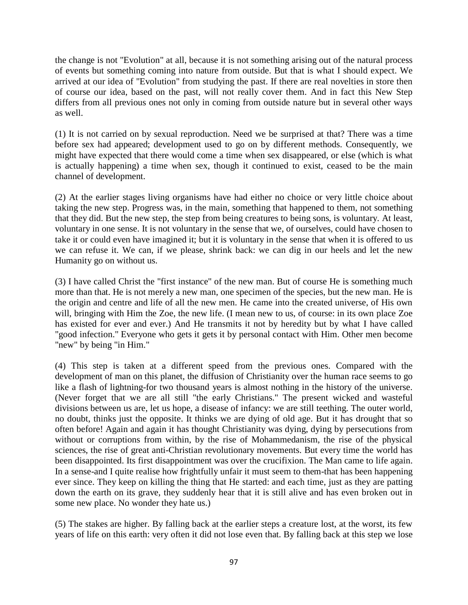the change is not "Evolution" at all, because it is not something arising out of the natural process of events but something coming into nature from outside. But that is what I should expect. We arrived at our idea of "Evolution" from studying the past. If there are real novelties in store then of course our idea, based on the past, will not really cover them. And in fact this New Step differs from all previous ones not only in coming from outside nature but in several other ways as well.

(1) It is not carried on by sexual reproduction. Need we be surprised at that? There was a time before sex had appeared; development used to go on by different methods. Consequently, we might have expected that there would come a time when sex disappeared, or else (which is what is actually happening) a time when sex, though it continued to exist, ceased to be the main channel of development.

(2) At the earlier stages living organisms have had either no choice or very little choice about taking the new step. Progress was, in the main, something that happened to them, not something that they did. But the new step, the step from being creatures to being sons, is voluntary. At least, voluntary in one sense. It is not voluntary in the sense that we, of ourselves, could have chosen to take it or could even have imagined it; but it is voluntary in the sense that when it is offered to us we can refuse it. We can, if we please, shrink back: we can dig in our heels and let the new Humanity go on without us.

(3) I have called Christ the "first instance" of the new man. But of course He is something much more than that. He is not merely a new man, one specimen of the species, but the new man. He is the origin and centre and life of all the new men. He came into the created universe, of His own will, bringing with Him the Zoe, the new life. (I mean new to us, of course: in its own place Zoe has existed for ever and ever.) And He transmits it not by heredity but by what I have called "good infection." Everyone who gets it gets it by personal contact with Him. Other men become "new" by being "in Him."

(4) This step is taken at a different speed from the previous ones. Compared with the development of man on this planet, the diffusion of Christianity over the human race seems to go like a flash of lightning-for two thousand years is almost nothing in the history of the universe. (Never forget that we are all still "the early Christians." The present wicked and wasteful divisions between us are, let us hope, a disease of infancy: we are still teething. The outer world, no doubt, thinks just the opposite. It thinks we are dying of old age. But it has drought that so often before! Again and again it has thought Christianity was dying, dying by persecutions from without or corruptions from within, by the rise of Mohammedanism, the rise of the physical sciences, the rise of great anti-Christian revolutionary movements. But every time the world has been disappointed. Its first disappointment was over the crucifixion. The Man came to life again. In a sense-and I quite realise how frightfully unfair it must seem to them-that has been happening ever since. They keep on killing the thing that He started: and each time, just as they are patting down the earth on its grave, they suddenly hear that it is still alive and has even broken out in some new place. No wonder they hate us.)

(5) The stakes are higher. By falling back at the earlier steps a creature lost, at the worst, its few years of life on this earth: very often it did not lose even that. By falling back at this step we lose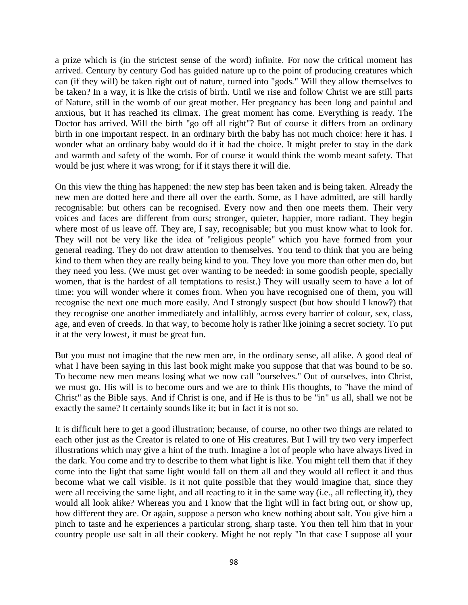a prize which is (in the strictest sense of the word) infinite. For now the critical moment has arrived. Century by century God has guided nature up to the point of producing creatures which can (if they will) be taken right out of nature, turned into "gods." Will they allow themselves to be taken? In a way, it is like the crisis of birth. Until we rise and follow Christ we are still parts of Nature, still in the womb of our great mother. Her pregnancy has been long and painful and anxious, but it has reached its climax. The great moment has come. Everything is ready. The Doctor has arrived. Will the birth "go off all right"? But of course it differs from an ordinary birth in one important respect. In an ordinary birth the baby has not much choice: here it has. I wonder what an ordinary baby would do if it had the choice. It might prefer to stay in the dark and warmth and safety of the womb. For of course it would think the womb meant safety. That would be just where it was wrong; for if it stays there it will die.

On this view the thing has happened: the new step has been taken and is being taken. Already the new men are dotted here and there all over the earth. Some, as I have admitted, are still hardly recognisable: but others can be recognised. Every now and then one meets them. Their very voices and faces are different from ours; stronger, quieter, happier, more radiant. They begin where most of us leave off. They are, I say, recognisable; but you must know what to look for. They will not be very like the idea of "religious people" which you have formed from your general reading. They do not draw attention to themselves. You tend to think that you are being kind to them when they are really being kind to you. They love you more than other men do, but they need you less. (We must get over wanting to be needed: in some goodish people, specially women, that is the hardest of all temptations to resist.) They will usually seem to have a lot of time: you will wonder where it comes from. When you have recognised one of them, you will recognise the next one much more easily. And I strongly suspect (but how should I know?) that they recognise one another immediately and infallibly, across every barrier of colour, sex, class, age, and even of creeds. In that way, to become holy is rather like joining a secret society. To put it at the very lowest, it must be great fun.

But you must not imagine that the new men are, in the ordinary sense, all alike. A good deal of what I have been saying in this last book might make you suppose that that was bound to be so. To become new men means losing what we now call "ourselves." Out of ourselves, into Christ, we must go. His will is to become ours and we are to think His thoughts, to "have the mind of Christ" as the Bible says. And if Christ is one, and if He is thus to be "in" us all, shall we not be exactly the same? It certainly sounds like it; but in fact it is not so.

It is difficult here to get a good illustration; because, of course, no other two things are related to each other just as the Creator is related to one of His creatures. But I will try two very imperfect illustrations which may give a hint of the truth. Imagine a lot of people who have always lived in the dark. You come and try to describe to them what light is like. You might tell them that if they come into the light that same light would fall on them all and they would all reflect it and thus become what we call visible. Is it not quite possible that they would imagine that, since they were all receiving the same light, and all reacting to it in the same way (i.e., all reflecting it), they would all look alike? Whereas you and I know that the light will in fact bring out, or show up, how different they are. Or again, suppose a person who knew nothing about salt. You give him a pinch to taste and he experiences a particular strong, sharp taste. You then tell him that in your country people use salt in all their cookery. Might he not reply "In that case I suppose all your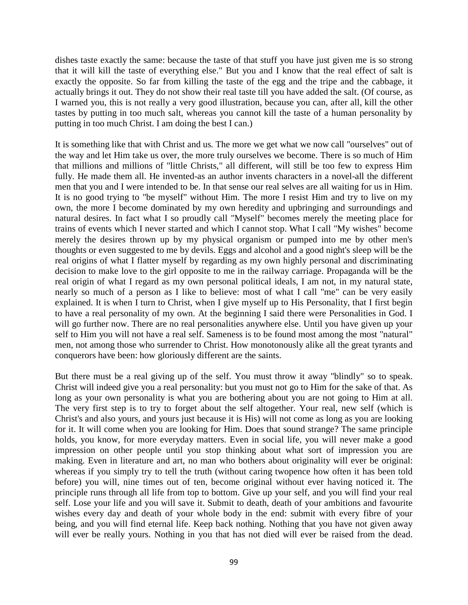dishes taste exactly the same: because the taste of that stuff you have just given me is so strong that it will kill the taste of everything else." But you and I know that the real effect of salt is exactly the opposite. So far from killing the taste of the egg and the tripe and the cabbage, it actually brings it out. They do not show their real taste till you have added the salt. (Of course, as I warned you, this is not really a very good illustration, because you can, after all, kill the other tastes by putting in too much salt, whereas you cannot kill the taste of a human personality by putting in too much Christ. I am doing the best I can.)

It is something like that with Christ and us. The more we get what we now call "ourselves" out of the way and let Him take us over, the more truly ourselves we become. There is so much of Him that millions and millions of "little Christs," all different, will still be too few to express Him fully. He made them all. He invented-as an author invents characters in a novel-all the different men that you and I were intended to be. In that sense our real selves are all waiting for us in Him. It is no good trying to "be myself" without Him. The more I resist Him and try to live on my own, the more I become dominated by my own heredity and upbringing and surroundings and natural desires. In fact what I so proudly call "Myself" becomes merely the meeting place for trains of events which I never started and which I cannot stop. What I call "My wishes" become merely the desires thrown up by my physical organism or pumped into me by other men's thoughts or even suggested to me by devils. Eggs and alcohol and a good night's sleep will be the real origins of what I flatter myself by regarding as my own highly personal and discriminating decision to make love to the girl opposite to me in the railway carriage. Propaganda will be the real origin of what I regard as my own personal political ideals, I am not, in my natural state, nearly so much of a person as I like to believe: most of what I call "me" can be very easily explained. It is when I turn to Christ, when I give myself up to His Personality, that I first begin to have a real personality of my own. At the beginning I said there were Personalities in God. I will go further now. There are no real personalities anywhere else. Until you have given up your self to Him you will not have a real self. Sameness is to be found most among the most "natural" men, not among those who surrender to Christ. How monotonously alike all the great tyrants and conquerors have been: how gloriously different are the saints.

But there must be a real giving up of the self. You must throw it away "blindly" so to speak. Christ will indeed give you a real personality: but you must not go to Him for the sake of that. As long as your own personality is what you are bothering about you are not going to Him at all. The very first step is to try to forget about the self altogether. Your real, new self (which is Christ's and also yours, and yours just because it is His) will not come as long as you are looking for it. It will come when you are looking for Him. Does that sound strange? The same principle holds, you know, for more everyday matters. Even in social life, you will never make a good impression on other people until you stop thinking about what sort of impression you are making. Even in literature and art, no man who bothers about originality will ever be original: whereas if you simply try to tell the truth (without caring twopence how often it has been told before) you will, nine times out of ten, become original without ever having noticed it. The principle runs through all life from top to bottom. Give up your self, and you will find your real self. Lose your life and you will save it. Submit to death, death of your ambitions and favourite wishes every day and death of your whole body in the end: submit with every fibre of your being, and you will find eternal life. Keep back nothing. Nothing that you have not given away will ever be really yours. Nothing in you that has not died will ever be raised from the dead.